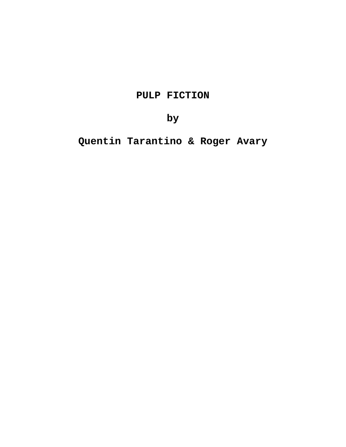# **PULP FICTION**

**by**

**Quentin Tarantino & Roger Avary**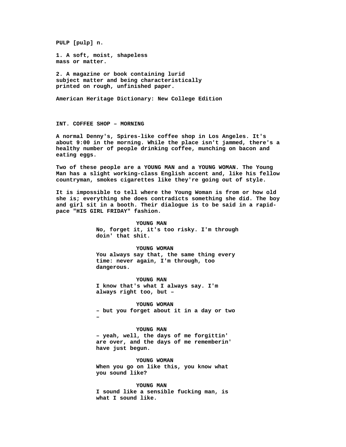**PULP [pulp] n.**

**1. A soft, moist, shapeless mass or matter.**

**2. A magazine or book containing lurid subject matter and being characteristically printed on rough, unfinished paper.**

**American Heritage Dictionary: New College Edition**

**INT. COFFEE SHOP – MORNING**

**A normal Denny's, Spires-like coffee shop in Los Angeles. It's about 9:00 in the morning. While the place isn't jammed, there's a healthy number of people drinking coffee, munching on bacon and eating eggs.**

**Two of these people are a YOUNG MAN and a YOUNG WOMAN. The Young Man has a slight working-class English accent and, like his fellow countryman, smokes cigarettes like they're going out of style.**

**It is impossible to tell where the Young Woman is from or how old she is; everything she does contradicts something she did. The boy and girl sit in a booth. Their dialogue is to be said in a rapidpace "HIS GIRL FRIDAY" fashion.**

> **YOUNG MAN No, forget it, it's too risky. I'm through doin' that shit.**

**YOUNG WOMAN You always say that, the same thing every time: never again, I'm through, too dangerous.**

**YOUNG MAN I know that's what I always say. I'm always right too, but –**

**YOUNG WOMAN – but you forget about it in a day or two –**

**YOUNG MAN – yeah, well, the days of me forgittin' are over, and the days of me rememberin' have just begun.**

**YOUNG WOMAN When you go on like this, you know what you sound like?**

**YOUNG MAN I sound like a sensible fucking man, is what I sound like.**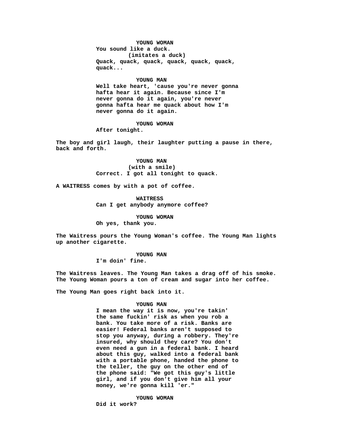**YOUNG WOMAN You sound like a duck. (imitates a duck) Quack, quack, quack, quack, quack, quack, quack...**

**YOUNG MAN Well take heart, 'cause you're never gonna hafta hear it again. Because since I'm never gonna do it again, you're never gonna hafta hear me quack about how I'm never gonna do it again.**

## **YOUNG WOMAN**

**After tonight.**

**The boy and girl laugh, their laughter putting a pause in there, back and forth.**

> **YOUNG MAN (with a smile) Correct. I got all tonight to quack.**

**A WAITRESS comes by with a pot of coffee.**

**WAITRESS Can I get anybody anymore coffee?**

**YOUNG WOMAN**

**Oh yes, thank you.**

**The Waitress pours the Young Woman's coffee. The Young Man lights up another cigarette.**

> **YOUNG MAN I'm doin' fine.**

**The Waitress leaves. The Young Man takes a drag off of his smoke. The Young Woman pours a ton of cream and sugar into her coffee.**

**The Young Man goes right back into it.**

## **YOUNG MAN**

**I mean the way it is now, you're takin' the same fuckin' risk as when you rob a bank. You take more of a risk. Banks are easier! Federal banks aren't supposed to stop you anyway, during a robbery. They're insured, why should they care? You don't even need a gun in a federal bank. I heard about this guy, walked into a federal bank with a portable phone, handed the phone to the teller, the guy on the other end of the phone said: "We got this guy's little girl, and if you don't give him all your money, we're gonna kill 'er."**

**YOUNG WOMAN**

**Did it work?**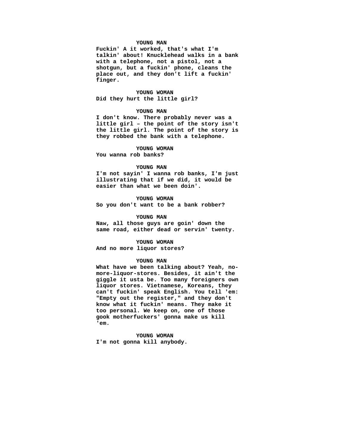# **YOUNG MAN**

**Fuckin' A it worked, that's what I'm talkin' about! Knucklehead walks in a bank with a telephone, not a pistol, not a shotgun, but a fuckin' phone, cleans the place out, and they don't lift a fuckin' finger.**

**YOUNG WOMAN Did they hurt the little girl?**

# **YOUNG MAN**

**I don't know. There probably never was a little girl – the point of the story isn't the little girl. The point of the story is they robbed the bank with a telephone.**

**YOUNG WOMAN**

**You wanna rob banks?**

# **YOUNG MAN**

**I'm not sayin' I wanna rob banks, I'm just illustrating that if we did, it would be easier than what we been doin'.**

**YOUNG WOMAN So you don't want to be a bank robber?**

#### **YOUNG MAN**

**Naw, all those guys are goin' down the same road, either dead or servin' twenty.**

**YOUNG WOMAN And no more liquor stores?**

## **YOUNG MAN**

**What have we been talking about? Yeah, nomore-liquor-stores. Besides, it ain't the giggle it usta be. Too many foreigners own liquor stores. Vietnamese, Koreans, they can't fuckin' speak English. You tell 'em: "Empty out the register," and they don't know what it fuckin' means. They make it too personal. We keep on, one of those gook motherfuckers' gonna make us kill 'em.**

**YOUNG WOMAN I'm not gonna kill anybody.**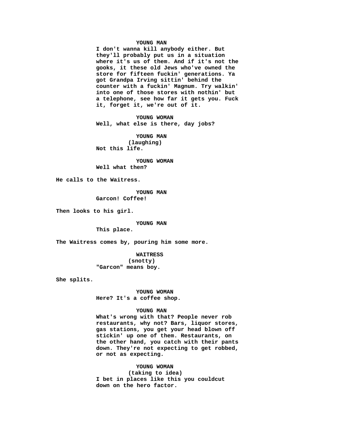## **YOUNG MAN**

**I don't wanna kill anybody either. But they'll probably put us in a situation where it's us of them. And if it's not the gooks, it these old Jews who've owned the store for fifteen fuckin' generations. Ya got Grandpa Irving sittin' behind the counter with a fuckin' Magnum. Try walkin' into one of those stores with nothin' but a telephone, see how far it gets you. Fuck it, forget it, we're out of it.**

**YOUNG WOMAN Well, what else is there, day jobs?**

**YOUNG MAN (laughing) Not this life.**

**YOUNG WOMAN**

**Well what then?**

**He calls to the Waitress.**

**YOUNG MAN**

**Garcon! Coffee!**

**Then looks to his girl.**

# **YOUNG MAN**

**This place.**

**The Waitress comes by, pouring him some more.**

**WAITRESS (snotty) "Garcon" means boy.**

**She splits.**

**YOUNG WOMAN Here? It's a coffee shop.**

# **YOUNG MAN**

**What's wrong with that? People never rob restaurants, why not? Bars, liquor stores, gas stations, you get your head blown off stickin' up one of them. Restaurants, on the other hand, you catch with their pants down. They're not expecting to get robbed, or not as expecting.**

**YOUNG WOMAN (taking to idea) I bet in places like this you couldcut down on the hero factor.**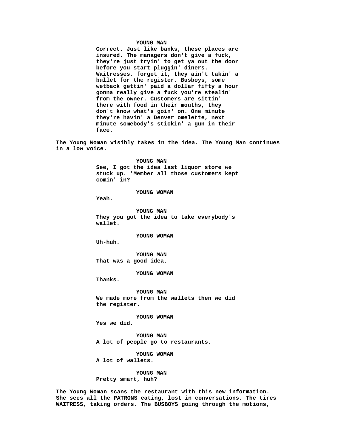#### **YOUNG MAN**

**Correct. Just like banks, these places are insured. The managers don't give a fuck, they're just tryin' to get ya out the door before you start pluggin' diners. Waitresses, forget it, they ain't takin' a bullet for the register. Busboys, some wetback gettin' paid a dollar fifty a hour gonna really give a fuck you're stealin' from the owner. Customers are sittin' there with food in their mouths, they don't know what's goin' on. One minute they're havin' a Denver omelette, next minute somebody's stickin' a gun in their face.**

**The Young Woman visibly takes in the idea. The Young Man continues in a low voice.**

> **YOUNG MAN See, I got the idea last liquor store we stuck up. 'Member all those customers kept comin' in?**

> > **YOUNG WOMAN**

**Yeah.**

**YOUNG MAN They you got the idea to take everybody's wallet.**

**YOUNG WOMAN**

**Uh-huh.**

**YOUNG MAN That was a good idea.**

**YOUNG WOMAN**

**Thanks.**

**YOUNG MAN We made more from the wallets then we did the register.**

**YOUNG WOMAN**

**Yes we did.**

**YOUNG MAN A lot of people go to restaurants.**

**YOUNG WOMAN A lot of wallets.**

**YOUNG MAN Pretty smart, huh?**

**The Young Woman scans the restaurant with this new information. She sees all the PATRONS eating, lost in conversations. The tires WAITRESS, taking orders. The BUSBOYS going through the motions,**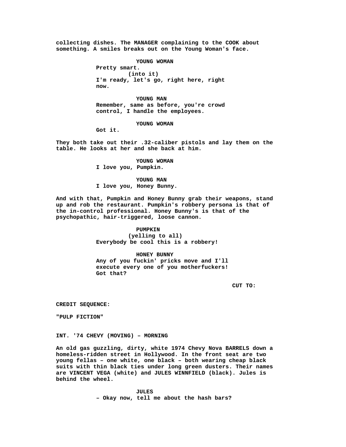**collecting dishes. The MANAGER complaining to the COOK about something. A smiles breaks out on the Young Woman's face.**

**YOUNG WOMAN**

**Pretty smart. (into it) I'm ready, let's go, right here, right now.**

**YOUNG MAN Remember, same as before, you're crowd control, I handle the employees.**

**YOUNG WOMAN**

**Got it.**

**They both take out their .32-caliber pistols and lay them on the table. He looks at her and she back at him.**

> **YOUNG WOMAN I love you, Pumpkin.**

**YOUNG MAN I love you, Honey Bunny.**

**And with that, Pumpkin and Honey Bunny grab their weapons, stand up and rob the restaurant. Pumpkin's robbery persona is that of the in-control professional. Honey Bunny's is that of the psychopathic, hair-triggered, loose cannon.**

**PUMPKIN**

**(yelling to all) Everybody be cool this is a robbery!**

**HONEY BUNNY Any of you fuckin' pricks move and I'll execute every one of you motherfuckers! Got that?**

**CUT TO:**

**CREDIT SEQUENCE:**

**"PULP FICTION"**

**INT. '74 CHEVY (MOVING) – MORNING**

**An old gas guzzling, dirty, white 1974 Chevy Nova BARRELS down a homeless-ridden street in Hollywood. In the front seat are two young fellas – one white, one black – both wearing cheap black suits with thin black ties under long green dusters. Their names are VINCENT VEGA (white) and JULES WINNFIELD (black). Jules is behind the wheel.**

> **JULES – Okay now, tell me about the hash bars?**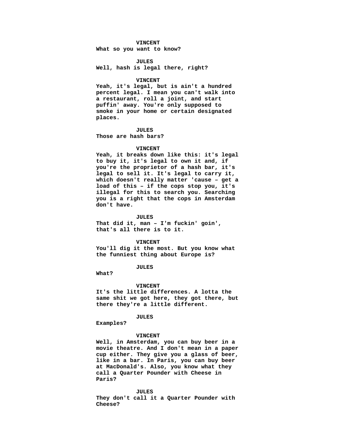#### **VINCENT**

**What so you want to know?**

**JULES**

**Well, hash is legal there, right?**

## **VINCENT**

**Yeah, it's legal, but is ain't a hundred percent legal. I mean you can't walk into a restaurant, roll a joint, and start puffin' away. You're only supposed to smoke in your home or certain designated places.**

**JULES**

**Those are hash bars?**

#### **VINCENT**

**Yeah, it breaks down like this: it's legal to buy it, it's legal to own it and, if you're the proprietor of a hash bar, it's legal to sell it. It's legal to carry it, which doesn't really matter 'cause – get a load of this – if the cops stop you, it's illegal for this to search you. Searching you is a right that the cops in Amsterdam don't have.**

#### **JULES**

**That did it, man – I'm fuckin' goin', that's all there is to it.**

### **VINCENT**

**You'll dig it the most. But you know what the funniest thing about Europe is?**

**JULES**

**What?**

## **VINCENT**

**It's the little differences. A lotta the same shit we got here, they got there, but there they're a little different.**

**JULES**

**Examples?**

# **VINCENT**

**Well, in Amsterdam, you can buy beer in a movie theatre. And I don't mean in a paper cup either. They give you a glass of beer, like in a bar. In Paris, you can buy beer at MacDonald's. Also, you know what they call a Quarter Pounder with Cheese in Paris?**

**JULES They don't call it a Quarter Pounder with Cheese?**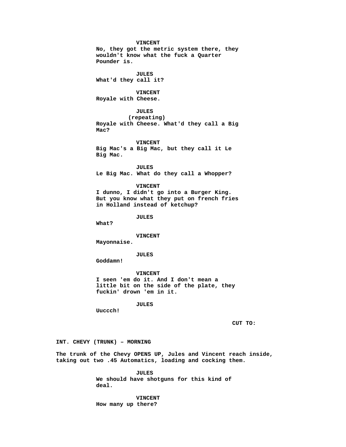**VINCENT No, they got the metric system there, they wouldn't know what the fuck a Quarter Pounder is. JULES What'd they call it? VINCENT Royale with Cheese. JULES (repeating) Royale with Cheese. What'd they call a Big Mac? VINCENT Big Mac's a Big Mac, but they call it Le Big Mac. JULES Le Big Mac. What do they call a Whopper? VINCENT I dunno, I didn't go into a Burger King. But you know what they put on french fries in Holland instead of ketchup? JULES What? VINCENT Mayonnaise. JULES Goddamn! VINCENT I seen 'em do it. And I don't mean a little bit on the side of the plate, they fuckin' drown 'em in it. JULES Uuccch! CUT TO:**

**INT. CHEVY (TRUNK) – MORNING**

**The trunk of the Chevy OPENS UP, Jules and Vincent reach inside, taking out two .45 Automatics, loading and cocking them.**

> **JULES We should have shotguns for this kind of deal.**

**VINCENT How many up there?**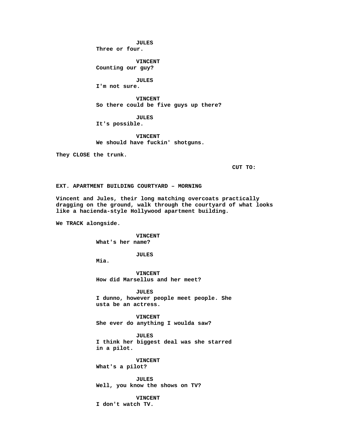**JULES**

**Three or four.**

**VINCENT**

**Counting our guy?**

**JULES**

**I'm not sure.**

**VINCENT So there could be five guys up there?**

**JULES**

**It's possible.**

**VINCENT We should have fuckin' shotguns.**

**They CLOSE the trunk.**

**CUT TO:**

**EXT. APARTMENT BUILDING COURTYARD – MORNING**

**Vincent and Jules, their long matching overcoats practically dragging on the ground, walk through the courtyard of what looks like a hacienda-style Hollywood apartment building.**

**We TRACK alongside.**

**VINCENT What's her name?**

**JULES**

**Mia.**

**VINCENT How did Marsellus and her meet?**

**JULES I dunno, however people meet people. She usta be an actress.**

**VINCENT She ever do anything I woulda saw?**

**JULES I think her biggest deal was she starred in a pilot.**

**VINCENT What's a pilot?**

**JULES Well, you know the shows on TV?**

**VINCENT**

**I don't watch TV.**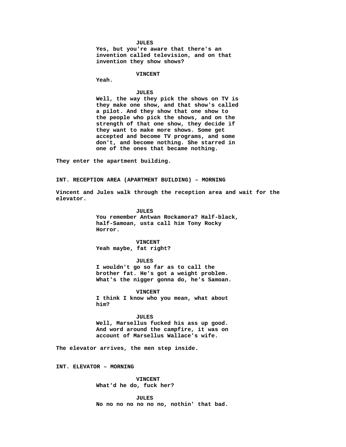**JULES**

**Yes, but you're aware that there's an invention called television, and on that invention they show shows?**

**VINCENT**

**Yeah.**

# **JULES**

**Well, the way they pick the shows on TV is they make one show, and that show's called a pilot. And they show that one show to the people who pick the shows, and on the strength of that one show, they decide if they want to make more shows. Some get accepted and become TV programs, and some don't, and become nothing. She starred in one of the ones that became nothing.**

**They enter the apartment building.**

**INT. RECEPTION AREA (APARTMENT BUILDING) – MORNING**

**Vincent and Jules walk through the reception area and wait for the elevator.**

#### **JULES**

**You remember Antwan Rockamora? Half-black, half-Samoan, usta call him Tony Rocky Horror.**

**VINCENT Yeah maybe, fat right?**

#### **JULES**

**I wouldn't go so far as to call the brother fat. He's got a weight problem. What's the nigger gonna do, he's Samoan.**

**VINCENT I think I know who you mean, what about him?**

#### **JULES**

**Well, Marsellus fucked his ass up good. And word around the campfire, it was on account of Marsellus Wallace's wife.**

**The elevator arrives, the men step inside.**

**INT. ELEVATOR – MORNING**

**VINCENT What'd he do, fuck her?**

**JULES No no no no no no no, nothin' that bad.**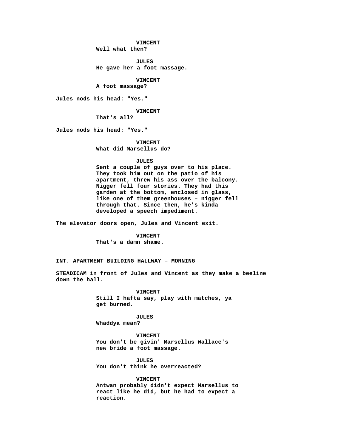**VINCENT**

**Well what then?**

**JULES He gave her a foot massage.**

**VINCENT**

**A foot massage?**

**Jules nods his head: "Yes."**

**VINCENT**

**That's all?**

**Jules nods his head: "Yes."**

**VINCENT What did Marsellus do?**

# **JULES**

**Sent a couple of guys over to his place. They took him out on the patio of his apartment, threw his ass over the balcony. Nigger fell four stories. They had this garden at the bottom, enclosed in glass, like one of them greenhouses – nigger fell through that. Since then, he's kinda developed a speech impediment.**

**The elevator doors open, Jules and Vincent exit.**

**VINCENT That's a damn shame.**

**INT. APARTMENT BUILDING HALLWAY – MORNING**

**STEADICAM in front of Jules and Vincent as they make a beeline down the hall.**

> **VINCENT Still I hafta say, play with matches, ya get burned.**

**JULES Whaddya mean?**

**VINCENT You don't be givin' Marsellus Wallace's new bride a foot massage.**

**JULES You don't think he overreacted?**

**VINCENT Antwan probably didn't expect Marsellus to react like he did, but he had to expect a reaction.**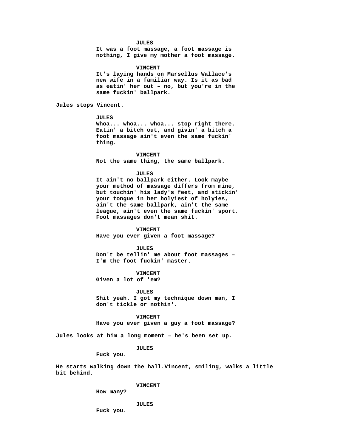# **JULES**

**It was a foot massage, a foot massage is nothing, I give my mother a foot massage.**

**VINCENT**

**It's laying hands on Marsellus Wallace's new wife in a familiar way. Is it as bad as eatin' her out – no, but you're in the same fuckin' ballpark.**

**Jules stops Vincent.**

**JULES**

**Whoa... whoa... whoa... stop right there. Eatin' a bitch out, and givin' a bitch a foot massage ain't even the same fuckin' thing.**

**VINCENT Not the same thing, the same ballpark.**

# **JULES**

**It ain't no ballpark either. Look maybe your method of massage differs from mine, but touchin' his lady's feet, and stickin' your tongue in her holyiest of holyies, ain't the same ballpark, ain't the same league, ain't even the same fuckin' sport. Foot massages don't mean shit.**

# **VINCENT**

**Have you ever given a foot massage?**

#### **JULES**

**Don't be tellin' me about foot massages – I'm the foot fuckin' master.**

# **VINCENT**

**Given a lot of 'em?**

**JULES Shit yeah. I got my technique down man, I don't tickle or nothin'.**

**VINCENT Have you ever given a guy a foot massage?**

**Jules looks at him a long moment – he's been set up.**

**JULES**

**Fuck you.**

**He starts walking down the hall.Vincent, smiling, walks a little bit behind.**

#### **VINCENT**

**How many?**

**JULES**

**Fuck you.**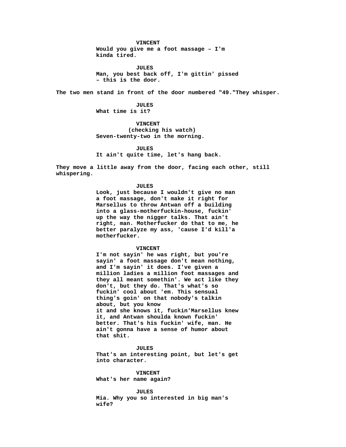**VINCENT**

**Would you give me a foot massage – I'm kinda tired.**

**JULES Man, you best back off, I'm gittin' pissed – this is the door.**

**The two men stand in front of the door numbered "49."They whisper.**

**JULES What time is it?**

**VINCENT (checking his watch) Seven-twenty-two in the morning.**

**JULES**

**It ain't quite time, let's hang back.**

**They move a little away from the door, facing each other, still whispering.**

## **JULES**

**Look, just because I wouldn't give no man a foot massage, don't make it right for Marsellus to throw Antwan off a building into a glass-motherfuckin-house, fuckin' up the way the nigger talks. That ain't right, man. Motherfucker do that to me, he better paralyze my ass, 'cause I'd kill'a motherfucker.**

## **VINCENT**

**I'm not sayin' he was right, but you're sayin' a foot massage don't mean nothing, and I'm sayin' it does. I've given a million ladies a million foot massages and they all meant somethin'. We act like they don't, but they do. That's what's so fuckin' cool about 'em. This sensual thing's goin' on that nobody's talkin about, but you know it and she knows it, fuckin'Marsellus knew it, and Antwan shoulda known fuckin' better. That's his fuckin' wife, man. He ain't gonna have a sense of humor about that shit.**

**JULES That's an interesting point, but let's get into character.**

**VINCENT What's her name again?**

**JULES Mia. Why you so interested in big man's wife?**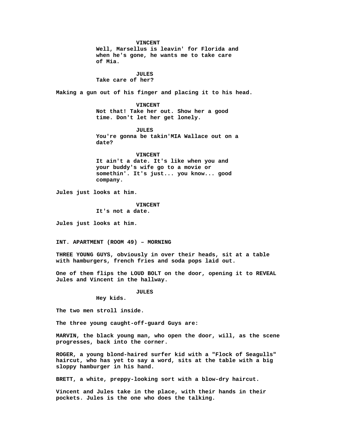**VINCENT Well, Marsellus is leavin' for Florida and when he's gone, he wants me to take care of Mia.**

**JULES Take care of her?**

**Making a gun out of his finger and placing it to his head.**

**VINCENT Not that! Take her out. Show her a good time. Don't let her get lonely.**

**JULES You're gonna be takin'MIA Wallace out on a date?**

**VINCENT It ain't a date. It's like when you and your buddy's wife go to a movie or somethin'. It's just... you know... good company.**

**Jules just looks at him.**

**VINCENT**

**It's not a date.**

**Jules just looks at him.**

**INT. APARTMENT (ROOM 49) – MORNING**

**THREE YOUNG GUYS, obviously in over their heads, sit at a table with hamburgers, french fries and soda pops laid out.**

**One of them flips the LOUD BOLT on the door, opening it to REVEAL Jules and Vincent in the hallway.**

**JULES**

**Hey kids.**

**The two men stroll inside.**

**The three young caught-off-guard Guys are:**

**MARVIN, the black young man, who open the door, will, as the scene progresses, back into the corner.**

**ROGER, a young blond-haired surfer kid with a "Flock of Seagulls" haircut, who has yet to say a word, sits at the table with a big sloppy hamburger in his hand.**

**BRETT, a white, preppy-looking sort with a blow-dry haircut.**

**Vincent and Jules take in the place, with their hands in their pockets. Jules is the one who does the talking.**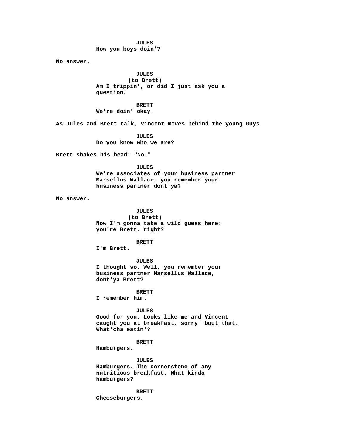**JULES How you boys doin'?**

**No answer.**

**JULES (to Brett) Am I trippin', or did I just ask you a question.**

**BRETT We're doin' okay.**

**As Jules and Brett talk, Vincent moves behind the young Guys.**

**JULES Do you know who we are?**

**Brett shakes his head: "No."**

**JULES We're associates of your business partner Marsellus Wallace, you remember your business partner dont'ya?**

**No answer.**

**JULES (to Brett) Now I'm gonna take a wild guess here: you're Brett, right?**

**BRETT**

**I'm Brett.**

**JULES**

**I thought so. Well, you remember your business partner Marsellus Wallace, dont'ya Brett?**

**BRETT I remember him.**

**JULES Good for you. Looks like me and Vincent caught you at breakfast, sorry 'bout that. What'cha eatin'?**

**BRETT**

**Hamburgers.**

**JULES Hamburgers. The cornerstone of any nutritious breakfast. What kinda hamburgers?**

**BRETT Cheeseburgers.**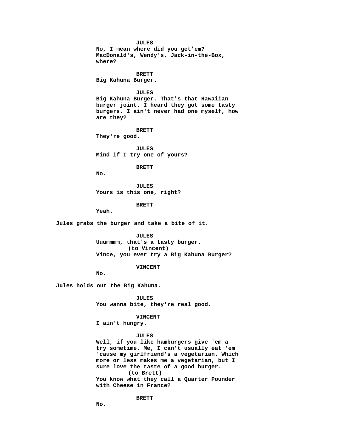**JULES**

**No, I mean where did you get'em? MacDonald's, Wendy's, Jack-in-the-Box, where?**

**BRETT Big Kahuna Burger.**

**JULES**

**Big Kahuna Burger. That's that Hawaiian burger joint. I heard they got some tasty burgers. I ain't never had one myself, how are they?**

**BRETT**

**They're good.**

**JULES Mind if I try one of yours?**

**BRETT**

**No.**

**JULES Yours is this one, right?**

**BRETT**

**Yeah.**

**Jules grabs the burger and take a bite of it.**

**JULES Uuummmm, that's a tasty burger. (to Vincent) Vince, you ever try a Big Kahuna Burger?**

**VINCENT**

**No.**

**Jules holds out the Big Kahuna.**

**JULES You wanna bite, they're real good.**

**VINCENT**

**I ain't hungry.**

# **JULES**

**Well, if you like hamburgers give 'em a try sometime. Me, I can't usually eat 'em 'cause my girlfriend's a vegetarian. Which more or less makes me a vegetarian, but I sure love the taste of a good burger. (to Brett) You know what they call a Quarter Pounder with Cheese in France?**

**BRETT**

**No.**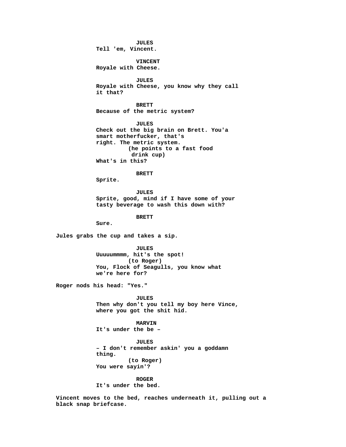**JULES Tell 'em, Vincent.**

**VINCENT Royale with Cheese.**

**JULES Royale with Cheese, you know why they call it that?**

**BRETT Because of the metric system?**

**JULES Check out the big brain on Brett. You'a smart motherfucker, that's right. The metric system. (he points to a fast food drink cup) What's in this?**

**BRETT**

**Sprite.**

**JULES Sprite, good, mind if I have some of your tasty beverage to wash this down with?**

**BRETT**

**Sure.**

**Jules grabs the cup and takes a sip.**

**JULES Uuuuummmm, hit's the spot! (to Roger) You, Flock of Seagulls, you know what we're here for?**

**Roger nods his head: "Yes."**

**JULES Then why don't you tell my boy here Vince, where you got the shit hid.**

**MARVIN It's under the be –**

**JULES – I don't remember askin' you a goddamn thing. (to Roger) You were sayin'?**

**ROGER It's under the bed.**

**Vincent moves to the bed, reaches underneath it, pulling out a black snap briefcase.**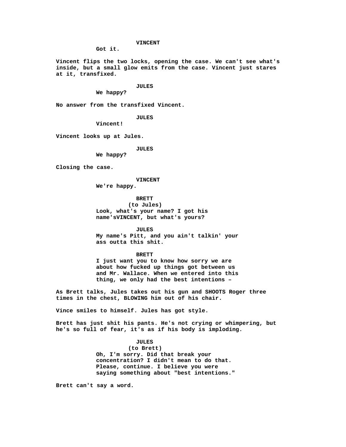#### **VINCENT**

**Got it.**

**Vincent flips the two locks, opening the case. We can't see what's inside, but a small glow emits from the case. Vincent just stares at it, transfixed.**

## **JULES**

**We happy?**

**No answer from the transfixed Vincent.**

# **JULES**

**Vincent!**

**Vincent looks up at Jules.**

# **JULES**

**We happy?**

**Closing the case.**

#### **VINCENT**

**We're happy.**

# **BRETT**

**(to Jules) Look, what's your name? I got his name'sVINCENT, but what's yours?**

**JULES My name's Pitt, and you ain't talkin' your ass outta this shit.**

## **BRETT**

**I just want you to know how sorry we are about how fucked up things got between us and Mr. Wallace. When we entered into this thing, we only had the best intentions –**

**As Brett talks, Jules takes out his gun and SHOOTS Roger three times in the chest, BLOWING him out of his chair.**

**Vince smiles to himself. Jules has got style.**

**Brett has just shit his pants. He's not crying or whimpering, but he's so full of fear, it's as if his body is imploding.**

# **JULES**

**(to Brett) Oh, I'm sorry. Did that break your concentration? I didn't mean to do that. Please, continue. I believe you were saying something about "best intentions."**

**Brett can't say a word.**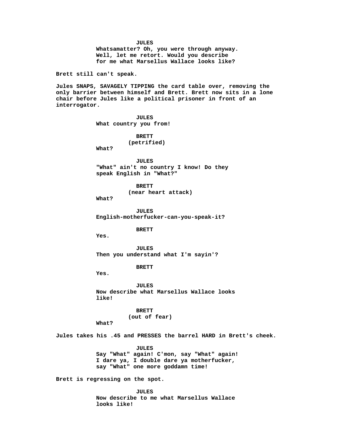**JULES Whatsamatter? Oh, you were through anyway. Well, let me retort. Would you describe for me what Marsellus Wallace looks like?**

**Brett still can't speak.**

**Jules SNAPS, SAVAGELY TIPPING the card table over, removing the only barrier between himself and Brett. Brett now sits in a lone chair before Jules like a political prisoner in front of an interrogator.**

> **JULES What country you from!**

> > **BRETT (petrified)**

**What?**

**JULES "What" ain't no country I know! Do they speak English in "What?"**

> **BRETT (near heart attack)**

**What?**

**JULES English-motherfucker-can-you-speak-it?**

**BRETT**

**Yes.**

**JULES Then you understand what I'm sayin'?**

**BRETT**

**Yes.**

**JULES Now describe what Marsellus Wallace looks like!**

> **BRETT (out of fear)**

**What?**

**Jules takes his .45 and PRESSES the barrel HARD in Brett's cheek.**

**JULES Say "What" again! C'mon, say "What" again! I dare ya, I double dare ya motherfucker, say "What" one more goddamn time!**

**Brett is regressing on the spot.**

**JULES Now describe to me what Marsellus Wallace looks like!**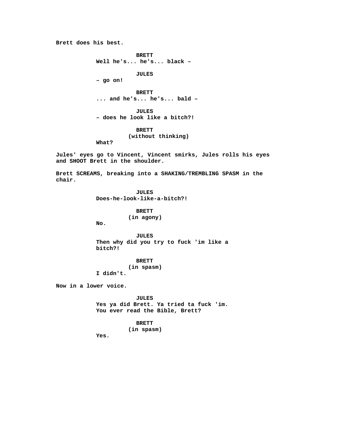**Brett does his best.**

**BRETT Well he's... he's... black – JULES**

**– go on!**

**BRETT ... and he's... he's... bald –**

**JULES – does he look like a bitch?!**

> **BRETT (without thinking)**

**What?**

**Jules' eyes go to Vincent, Vincent smirks, Jules rolls his eyes and SHOOT Brett in the shoulder.**

**Brett SCREAMS, breaking into a SHAKING/TREMBLING SPASM in the chair.**

> **JULES Does-he-look-like-a-bitch?!**

> > **BRETT (in agony)**

**No.**

**JULES Then why did you try to fuck 'im like a bitch?!**

**BRETT (in spasm) I didn't.**

**Now in a lower voice.**

**JULES Yes ya did Brett. Ya tried ta fuck 'im. You ever read the Bible, Brett?**

# **BRETT**

**(in spasm)**

**Yes.**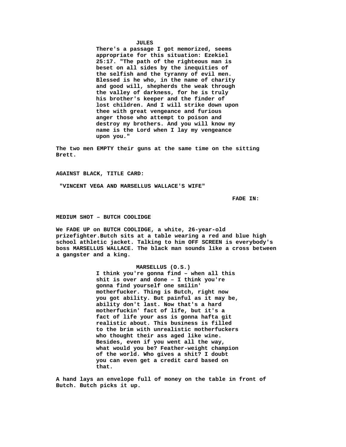#### **JULES**

**There's a passage I got memorized, seems appropriate for this situation: Ezekiel 25:17. "The path of the righteous man is beset on all sides by the inequities of the selfish and the tyranny of evil men. Blessed is he who, in the name of charity and good will, shepherds the weak through the valley of darkness, for he is truly his brother's keeper and the finder of lost children. And I will strike down upon thee with great vengeance and furious anger those who attempt to poison and destroy my brothers. And you will know my name is the Lord when I lay my vengeance upon you."**

**The two men EMPTY their guns at the same time on the sitting Brett.**

# **AGAINST BLACK, TITLE CARD:**

 **"VINCENT VEGA AND MARSELLUS WALLACE'S WIFE"**

**FADE IN:**

## **MEDIUM SHOT – BUTCH COOLIDGE**

**We FADE UP on BUTCH COOLIDGE, a white, 26-year-old prizefighter.Butch sits at a table wearing a red and blue high school athletic jacket. Talking to him OFF SCREEN is everybody's boss MARSELLUS WALLACE. The black man sounds like a cross between a gangster and a king.**

# **MARSELLUS (O.S.)**

**I think you're gonna find – when all this shit is over and done – I think you're gonna find yourself one smilin' motherfucker. Thing is Butch, right now you got ability. But painful as it may be, ability don't last. Now that's a hard motherfuckin' fact of life, but it's a fact of life your ass is gonna hafta git realistic about. This business is filled to the brim with unrealistic motherfuckers who thought their ass aged like wine. Besides, even if you went all the way, what would you be? Feather-weight champion of the world. Who gives a shit? I doubt you can even get a credit card based on that.**

**A hand lays an envelope full of money on the table in front of Butch. Butch picks it up.**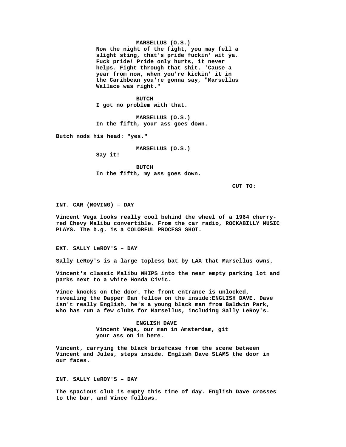# **MARSELLUS (O.S.)**

**Now the night of the fight, you may fell a slight sting, that's pride fuckin' wit ya. Fuck pride! Pride only hurts, it never helps. Fight through that shit. 'Cause a year from now, when you're kickin' it in the Caribbean you're gonna say, "Marsellus Wallace was right."**

**BUTCH I got no problem with that.**

**MARSELLUS (O.S.) In the fifth, your ass goes down.**

**Butch nods his head: "yes."**

**MARSELLUS (O.S.)**

**Say it!**

**BUTCH In the fifth, my ass goes down.**

**CUT TO:**

**INT. CAR (MOVING) – DAY**

**Vincent Vega looks really cool behind the wheel of a 1964 cherryred Chevy Malibu convertible. From the car radio, ROCKABILLY MUSIC PLAYS. The b.g. is a COLORFUL PROCESS SHOT.**

**EXT. SALLY LeROY'S – DAY**

**Sally LeRoy's is a large topless bat by LAX that Marsellus owns.**

**Vincent's classic Malibu WHIPS into the near empty parking lot and parks next to a white Honda Civic.**

**Vince knocks on the door. The front entrance is unlocked, revealing the Dapper Dan fellow on the inside:ENGLISH DAVE. Dave isn't really English, he's a young black man from Baldwin Park, who has run a few clubs for Marsellus, including Sally LeRoy's.**

> **ENGLISH DAVE Vincent Vega, our man in Amsterdam, git your ass on in here.**

**Vincent, carrying the black briefcase from the scene between Vincent and Jules, steps inside. English Dave SLAMS the door in our faces.**

**INT. SALLY LeROY'S – DAY**

**The spacious club is empty this time of day. English Dave crosses to the bar, and Vince follows.**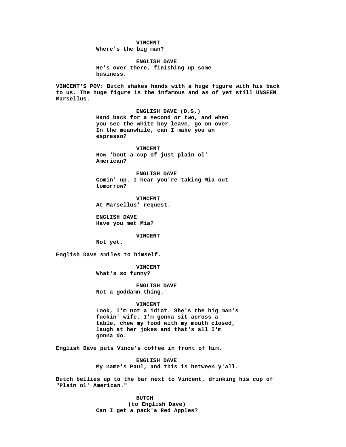**VINCENT Where's the big man?**

**ENGLISH DAVE He's over there, finishing up some business.**

**VINCENT'S POV: Butch shakes hands with a huge figure with his back to us. The huge figure is the infamous and as of yet still UNSEEN Marsellus.**

> **ENGLISH DAVE (O.S.) Hand back for a second or two, and when you see the white boy leave, go on over. In the meanwhile, can I make you an espresso?**

**VINCENT How 'bout a cup of just plain ol' American?**

**ENGLISH DAVE Comin' up. I hear you're taking Mia out tomorrow?**

**VINCENT At Marsellus' request.**

**ENGLISH DAVE Have you met Mia?**

**VINCENT**

**Not yet.**

**English Dave smiles to himself.**

**VINCENT**

**What's so funny?**

**ENGLISH DAVE Not a goddamn thing.**

**VINCENT**

**Look, I'm not a idiot. She's the big man's fuckin' wife. I'm gonna sit across a table, chew my food with my mouth closed, laugh at her jokes and that's all I'm gonna do.**

**English Dave puts Vince's coffee in front of him.**

**ENGLISH DAVE My name's Paul, and this is between y'all.**

**Butch bellies up to the bar next to Vincent, drinking his cup of "Plain ol' American."**

> **BUTCH (to English Dave) Can I get a pack'a Red Apples?**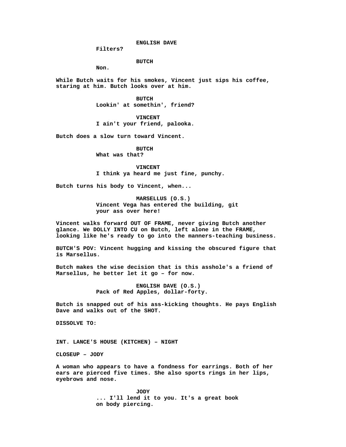**ENGLISH DAVE**

**Filters?**

**BUTCH**

**Non.**

**While Butch waits for his smokes, Vincent just sips his coffee, staring at him. Butch looks over at him.**

> **BUTCH Lookin' at somethin', friend?**

> **VINCENT I ain't your friend, palooka.**

**Butch does a slow turn toward Vincent.**

**BUTCH**

**What was that?**

**VINCENT I think ya heard me just fine, punchy.**

**Butch turns his body to Vincent, when...**

**MARSELLUS (O.S.) Vincent Vega has entered the building, git your ass over here!**

**Vincent walks forward OUT OF FRAME, never giving Butch another glance. We DOLLY INTO CU on Butch, left alone in the FRAME, looking like he's ready to go into the manners-teaching business.**

**BUTCH'S POV: Vincent hugging and kissing the obscured figure that is Marsellus.**

**Butch makes the wise decision that is this asshole's a friend of Marsellus, he better let it go – for now.**

> **ENGLISH DAVE (O.S.) Pack of Red Apples, dollar-forty.**

**Butch is snapped out of his ass-kicking thoughts. He pays English Dave and walks out of the SHOT.**

**DISSOLVE TO:**

**INT. LANCE'S HOUSE (KITCHEN) – NIGHT**

**CLOSEUP – JODY**

**A woman who appears to have a fondness for earrings. Both of her ears are pierced five times. She also sports rings in her lips, eyebrows and nose.**

> **JODY ... I'll lend it to you. It's a great book on body piercing.**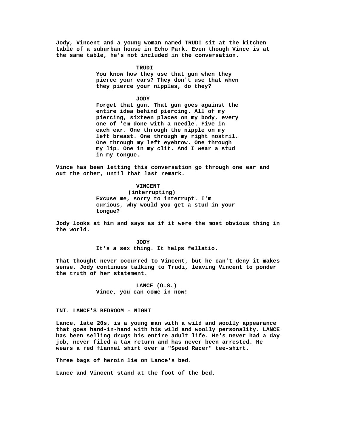**Jody, Vincent and a young woman named TRUDI sit at the kitchen table of a suburban house in Echo Park. Even though Vince is at the same table, he's not included in the conversation.**

**TRUDI**

**You know how they use that gun when they pierce your ears? They don't use that when they pierce your nipples, do they?**

**JODY**

**Forget that gun. That gun goes against the entire idea behind piercing. All of my piercing, sixteen places on my body, every one of 'em done with a needle. Five in each ear. One through the nipple on my left breast. One through my right nostril. One through my left eyebrow. One through my lip. One in my clit. And I wear a stud in my tongue.**

**Vince has been letting this conversation go through one ear and out the other, until that last remark.**

#### **VINCENT**

**(interrupting) Excuse me, sorry to interrupt. I'm curious, why would you get a stud in your tongue?**

**Jody looks at him and says as if it were the most obvious thing in the world.**

> **JODY It's a sex thing. It helps fellatio.**

**That thought never occurred to Vincent, but he can't deny it makes sense. Jody continues talking to Trudi, leaving Vincent to ponder the truth of her statement.**

> **LANCE (O.S.) Vince, you can come in now!**

**INT. LANCE'S BEDROOM – NIGHT**

**Lance, late 20s, is a young man with a wild and woolly appearance that goes hand-in-hand with his wild and woolly personality. LANCE has been selling drugs his entire adult life. He's never had a day job, never filed a tax return and has never been arrested. He wears a red flannel shirt over a "Speed Racer" tee-shirt.**

**Three bags of heroin lie on Lance's bed.**

**Lance and Vincent stand at the foot of the bed.**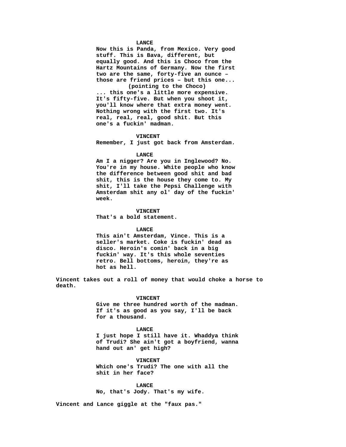#### **LANCE**

**Now this is Panda, from Mexico. Very good stuff. This is Bava, different, but equally good. And this is Choco from the Hartz Mountains of Germany. Now the first two are the same, forty-five an ounce – those are friend prices – but this one...**

**(pointing to the Choco) ... this one's a little more expensive. It's fifty-five. But when you shoot it, you'll know where that extra money went. Nothing wrong with the first two. It's real, real, real, good shit. But this one's a fuckin' madman.**

# **VINCENT**

**Remember, I just got back from Amsterdam.**

## **LANCE**

**Am I a nigger? Are you in Inglewood? No. You're in my house. White people who know the difference between good shit and bad shit, this is the house they come to. My shit, I'll take the Pepsi Challenge with Amsterdam shit any ol' day of the fuckin' week.**

**VINCENT That's a bold statement.**

# **LANCE**

**This ain't Amsterdam, Vince. This is a seller's market. Coke is fuckin' dead as disco. Heroin's comin' back in a big fuckin' way. It's this whole seventies retro. Bell bottoms, heroin, they're as hot as hell.**

**Vincent takes out a roll of money that would choke a horse to death.**

## **VINCENT**

**Give me three hundred worth of the madman. If it's as good as you say, I'll be back for a thousand.**

**LANCE I just hope I still have it. Whaddya think of Trudi? She ain't got a boyfriend, wanna hand out an' get high?**

**VINCENT Which one's Trudi? The one with all the shit in her face?**

**LANCE No, that's Jody. That's my wife.**

**Vincent and Lance giggle at the "faux pas."**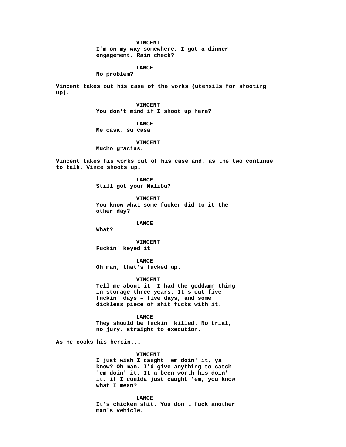**VINCENT**

**I'm on my way somewhere. I got a dinner engagement. Rain check?**

**LANCE**

**No problem?**

**Vincent takes out his case of the works (utensils for shooting up).**

> **VINCENT You don't mind if I shoot up here?**

**LANCE Me casa, su casa.**

**VINCENT**

**Mucho gracias.**

**Vincent takes his works out of his case and, as the two continue to talk, Vince shoots up.**

> **LANCE Still got your Malibu?**

**VINCENT You know what some fucker did to it the other day?**

**LANCE**

**What?**

**VINCENT Fuckin' keyed it.**

**LANCE Oh man, that's fucked up.**

**VINCENT**

**Tell me about it. I had the goddamn thing in storage three years. It's out five fuckin' days – five days, and some dickless piece of shit fucks with it.**

**LANCE They should be fuckin' killed. No trial, no jury, straight to execution.**

**As he cooks his heroin...**

#### **VINCENT**

**I just wish I caught 'em doin' it, ya know? Oh man, I'd give anything to catch 'em doin' it. It'a been worth his doin' it, if I coulda just caught 'em, you know what I mean?**

**LANCE It's chicken shit. You don't fuck another man's vehicle.**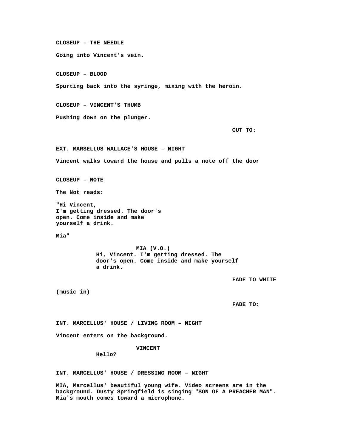```
CLOSEUP – THE NEEDLE
Going into Vincent's vein.
CLOSEUP – BLOOD
Spurting back into the syringe, mixing with the heroin.
CLOSEUP – VINCENT'S THUMB
Pushing down on the plunger.
                                                     CUT TO:
EXT. MARSELLUS WALLACE'S HOUSE – NIGHT
Vincent walks toward the house and pulls a note off the door
CLOSEUP – NOTE
The Not reads:
"Hi Vincent,
I'm getting dressed. The door's
open. Come inside and make
yourself a drink.
Mia"
                       MIA (V.O.)
            Hi, Vincent. I'm getting dressed. The
            door's open. Come inside and make yourself
            a drink.
                                                     FADE TO WHITE
(music in)
                                                     FADE TO:
INT. MARCELLUS' HOUSE / LIVING ROOM – NIGHT
Vincent enters on the background.
                        VINCENT
            Hello?
INT. MARCELLUS' HOUSE / DRESSING ROOM – NIGHT
MIA, Marcellus' beautiful young wife. Video screens are in the
```
**background. Dusty Springfield is singing "SON OF A PREACHER MAN". Mia's mouth comes toward a microphone.**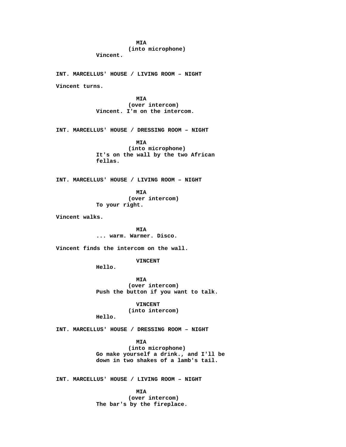**MIA**

**(into microphone)**

**Vincent.**

**INT. MARCELLUS' HOUSE / LIVING ROOM – NIGHT**

**Vincent turns.**

**MIA (over intercom) Vincent. I'm on the intercom.**

**INT. MARCELLUS' HOUSE / DRESSING ROOM – NIGHT**

**MIA (into microphone) It's on the wall by the two African fellas.**

**INT. MARCELLUS' HOUSE / LIVING ROOM – NIGHT**

**MIA (over intercom) To your right.**

**Vincent walks.**

**MIA ... warm. Warmer. Disco.**

**Vincent finds the intercom on the wall.**

**VINCENT**

**Hello.**

**MIA (over intercom) Push the button if you want to talk.**

> **VINCENT (into intercom)**

**Hello.**

**INT. MARCELLUS' HOUSE / DRESSING ROOM – NIGHT**

**MIA (into microphone) Go make yourself a drink., and I'll be down in two shakes of a lamb's tail.**

**INT. MARCELLUS' HOUSE / LIVING ROOM – NIGHT**

**MIA (over intercom) The bar's by the fireplace.**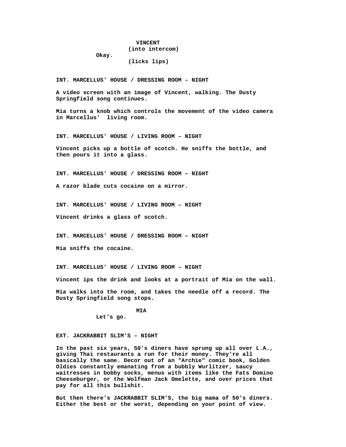# **VINCENT (into intercom)**

**Okay.**

**(licks lips)**

**INT. MARCELLUS' HOUSE / DRESSING ROOM – NIGHT**

**A video screen with an image of Vincent, walking. The Dusty Springfield song continues.**

**Mia turns a knob which controls the movement of the video camera in Marcellus' living room.**

**INT. MARCELLUS' HOUSE / LIVING ROOM – NIGHT**

**Vincent picks up a bottle of scotch. He sniffs the bottle, and then pours it into a glass.**

**INT. MARCELLUS' HOUSE / DRESSING ROOM – NIGHT**

**A razor blade cuts cocaine on a mirror.**

**INT. MARCELLUS' HOUSE / LIVING ROOM – NIGHT**

**Vincent drinks a glass of scotch.**

**INT. MARCELLUS' HOUSE / DRESSING ROOM – NIGHT**

**Mia sniffs the cocaine.**

**INT. MARCELLUS' HOUSE / LIVING ROOM – NIGHT**

**Vincent ips the drink and looks at a portrait of Mia on the wall.**

**Mia walks into the room, and takes the needle off a record. The Dusty Springfield song stops.**

> **MIA Let's go.**

**EXT. JACKRABBIT SLIM'S – NIGHT**

**In the past six years, 50's diners have sprung up all over L.A., giving Thai restaurants a run for their money. They're all basically the same. Decor out of an "Archie" comic book, Golden Oldies constantly emanating from a bubbly Wurlitzer, saucy waitresses in bobby socks, menus with items like the Fats Domino Cheeseburger, or the Wolfman Jack Omelette, and over prices that pay for all this bullshit.**

**But then there's JACKRABBIT SLIM'S, the big mama of 50's diners. Either the best or the worst, depending on your point of view.**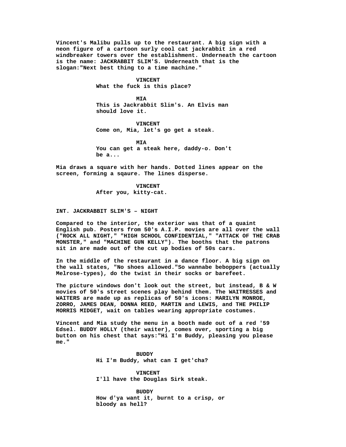**Vincent's Malibu pulls up to the restaurant. A big sign with a neon figure of a cartoon surly cool cat jackrabbit in a red windbreaker towers over the establishment. Underneath the cartoon is the name: JACKRABBIT SLIM'S. Underneath that is the slogan:"Next best thing to a time machine."**

> **VINCENT What the fuck is this place?**

**MIA This is Jackrabbit Slim's. An Elvis man should love it.**

**VINCENT Come on, Mia, let's go get a steak.**

**MIA You can get a steak here, daddy-o. Don't be a...**

**Mia draws a square with her hands. Dotted lines appear on the screen, forming a sqaure. The lines disperse.**

> **VINCENT After you, kitty-cat.**

**INT. JACKRABBIT SLIM'S – NIGHT**

**Compared to the interior, the exterior was that of a quaint English pub. Posters from 50's A.I.P. movies are all over the wall ("ROCK ALL NIGHT," "HIGH SCHOOL CONFIDENTIAL," "ATTACK OF THE CRAB MONSTER," and "MACHINE GUN KELLY"). The booths that the patrons sit in are made out of the cut up bodies of 50s cars.**

**In the middle of the restaurant in a dance floor. A big sign on the wall states, "No shoes allowed."So wannabe beboppers (actually Melrose-types), do the twist in their socks or barefeet.**

**The picture windows don't look out the street, but instead, B & W movies of 50's street scenes play behind them. The WAITRESSES and WAITERS are made up as replicas of 50's icons: MARILYN MONROE, ZORRO, JAMES DEAN, DONNA REED, MARTIN and LEWIS, and THE PHILIP MORRIS MIDGET, wait on tables wearing appropriate costumes.**

**Vincent and Mia study the menu in a booth made out of a red '59 Edsel. BUDDY HOLLY (their waiter), comes over, sporting a big button on his chest that says:"Hi I'm Buddy, pleasing you please me."**

> **BUDDY Hi I'm Buddy, what can I get'cha?**

> **VINCENT I'll have the Douglas Sirk steak.**

**BUDDY How d'ya want it, burnt to a crisp, or bloody as hell?**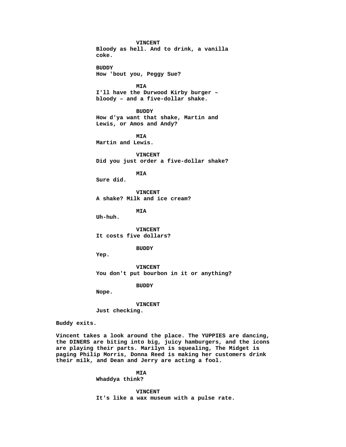**VINCENT Bloody as hell. And to drink, a vanilla coke. BUDDY How 'bout you, Peggy Sue? MIA I'll have the Durwood Kirby burger – bloody – and a five-dollar shake. BUDDY How d'ya want that shake, Martin and Lewis, or Amos and Andy? MIA Martin and Lewis. VINCENT Did you just order a five-dollar shake? MIA Sure did. VINCENT A shake? Milk and ice cream? MIA Uh-huh. VINCENT It costs five dollars?**

**BUDDY**

**Yep.**

**VINCENT You don't put bourbon in it or anything?**

**BUDDY**

**Nope.**

**VINCENT Just checking.**

**Buddy exits.**

**Vincent takes a look around the place. The YUPPIES are dancing, the DINERS are biting into big, juicy hamburgers, and the icons are playing their parts. Marilyn is squealing, The Midget is paging Philip Morris, Donna Reed is making her customers drink their milk, and Dean and Jerry are acting a fool.**

> **MIA Whaddya think?**

**VINCENT It's like a wax museum with a pulse rate.**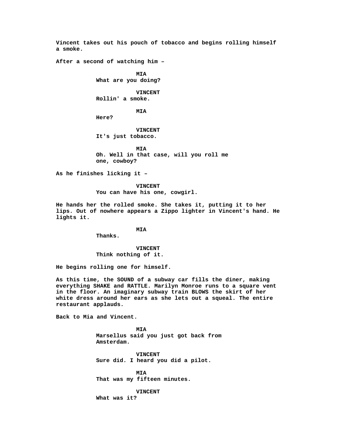**Vincent takes out his pouch of tobacco and begins rolling himself a smoke.**

**After a second of watching him –**

**MIA What are you doing?**

**VINCENT Rollin' a smoke.**

**MIA**

**Here?**

**VINCENT**

**It's just tobacco.**

**MIA Oh. Well in that case, will you roll me one, cowboy?**

**As he finishes licking it –**

**VINCENT You can have his one, cowgirl.**

**He hands her the rolled smoke. She takes it, putting it to her lips. Out of nowhere appears a Zippo lighter in Vincent's hand. He lights it.**

**MIA**

**Thanks.**

**VINCENT Think nothing of it.**

**He begins rolling one for himself.**

**As this time, the SOUND of a subway car fills the diner, making everything SHAKE and RATTLE. Marilyn Monroe runs to a square vent in the floor. An imaginary subway train BLOWS the skirt of her white dress around her ears as she lets out a squeal. The entire restaurant applauds.**

**Back to Mia and Vincent.**

**MIA Marsellus said you just got back from Amsterdam. VINCENT Sure did. I heard you did a pilot. MIA That was my fifteen minutes. VINCENT What was it?**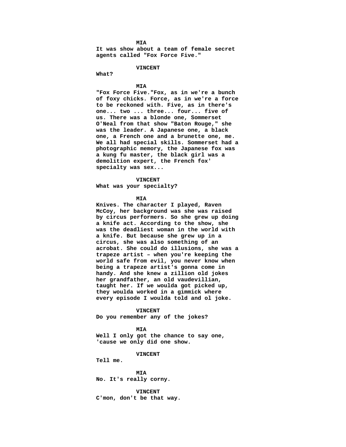**MIA It was show about a team of female secret agents called "Fox Force Five."**

**VINCENT**

**What?**

**MIA**

**"Fox Force Five."Fox, as in we're a bunch of foxy chicks. Force, as in we're a force to be reckoned with. Five, as in there's one... two ... three... four... five of us. There was a blonde one, Sommerset O'Neal from that show "Baton Rouge," she was the leader. A Japanese one, a black one, a French one and a brunette one, me. We all had special skills. Sommerset had a photographic memory, the Japanese fox was a kung fu master, the black girl was a demolition expert, the French fox' specialty was sex...**

#### **VINCENT**

**What was your specialty?**

# **MIA**

**Knives. The character I played, Raven McCoy, her background was she was raised by circus performers. So she grew up doing a knife act. According to the show, she was the deadliest woman in the world with a knife. But because she grew up in a circus, she was also something of an acrobat. She could do illusions, she was a trapeze artist – when you're keeping the world safe from evil, you never know when being a trapeze artist's gonna come in handy. And she knew a zillion old jokes her grandfather, an old vaudevillian, taught her. If we woulda got picked up, they woulda worked in a gimmick where every episode I woulda told and ol joke.**

### **VINCENT**

**Do you remember any of the jokes?**

#### **MIA**

**Well I only got the chance to say one, 'cause we only did one show.**

## **VINCENT**

**Tell me.**

**MIA No. It's really corny.**

**VINCENT C'mon, don't be that way.**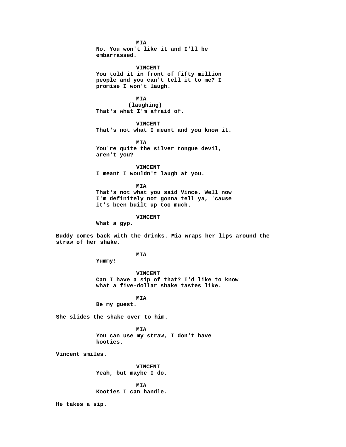**MIA No. You won't like it and I'll be embarrassed.**

**VINCENT You told it in front of fifty million people and you can't tell it to me? I promise I won't laugh.**

**MIA (laughing) That's what I'm afraid of.**

**VINCENT That's not what I meant and you know it.**

**MIA You're quite the silver tongue devil, aren't you?**

**VINCENT I meant I wouldn't laugh at you.**

**MIA That's not what you said Vince. Well now I'm definitely not gonna tell ya, 'cause it's been built up too much.**

**VINCENT**

**What a gyp.**

**Buddy comes back with the drinks. Mia wraps her lips around the straw of her shake.**

**MIA**

**Yummy!**

**VINCENT Can I have a sip of that? I'd like to know what a five-dollar shake tastes like.**

**MIA Be my guest.**

**She slides the shake over to him.**

**MIA You can use my straw, I don't have kooties.**

**Vincent smiles.**

**VINCENT Yeah, but maybe I do.**

**MIA Kooties I can handle.**

**He takes a sip.**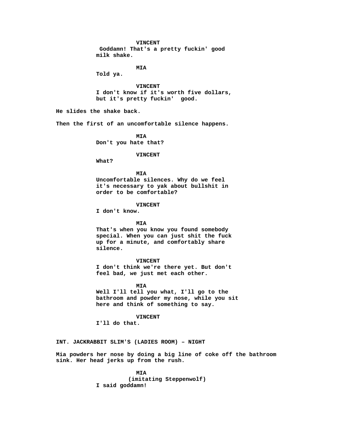**VINCENT Goddamn! That's a pretty fuckin' good milk shake.**

**MIA**

**Told ya.**

**VINCENT I don't know if it's worth five dollars, but it's pretty fuckin' good.**

**He slides the shake back.**

**Then the first of an uncomfortable silence happens.**

**MIA Don't you hate that?**

#### **VINCENT**

**What?**

# **MIA**

**Uncomfortable silences. Why do we feel it's necessary to yak about bullshit in order to be comfortable?**

# **VINCENT**

**I don't know.**

#### **MIA**

**That's when you know you found somebody special. When you can just shit the fuck up for a minute, and comfortably share silence.**

#### **VINCENT**

**I don't think we're there yet. But don't feel bad, we just met each other.**

**MIA**

**Well I'll tell you what, I'll go to the bathroom and powder my nose, while you sit here and think of something to say.**

#### **VINCENT**

**I'll do that.**

# **INT. JACKRABBIT SLIM'S (LADIES ROOM) – NIGHT**

**Mia powders her nose by doing a big line of coke off the bathroom sink. Her head jerks up from the rush.**

> **MIA (imitating Steppenwolf) I said goddamn!**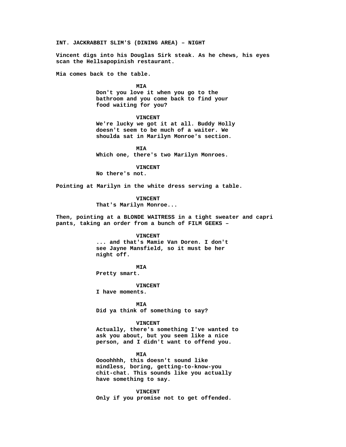**INT. JACKRABBIT SLIM'S (DINING AREA) – NIGHT**

**Vincent digs into his Douglas Sirk steak. As he chews, his eyes scan the Hellsapopinish restaurant.**

**Mia comes back to the table.**

**MIA**

**Don't you love it when you go to the bathroom and you come back to find your food waiting for you?**

**VINCENT**

**We're lucky we got it at all. Buddy Holly doesn't seem to be much of a waiter. We shoulda sat in Marilyn Monroe's section.**

**MIA Which one, there's two Marilyn Monroes.**

**VINCENT No there's not.**

**Pointing at Marilyn in the white dress serving a table.**

**VINCENT That's Marilyn Monroe...**

**Then, pointing at a BLONDE WAITRESS in a tight sweater and capri pants, taking an order from a bunch of FILM GEEKS –**

#### **VINCENT**

**... and that's Mamie Van Doren. I don't see Jayne Mansfield, so it must be her night off.**

**MIA**

**Pretty smart.**

**VINCENT**

**I have moments.**

**MIA Did ya think of something to say?**

#### **VINCENT**

**Actually, there's something I've wanted to ask you about, but you seem like a nice person, and I didn't want to offend you.**

# **MIA**

**Oooohhhh, this doesn't sound like mindless, boring, getting-to-know-you chit-chat. This sounds like you actually have something to say.**

**VINCENT Only if you promise not to get offended.**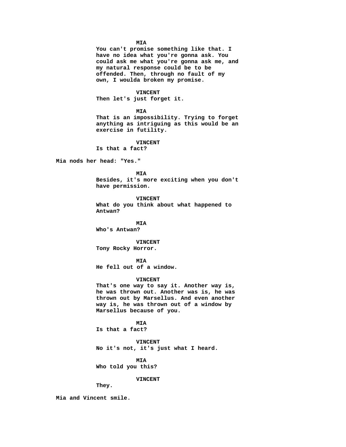#### **MIA**

**You can't promise something like that. I have no idea what you're gonna ask. You could ask me what you're gonna ask me, and my natural response could be to be offended. Then, through no fault of my own, I woulda broken my promise.**

#### **VINCENT**

**Then let's just forget it.**

#### **MIA**

**That is an impossibility. Trying to forget anything as intriguing as this would be an exercise in futility.**

**VINCENT**

**Is that a fact?**

**Mia nods her head: "Yes."**

# **MIA**

**Besides, it's more exciting when you don't have permission.**

**VINCENT What do you think about what happened to Antwan?**

**MIA Who's Antwan?**

**VINCENT Tony Rocky Horror.**

**MIA He fell out of a window.**

#### **VINCENT**

**That's one way to say it. Another way is, he was thrown out. Another was is, he was thrown out by Marsellus. And even another way is, he was thrown out of a window by Marsellus because of you.**

**MIA Is that a fact?**

**VINCENT No it's not, it's just what I heard.**

**MIA Who told you this?**

**VINCENT**

**They.**

**Mia and Vincent smile.**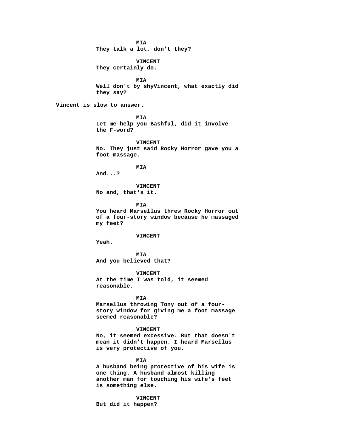**MIA**

**They talk a lot, don't they?**

**VINCENT**

**They certainly do.**

**MIA Well don't by shyVincent, what exactly did they say?**

**Vincent is slow to answer.**

**MIA Let me help you Bashful, did it involve the F-word?**

**VINCENT No. They just said Rocky Horror gave you a foot massage.**

**And...?**

**VINCENT No and, that's it.**

**MIA**

**MIA You heard Marsellus threw Rocky Horror out of a four-story window because he massaged my feet?**

# **VINCENT**

**Yeah.**

**MIA And you believed that?**

**VINCENT At the time I was told, it seemed reasonable.**

**MIA**

**Marsellus throwing Tony out of a fourstory window for giving me a foot massage seemed reasonable?**

**VINCENT No, it seemed excessive. But that doesn't mean it didn't happen. I heard Marsellus is very protective of you.**

**MIA**

**A husband being protective of his wife is one thing. A husband almost killing another man for touching his wife's feet is something else.**

**VINCENT But did it happen?**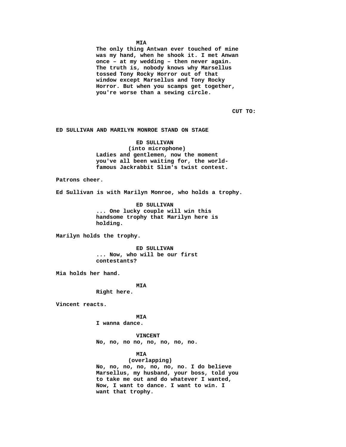**MIA**

**The only thing Antwan ever touched of mine was my hand, when he shook it. I met Anwan once – at my wedding – then never again. The truth is, nobody knows why Marsellus tossed Tony Rocky Horror out of that window except Marsellus and Tony Rocky Horror. But when you scamps get together, you're worse than a sewing circle.**

**CUT TO:**

**ED SULLIVAN AND MARILYN MONROE STAND ON STAGE**

# **ED SULLIVAN**

**(into microphone) Ladies and gentlemen, now the moment you've all been waiting for, the worldfamous Jackrabbit Slim's twist contest.**

**Patrons cheer.**

**Ed Sullivan is with Marilyn Monroe, who holds a trophy.**

**ED SULLIVAN ... One lucky couple will win this handsome trophy that Marilyn here is holding.**

**Marilyn holds the trophy.**

**ED SULLIVAN ... Now, who will be our first contestants?**

**Mia holds her hand.**

**MIA**

**Right here.**

**Vincent reacts.**

**MIA I wanna dance.**

**VINCENT No, no, no no, no, no, no, no.**

# **MIA**

**(overlapping) No, no, no, no, no, no, no. I do believe Marsellus, my husband, your boss, told you to take me out and do whatever I wanted, Now, I want to dance. I want to win. I want that trophy.**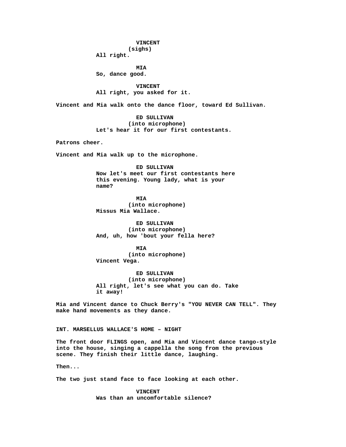**VINCENT**

**(sighs)**

**All right.**

**MIA So, dance good.**

**VINCENT All right, you asked for it.**

**Vincent and Mia walk onto the dance floor, toward Ed Sullivan.**

**ED SULLIVAN (into microphone) Let's hear it for our first contestants.**

**Patrons cheer.**

**Vincent and Mia walk up to the microphone.**

**ED SULLIVAN Now let's meet our first contestants here this evening. Young lady, what is your name?**

**MIA (into microphone) Missus Mia Wallace.**

**ED SULLIVAN (into microphone) And, uh, how 'bout your fella here?**

**MIA**

**(into microphone) Vincent Vega.**

**ED SULLIVAN (into microphone) All right, let's see what you can do. Take it away!**

**Mia and Vincent dance to Chuck Berry's "YOU NEVER CAN TELL". They make hand movements as they dance.**

**INT. MARSELLUS WALLACE'S HOME – NIGHT**

**The front door FLINGS open, and Mia and Vincent dance tango-style into the house, singing a cappella the song from the previous scene. They finish their little dance, laughing.**

**Then...**

**The two just stand face to face looking at each other.**

**VINCENT Was than an uncomfortable silence?**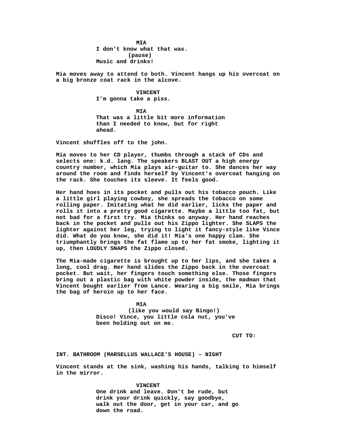**MIA I don't know what that was. (pause) Music and drinks!**

**Mia moves away to attend to both. Vincent hangs up his overcoat on a big bronze coat rack in the alcove.**

> **VINCENT I'm gonna take a piss.**

**MIA That was a little bit more information than I needed to know, but for right ahead.**

**Vincent shuffles off to the john.**

**Mia moves to her CD player, thumbs through a stack of CDs and selects one: k.d. lang. The speakers BLAST OUT a high energy country number, which Mia plays air-guitar to. She dances her way around the room and finds herself by Vincent's overcoat hanging on the rack. She touches its sleeve. It feels good.**

**Her hand hoes in its pocket and pulls out his tobacco pouch. Like a little girl playing cowboy, she spreads the tobacco on some rolling paper. Imitating what he did earlier, licks the paper and rolls it into a pretty good cigarette. Maybe a little too fat, but not bad for a first try. Mia thinks so anyway. Her hand reaches back in the pocket and pulls out his Zippo lighter. She SLAPS the lighter against her leg, trying to light it fancy-style like Vince did. What do you know, she did it! Mia's one happy clam. She triumphantly brings the fat flame up to her fat smoke, lighting it up, then LOUDLY SNAPS the Zippo closed.**

**The Mia-made cigarette is brought up to her lips, and she takes a long, cool drag. Her hand slides the Zippo back in the overcoat pocket. But wait, her fingers touch something else. Those fingers bring out a plastic bag with white powder inside, the madman that Vincent bought earlier from Lance. Wearing a big smile, Mia brings the bag of heroin up to her face.**

> **MIA (like you would say Bingo!) Disco! Vince, you little cola nut, you've been holding out on me.**

> > **CUT TO:**

**INT. BATHROOM (MARSELLUS WALLACE'S HOUSE) – NIGHT**

**Vincent stands at the sink, washing his hands, talking to himself in the mirror.**

#### **VINCENT**

**One drink and leave. Don't be rude, but drink your drink quickly, say goodbye, walk out the door, get in your car, and go down the road.**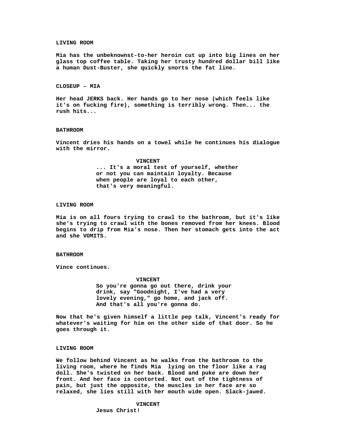#### **LIVING ROOM**

**Mia has the unbeknownst-to-her heroin cut up into big lines on her glass top coffee table. Taking her trusty hundred dollar bill like a human Dust-Buster, she quickly snorts the fat line.**

#### **CLOSEUP – MIA**

**Her head JERKS back. Her hands go to her nose (which feels like it's on fucking fire), something is terribly wrong. Then... the rush hits...**

# **BATHROOM**

**Vincent dries his hands on a towel while he continues his dialogue with the mirror.**

> **VINCENT ... It's a moral test of yourself, whether or not you can maintain loyalty. Because when people are loyal to each other, that's very meaningful.**

# **LIVING ROOM**

**Mia is on all fours trying to crawl to the bathroom, but it's like she's trying to crawl with the bones removed from her knees. Blood begins to drip from Mia's nose. Then her stomach gets into the act and she VOMITS.**

# **BATHROOM**

**Vince continues.**

**VINCENT So you're gonna go out there, drink your drink, say "Goodnight, I've had a very lovely evening," go home, and jack off. And that's all you're gonna do.**

**Now that he's given himself a little pep talk, Vincent's ready for whatever's waiting for him on the other side of that door. So he goes through it.**

#### **LIVING ROOM**

**We follow behind Vincent as he walks from the bathroom to the living room, where he finds Mia lying on the floor like a rag doll. She's twisted on her back. Blood and puke are down her front. And her face is contorted. Not out of the tightness of pain, but just the opposite, the muscles in her face are so relaxed, she lies still with her mouth wide open. Slack-jawed.**

> **VINCENT Jesus Christ!**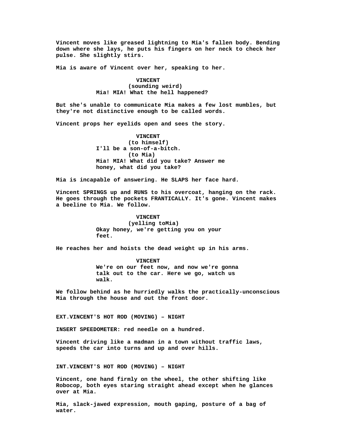**Vincent moves like greased lightning to Mia's fallen body. Bending down where she lays, he puts his fingers on her neck to check her pulse. She slightly stirs.**

**Mia is aware of Vincent over her, speaking to her.**

**VINCENT (sounding weird) Mia! MIA! What the hell happened?**

**But she's unable to communicate Mia makes a few lost mumbles, but they're not distinctive enough to be called words.**

**Vincent props her eyelids open and sees the story.**

**VINCENT (to himself) I'll be a son-of-a-bitch. (to Mia) Mia! MIA! What did you take? Answer me honey, what did you take?**

**Mia is incapable of answering. He SLAPS her face hard.**

**Vincent SPRINGS up and RUNS to his overcoat, hanging on the rack. He goes through the pockets FRANTICALLY. It's gone. Vincent makes a beeline to Mia. We follow.**

> **VINCENT (yelling toMia) Okay honey, we're getting you on your feet.**

**He reaches her and hoists the dead weight up in his arms.**

**VINCENT**

**We're on our feet now, and now we're gonna talk out to the car. Here we go, watch us walk.**

**We follow behind as he hurriedly walks the practically-unconscious Mia through the house and out the front door.**

**EXT.VINCENT'S HOT ROD (MOVING) – NIGHT**

**INSERT SPEEDOMETER: red needle on a hundred.**

**Vincent driving like a madman in a town without traffic laws, speeds the car into turns and up and over hills.**

**INT.VINCENT'S HOT ROD (MOVING) – NIGHT**

**Vincent, one hand firmly on the wheel, the other shifting like Robocop, both eyes staring straight ahead except when he glances over at Mia.**

**Mia, slack-jawed expression, mouth gaping, posture of a bag of water.**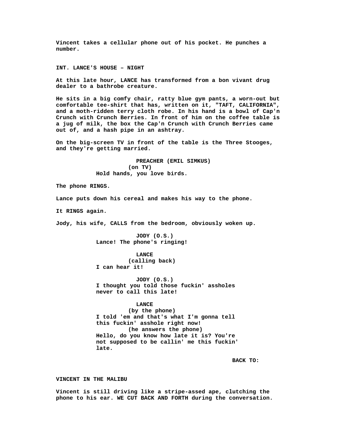**Vincent takes a cellular phone out of his pocket. He punches a number.**

**INT. LANCE'S HOUSE – NIGHT**

**At this late hour, LANCE has transformed from a bon vivant drug dealer to a bathrobe creature.**

**He sits in a big comfy chair, ratty blue gym pants, a worn-out but comfortable tee-shirt that has, written on it, "TAFT, CALIFORNIA", and a moth-ridden terry cloth robe. In his hand is a bowl of Cap'n Crunch with Crunch Berries. In front of him on the coffee table is a jug of milk, the box the Cap'n Crunch with Crunch Berries came out of, and a hash pipe in an ashtray.**

**On the big-screen TV in front of the table is the Three Stooges, and they're getting married.**

> **PREACHER (EMIL SIMKUS) (on TV) Hold hands, you love birds.**

**The phone RINGS.**

**Lance puts down his cereal and makes his way to the phone.**

**It RINGS again.**

**Jody, his wife, CALLS from the bedroom, obviously woken up.**

**JODY (O.S.) Lance! The phone's ringing!**

**LANCE (calling back) I can hear it!**

**JODY (O.S.) I thought you told those fuckin' assholes never to call this late!**

**LANCE (by the phone) I told 'em and that's what I'm gonna tell this fuckin' asshole right now! (he answers the phone) Hello, do you know how late it is? You're not supposed to be callin' me this fuckin' late.**

**BACK TO:**

**VINCENT IN THE MALIBU**

**Vincent is still driving like a stripe-assed ape, clutching the phone to his ear. WE CUT BACK AND FORTH during the conversation.**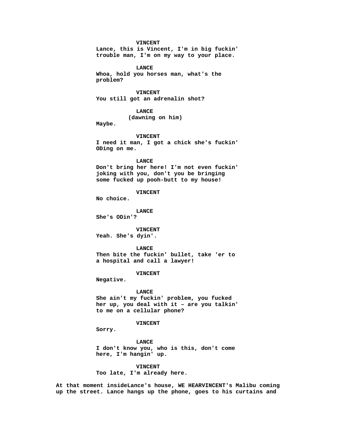**VINCENT**

**Lance, this is Vincent, I'm in big fuckin' trouble man, I'm on my way to your place.**

**LANCE Whoa, hold you horses man, what's the problem?**

**VINCENT You still got an adrenalin shot?**

> **LANCE (dawning on him)**

**Maybe.**

**VINCENT**

**I need it man, I got a chick she's fuckin' ODing on me.**

**LANCE**

**Don't bring her here! I'm not even fuckin' joking with you, don't you be bringing some fucked up pooh-butt to my house!**

**VINCENT**

**No choice.**

**LANCE**

**She's ODin'?**

**VINCENT Yeah. She's dyin'.**

**LANCE Then bite the fuckin' bullet, take 'er to a hospital and call a lawyer!**

**VINCENT**

**Negative.**

**LANCE She ain't my fuckin' problem, you fucked her up, you deal with it – are you talkin' to me on a cellular phone?**

**VINCENT**

**Sorry.**

**LANCE I don't know you, who is this, don't come here, I'm hangin' up.**

**VINCENT Too late, I'm already here.**

**At that moment insideLance's house, WE HEARVINCENT's Malibu coming up the street. Lance hangs up the phone, goes to his curtains and**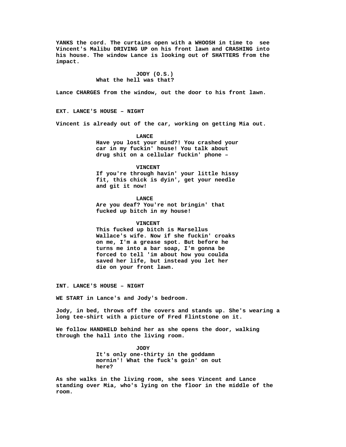**YANKS the cord. The curtains open with a WHOOSH in time to see Vincent's Malibu DRIVING UP on his front lawn and CRASHING into his house. The window Lance is looking out of SHATTERS from the impact.**

# **JODY (O.S.) What the hell was that?**

**Lance CHARGES from the window, out the door to his front lawn.**

**EXT. LANCE'S HOUSE – NIGHT**

**Vincent is already out of the car, working on getting Mia out.**

**LANCE**

**Have you lost your mind?! You crashed your car in my fuckin' house! You talk about drug shit on a cellular fuckin' phone –**

#### **VINCENT**

**If you're through havin' your little hissy fit, this chick is dyin', get your needle and git it now!**

**LANCE Are you deaf? You're not bringin' that fucked up bitch in my house!**

#### **VINCENT**

**This fucked up bitch is Marsellus Wallace's wife. Now if she fuckin' croaks on me, I'm a grease spot. But before he turns me into a bar soap, I'm gonna be forced to tell 'im about how you coulda saved her life, but instead you let her die on your front lawn.**

**INT. LANCE'S HOUSE – NIGHT**

**WE START in Lance's and Jody's bedroom.**

**Jody, in bed, throws off the covers and stands up. She's wearing a long tee-shirt with a picture of Fred Flintstone on it.**

**We follow HANDHELD behind her as she opens the door, walking through the hall into the living room.**

> **JODY It's only one-thirty in the goddamn mornin'! What the fuck's goin' on out here?**

**As she walks in the living room, she sees Vincent and Lance standing over Mia, who's lying on the floor in the middle of the room.**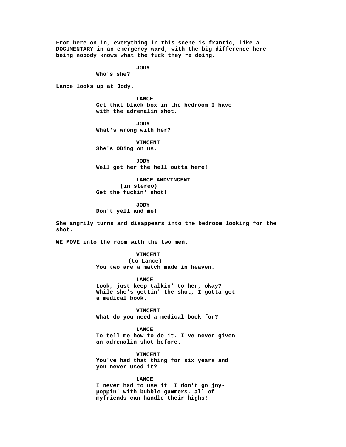**From here on in, everything in this scene is frantic, like a DOCUMENTARY in an emergency ward, with the big difference here being nobody knows what the fuck they're doing.**

**JODY**

**Who's she?**

**Lance looks up at Jody.**

**LANCE Get that black box in the bedroom I have with the adrenalin shot.**

**JODY What's wrong with her?**

**VINCENT She's ODing on us.**

**JODY Well get her the hell outta here!**

**LANCE ANDVINCENT (in stereo) Get the fuckin' shot!**

**JODY Don't yell and me!**

**She angrily turns and disappears into the bedroom looking for the shot.**

**WE MOVE into the room with the two men.**

**VINCENT (to Lance) You two are a match made in heaven.**

**LANCE Look, just keep talkin' to her, okay? While she's gettin' the shot, I gotta get a medical book.**

**VINCENT What do you need a medical book for?**

**LANCE To tell me how to do it. I've never given an adrenalin shot before.**

**VINCENT You've had that thing for six years and you never used it?**

**LANCE I never had to use it. I don't go joypoppin' with bubble-gummers, all of myfriends can handle their highs!**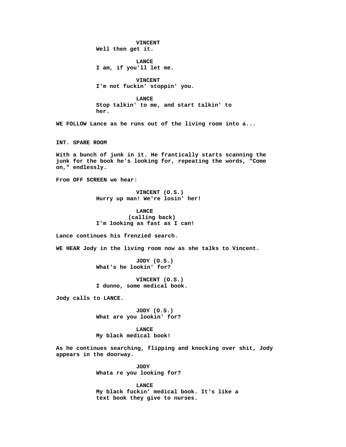**VINCENT Well then get it. LANCE I am, if you'll let me. VINCENT I'm not fuckin' stoppin' you. LANCE Stop talkin' to me, and start talkin' to her. WE FOLLOW Lance as he runs out of the living room into a... INT. SPARE ROOM With a bunch of junk in it. He frantically starts scanning the junk for the book he's looking for, repeating the words, "Come on," endlessly. From OFF SCREEN we hear: VINCENT (O.S.) Hurry up man! We're losin' her! LANCE (calling back) I'm looking as fast as I can! Lance continues his frenzied search. WE HEAR Jody in the living room now as she talks to Vincent. JODY (O.S.) What's he lookin' for? VINCENT (O.S.) I dunno, some medical book. Jody calls to LANCE. JODY (O.S.) What are you lookin' for? LANCE My black medical book! As he continues searching, flipping and knocking over shit, Jody appears in the doorway. JODY Whata re you looking for? LANCE My black fuckin' medical book. It's like a**

**text book they give to nurses.**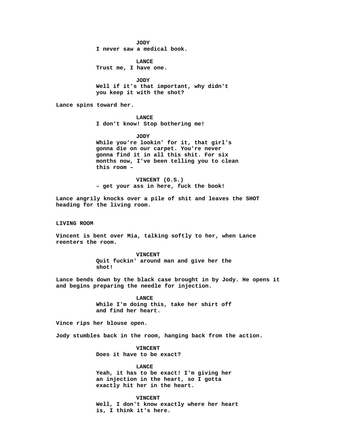**JODY**

**I never saw a medical book.**

**LANCE Trust me, I have one.**

**JODY Well if it's that important, why didn't you keep it with the shot?**

**Lance spins toward her.**

**LANCE I don't know! Stop bothering me!**

**JODY While you're lookin' for it, that girl's gonna die on our carpet. You're never gonna find it in all this shit. For six months now, I've been telling you to clean this room –**

**VINCENT (O.S.) – get your ass in here, fuck the book!**

**Lance angrily knocks over a pile of shit and leaves the SHOT heading for the living room.**

**LIVING ROOM**

**Vincent is bent over Mia, talking softly to her, when Lance reenters the room.**

> **VINCENT Quit fuckin' around man and give her the shot!**

**Lance bends down by the black case brought in by Jody. He opens it and begins preparing the needle for injection.**

> **LANCE While I'm doing this, take her shirt off and find her heart.**

**Vince rips her blouse open.**

**Jody stumbles back in the room, hanging back from the action.**

**VINCENT Does it have to be exact?**

**LANCE Yeah, it has to be exact! I'm giving her an injection in the heart, so I gotta exactly hit her in the heart.**

**VINCENT Well, I don't know exactly where her heart is, I think it's here.**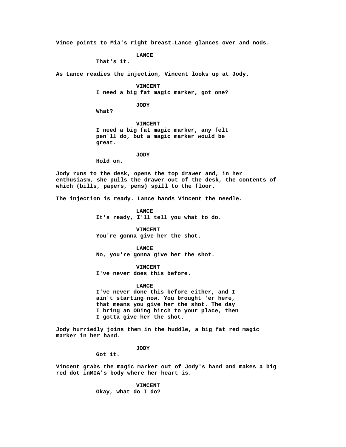**Vince points to Mia's right breast.Lance glances over and nods.**

**LANCE**

**That's it.**

**As Lance readies the injection, Vincent looks up at Jody.**

**VINCENT I need a big fat magic marker, got one?**

**JODY**

**What?**

**VINCENT I need a big fat magic marker, any felt pen'll do, but a magic marker would be great.**

**JODY**

**Hold on.**

**Jody runs to the desk, opens the top drawer and, in her enthusiasm, she pulls the drawer out of the desk, the contents of which (bills, papers, pens) spill to the floor.**

**The injection is ready. Lance hands Vincent the needle.**

**LANCE It's ready, I'll tell you what to do.**

**VINCENT You're gonna give her the shot.**

**LANCE No, you're gonna give her the shot.**

**VINCENT I've never does this before.**

**LANCE**

**I've never done this before either, and I ain't starting now. You brought 'er here, that means you give her the shot. The day I bring an ODing bitch to your place, then I gotta give her the shot.**

**Jody hurriedly joins them in the huddle, a big fat red magic marker in her hand.**

**JODY**

**Got it.**

**Vincent grabs the magic marker out of Jody's hand and makes a big red dot inMIA's body where her heart is.**

> **VINCENT Okay, what do I do?**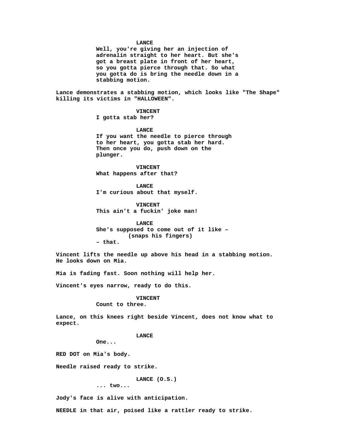#### **LANCE**

**Well, you're giving her an injection of adrenalin straight to her heart. But she's got a breast plate in front of her heart, so you gotta pierce through that. So what you gotta do is bring the needle down in a stabbing motion.**

**Lance demonstrates a stabbing motion, which looks like "The Shape" killing its victims in "HALLOWEEN".**

> **VINCENT I gotta stab her?**

**LANCE If you want the needle to pierce through to her heart, you gotta stab her hard. Then once you do, push down on the plunger.**

**VINCENT What happens after that?**

**LANCE I'm curious about that myself.**

**VINCENT This ain't a fuckin' joke man!**

**LANCE She's supposed to come out of it like – (snaps his fingers) – that.**

**Vincent lifts the needle up above his head in a stabbing motion. He looks down on Mia.**

**Mia is fading fast. Soon nothing will help her.**

**Vincent's eyes narrow, ready to do this.**

# **VINCENT**

**Count to three.**

**Lance, on this knees right beside Vincent, does not know what to expect.**

**LANCE**

**One...**

**RED DOT on Mia's body.**

**Needle raised ready to strike.**

**LANCE (O.S.)**

**... two...**

**Jody's face is alive with anticipation.**

**NEEDLE in that air, poised like a rattler ready to strike.**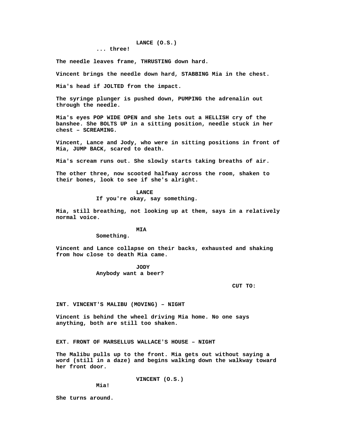**... three!**

**The needle leaves frame, THRUSTING down hard.**

**Vincent brings the needle down hard, STABBING Mia in the chest.**

**Mia's head if JOLTED from the impact.**

**The syringe plunger is pushed down, PUMPING the adrenalin out through the needle.**

**Mia's eyes POP WIDE OPEN and she lets out a HELLISH cry of the banshee. She BOLTS UP in a sitting position, needle stuck in her chest – SCREAMING.**

**Vincent, Lance and Jody, who were in sitting positions in front of Mia, JUMP BACK, scared to death.**

**Mia's scream runs out. She slowly starts taking breaths of air.**

**The other three, now scooted halfway across the room, shaken to their bones, look to see if she's alright.**

#### **LANCE**

**If you're okay, say something.**

**Mia, still breathing, not looking up at them, says in a relatively normal voice.**

# **MIA**

**Something.**

**Vincent and Lance collapse on their backs, exhausted and shaking from how close to death Mia came.**

> **JODY Anybody want a beer?**

> > **CUT TO:**

**INT. VINCENT'S MALIBU (MOVING) – NIGHT**

**Vincent is behind the wheel driving Mia home. No one says anything, both are still too shaken.**

**EXT. FRONT OF MARSELLUS WALLACE'S HOUSE – NIGHT**

**The Malibu pulls up to the front. Mia gets out without saying a word (still in a daze) and begins walking down the walkway toward her front door.**

**VINCENT (O.S.)**

**Mia!**

**She turns around.**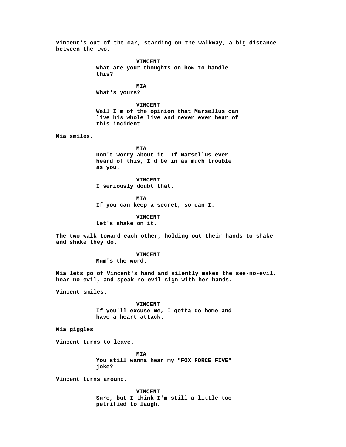**Vincent's out of the car, standing on the walkway, a big distance between the two. VINCENT What are your thoughts on how to handle this? MIA What's yours? VINCENT Well I'm of the opinion that Marsellus can live his whole live and never ever hear of this incident. Mia smiles. MIA Don't worry about it. If Marsellus ever heard of this, I'd be in as much trouble as you. VINCENT I seriously doubt that. MIA If you can keep a secret, so can I. VINCENT Let's shake on it. The two walk toward each other, holding out their hands to shake and shake they do. VINCENT Mum's the word. Mia lets go of Vincent's hand and silently makes the see-no-evil, hear-no-evil, and speak-no-evil sign with her hands. Vincent smiles. VINCENT If you'll excuse me, I gotta go home and have a heart attack. Mia giggles. Vincent turns to leave. MIA You still wanna hear my "FOX FORCE FIVE" joke? Vincent turns around. VINCENT Sure, but I think I'm still a little too**

**petrified to laugh.**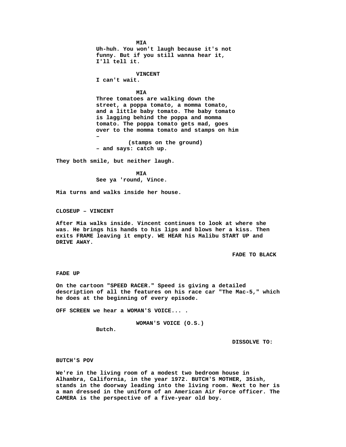**MIA Uh-huh. You won't laugh because it's not funny. But if you still wanna hear it, I'll tell it.**

**VINCENT I can't wait.**

**MIA**

**Three tomatoes are walking down the street, a poppa tomato, a momma tomato, and a little baby tomato. The baby tomato is lagging behind the poppa and momma tomato. The poppa tomato gets mad, goes over to the momma tomato and stamps on him –**

**(stamps on the ground) – and says: catch up.**

**They both smile, but neither laugh.**

**MIA See ya 'round, Vince.**

**Mia turns and walks inside her house.**

**CLOSEUP – VINCENT**

**After Mia walks inside. Vincent continues to look at where she was. He brings his hands to his lips and blows her a kiss. Then exits FRAME leaving it empty. WE HEAR his Malibu START UP and DRIVE AWAY.**

**FADE TO BLACK**

**FADE UP**

**On the cartoon "SPEED RACER." Speed is giving a detailed description of all the features on his race car "The Mac-5," which he does at the beginning of every episode.**

**OFF SCREEN we hear a WOMAN'S VOICE... .**

**WOMAN'S VOICE (O.S.)**

**Butch.**

**DISSOLVE TO:**

**BUTCH'S POV**

**We're in the living room of a modest two bedroom house in Alhambra, California, in the year 1972. BUTCH'S MOTHER, 35ish, stands in the doorway leading into the living room. Next to her is a man dressed in the uniform of an American Air Force officer. The CAMERA is the perspective of a five-year old boy.**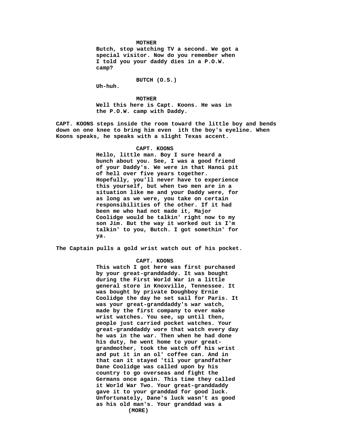#### **MOTHER**

**Butch, stop watching TV a second. We got a special visitor. Now do you remember when I told you your daddy dies in a P.O.W. camp?**

# **BUTCH (O.S.)**

**Uh-huh.**

# **MOTHER Well this here is Capt. Koons. He was in the P.O.W. camp with Daddy.**

**CAPT. KOONS steps inside the room toward the little boy and bends down on one knee to bring him even ith the boy's eyeline. When Koons speaks, he speaks with a slight Texas accent.**

#### **CAPT. KOONS**

**Hello, little man. Boy I sure heard a bunch about you. See, I was a good friend of your Daddy's. We were in that Hanoi pit of hell over five years together. Hopefully, you'll never have to experience this yourself, but when two men are in a situation like me and your Daddy were, for as long as we were, you take on certain responsibilities of the other. If it had been me who had not made it, Major Coolidge would be talkin' right now to my son Jim. But the way it worked out is I'm talkin' to you, Butch. I got somethin' for ya.**

**The Captain pulls a gold wrist watch out of his pocket.**

#### **CAPT. KOONS**

**This watch I got here was first purchased by your great-granddaddy. It was bought during the First World War in a little general store in Knoxville, Tennessee. It was bought by private Doughboy Ernie Coolidge the day he set sail for Paris. It was your great-granddaddy's war watch, made by the first company to ever make wrist watches. You see, up until then, people just carried pocket watches. Your great-granddaddy wore that watch every day he was in the war. Then when he had done his duty, he went home to your greatgrandmother, took the watch off his wrist and put it in an ol' coffee can. And in that can it stayed 'til your grandfather Dane Coolidge was called upon by his country to go overseas and fight the Germans once again. This time they called it World War Two. Your great-granddaddy gave it to your granddad for good luck. Unfortunately, Dane's luck wasn't as good as his old man's. Your granddad was a**

```
(MORE)
```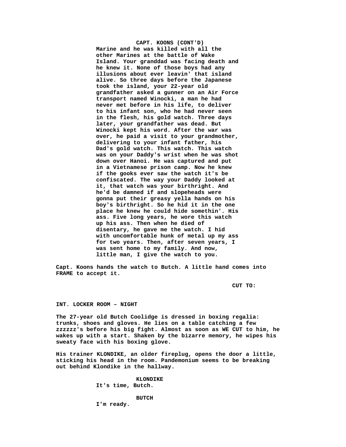**CAPT. KOONS (CONT'D) Marine and he was killed with all the other Marines at the battle of Wake Island. Your granddad was facing death and he knew it. None of those boys had any illusions about ever leavin' that island alive. So three days before the Japanese took the island, your 22-year old grandfather asked a gunner on an Air Force transport named Winocki, a man he had never met before in his life, to deliver to his infant son, who he had never seen in the flesh, his gold watch. Three days later, your grandfather was dead. But Winocki kept his word. After the war was over, he paid a visit to your grandmother, delivering to your infant father, his Dad's gold watch. This watch. This watch was on your Daddy's wrist when he was shot down over Hanoi. He was captured and put in a Vietnamese prison camp. Now he knew if the gooks ever saw the watch it's be confiscated. The way your Daddy looked at it, that watch was your birthright. And he'd be damned if and slopeheads were gonna put their greasy yella hands on his boy's birthright. So he hid it in the one place he knew he could hide somethin'. His ass. Five long years, he wore this watch up his ass. Then when he died of disentary, he gave me the watch. I hid with uncomfortable hunk of metal up my ass for two years. Then, after seven years, I was sent home to my family. And now, little man, I give the watch to you.**

**Capt. Koons hands the watch to Butch. A little hand comes into FRAME to accept it.**

**CUT TO:**

#### **INT. LOCKER ROOM – NIGHT**

**The 27-year old Butch Coolidge is dressed in boxing regalia: trunks, shoes and gloves. He lies on a table catching a few zzzzzz's before his big fight. Almost as soon as WE CUT to him, he wakes up with a start. Shaken by the bizarre memory, he wipes his sweaty face with his boxing glove.**

**His trainer KLONDIKE, an older fireplug, opens the door a little, sticking his head in the room. Pandemonium seems to be breaking out behind Klondike in the hallway.**

> **KLONDIKE It's time, Butch.**

> > **BUTCH**

**I'm ready.**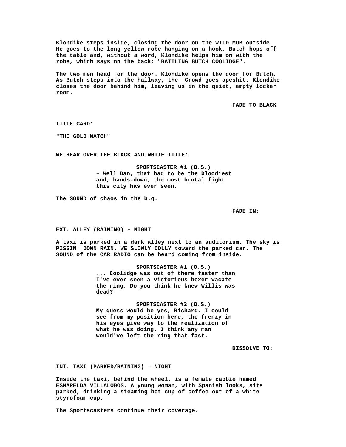**Klondike steps inside, closing the door on the WILD MOB outside. He goes to the long yellow robe hanging on a hook. Butch hops off the table and, without a word, Klondike helps him on with the robe, which says on the back: "BATTLING BUTCH COOLIDGE".**

**The two men head for the door. Klondike opens the door for Butch. As Butch steps into the hallway, the Crowd goes apeshit. Klondike closes the door behind him, leaving us in the quiet, empty locker room.**

**FADE TO BLACK**

**TITLE CARD:**

**"THE GOLD WATCH"**

**WE HEAR OVER THE BLACK AND WHITE TITLE:**

**SPORTSCASTER #1 (O.S.) – Well Dan, that had to be the bloodiest and, hands-down, the most brutal fight this city has ever seen.**

**The SOUND of chaos in the b.g.**

**FADE IN:**

**EXT. ALLEY (RAINING) – NIGHT**

**A taxi is parked in a dark alley next to an auditorium. The sky is PISSIN' DOWN RAIN. WE SLOWLY DOLLY toward the parked car. The SOUND of the CAR RADIO can be heard coming from inside.**

> **SPORTSCASTER #1 (O.S.) ... Coolidge was out of there faster than I've ever seen a victorious boxer vacate the ring. Do you think he knew Willis was dead?**

**SPORTSCASTER #2 (O.S.) My guess would be yes, Richard. I could see from my position here, the frenzy in his eyes give way to the realization of what he was doing. I think any man would've left the ring that fast.**

**DISSOLVE TO:**

**INT. TAXI (PARKED/RAINING) – NIGHT**

**Inside the taxi, behind the wheel, is a female cabbie named ESMARELDA VILLALOBOS. A young woman, with Spanish looks, sits parked, drinking a steaming hot cup of coffee out of a white styrofoam cup.**

**The Sportscasters continue their coverage.**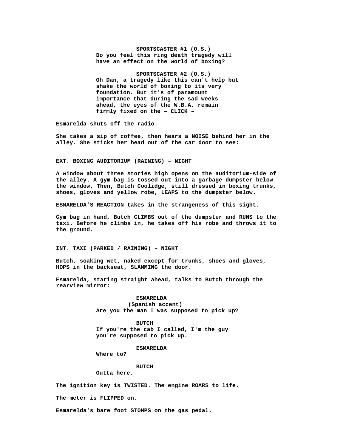**SPORTSCASTER #1 (O.S.) Do you feel this ring death tragedy will have an effect on the world of boxing?**

**SPORTSCASTER #2 (O.S.) Oh Dan, a tragedy like this can't help but shake the world of boxing to its very foundation. But it's of paramount importance that during the sad weeks ahead, the eyes of the W.B.A. remain firmly fixed on the – CLICK –**

**Esmarelda shuts off the radio.**

**She takes a sip of coffee, then hears a NOISE behind her in the alley. She sticks her head out of the car door to see:**

**EXT. BOXING AUDITORIUM (RAINING) – NIGHT**

**A window about three stories high opens on the auditorium-side of the alley. A gym bag is tossed out into a garbage dumpster below the window. Then, Butch Coolidge, still dressed in boxing trunks, shoes, gloves and yellow robe, LEAPS to the dumpster below.**

**ESMARELDA'S REACTION takes in the strangeness of this sight.**

**Gym bag in hand, Butch CLIMBS out of the dumpster and RUNS to the taxi. Before he climbs in, he takes off his robe and throws it to the ground.**

**INT. TAXI (PARKED / RAINING) – NIGHT**

**Butch, soaking wet, naked except for trunks, shoes and gloves, HOPS in the backseat, SLAMMING the door.**

**Esmarelda, staring straight ahead, talks to Butch through the rearview mirror:**

> **ESMARELDA (Spanish accent) Are you the man I was supposed to pick up?**

**BUTCH If you're the cab I called, I'm the guy you're supposed to pick up.**

**ESMARELDA**

**Where to?**

**BUTCH**

**Outta here.**

**The ignition key is TWISTED. The engine ROARS to life.**

**The meter is FLIPPED on.**

**Esmarelda's bare foot STOMPS on the gas pedal.**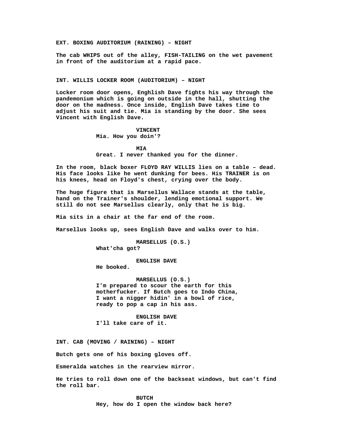**EXT. BOXING AUDITORIUM (RAINING) – NIGHT**

**The cab WHIPS out of the alley, FISH-TAILING on the wet pavement in front of the auditorium at a rapid pace.**

#### **INT. WILLIS LOCKER ROOM (AUDITORIUM) – NIGHT**

**Locker room door opens, Enghlish Dave fights his way through the pandemonium which is going on outside in the hall, shutting the door on the madness. Once inside, English Dave takes time to adjust his suit and tie. Mia is standing by the door. She sees Vincent with English Dave.**

#### **VINCENT**

**Mia. How you doin'?**

**MIA Great. I never thanked you for the dinner.**

**In the room, black boxer FLOYD RAY WILLIS lies on a table – dead. His face looks like he went dunking for bees. His TRAINER is on his knees, head on Floyd's chest, crying over the body.**

**The huge figure that is Marsellus Wallace stands at the table, hand on the Trainer's shoulder, lending emotional support. We still do not see Marsellus clearly, only that he is big.**

**Mia sits in a chair at the far end of the room.**

**Marsellus looks up, sees English Dave and walks over to him.**

**MARSELLUS (O.S.) What'cha got?**

**ENGLISH DAVE**

**He booked.**

**MARSELLUS (O.S.) I'm prepared to scour the earth for this motherfucker. If Butch goes to Indo China, I want a nigger hidin' in a bowl of rice, ready to pop a cap in his ass.**

**ENGLISH DAVE I'll take care of it.**

**INT. CAB (MOVING / RAINING) – NIGHT**

**Butch gets one of his boxing gloves off.**

**Esmeralda watches in the rearview mirror.**

**He tries to roll down one of the backseat windows, but can't find the roll bar.**

> **BUTCH Hey, how do I open the window back here?**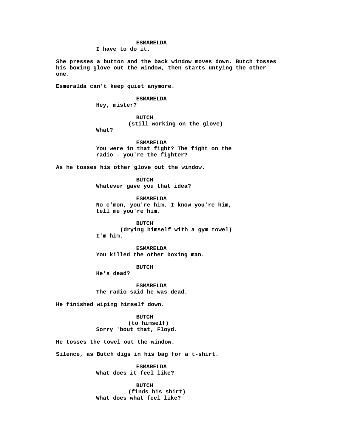#### **ESMARELDA**

**I have to do it.**

**She presses a button and the back window moves down. Butch tosses his boxing glove out the window, then starts untying the other one.**

**Esmeralda can't keep quiet anymore.**

#### **ESMARELDA**

**Hey, mister?**

**BUTCH (still working on the glove)**

**What?**

**ESMARELDA You were in that fight? The fight on the radio – you're the fighter?**

**As he tosses his other glove out the window.**

**BUTCH Whatever gave you that idea?**

**ESMARELDA No c'mon, you're him, I know you're him, tell me you're him.**

**BUTCH (drying himself with a gym towel) I'm him.**

**ESMARELDA You killed the other boxing man.**

**BUTCH**

**He's dead?**

**ESMARELDA The radio said he was dead.**

**He finished wiping himself down.**

**BUTCH (to himself) Sorry 'bout that, Floyd.**

**He tosses the towel out the window.**

**Silence, as Butch digs in his bag for a t-shirt.**

**ESMARELDA What does it feel like?**

**BUTCH (finds his shirt) What does what feel like?**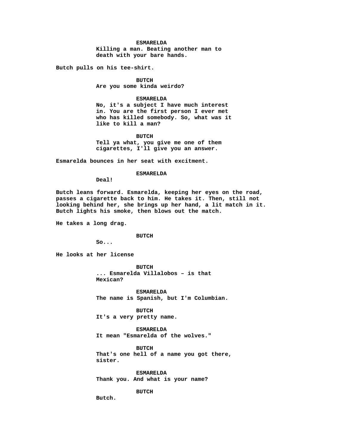# **ESMARELDA**

**Killing a man. Beating another man to death with your bare hands.**

**Butch pulls on his tee-shirt.**

**BUTCH Are you some kinda weirdo?**

# **ESMARELDA**

**No, it's a subject I have much interest in. You are the first person I ever met who has killed somebody. So, what was it like to kill a man?**

**BUTCH Tell ya what, you give me one of them cigarettes, I'll give you an answer.**

**Esmarelda bounces in her seat with excitment.**

#### **ESMARELDA**

**Deal!**

**Butch leans forward. Esmarelda, keeping her eyes on the road, passes a cigarette back to him. He takes it. Then, still not looking behind her, she brings up her hand, a lit match in it. Butch lights his smoke, then blows out the match.**

**He takes a long drag.**

#### **BUTCH**

**So...**

**He looks at her license**

**BUTCH ... Esmarelda Villalobos – is that Mexican?**

**ESMARELDA The name is Spanish, but I'm Columbian.**

**BUTCH It's a very pretty name.**

**ESMARELDA It mean "Esmarelda of the wolves."**

**BUTCH That's one hell of a name you got there, sister.**

**ESMARELDA Thank you. And what is your name?**

**BUTCH**

**Butch.**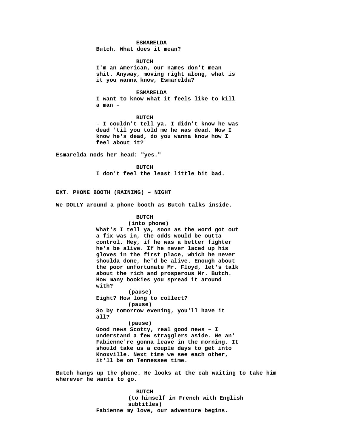#### **ESMARELDA**

**Butch. What does it mean?**

**BUTCH**

**I'm an American, our names don't mean shit. Anyway, moving right along, what is it you wanna know, Esmarelda?**

#### **ESMARELDA**

**I want to know what it feels like to kill a man –**

### **BUTCH**

**– I couldn't tell ya. I didn't know he was dead 'til you told me he was dead. Now I know he's dead, do you wanna know how I feel about it?**

**Esmarelda nods her head: "yes."**

**BUTCH I don't feel the least little bit bad.**

## **EXT. PHONE BOOTH (RAINING) – NIGHT**

**We DOLLY around a phone booth as Butch talks inside.**

# **BUTCH**

#### **(into phone)**

**What's I tell ya, soon as the word got out a fix was in, the odds would be outta control. Hey, if he was a better fighter he's be alive. If he never laced up his gloves in the first place, which he never shoulda done, he'd be alive. Enough about the poor unfortunate Mr. Floyd, let's talk about the rich and prosperous Mr. Butch. How many bookies you spread it around with?**

**(pause) Eight? How long to collect? (pause) So by tomorrow evening, you'll have it all?**

**(pause) Good news Scotty, real good news – I understand a few stragglers aside. Me an' Fabienne're gonna leave in the morning. It should take us a couple days to get into Knoxville. Next time we see each other, it'll be on Tennessee time.**

**Butch hangs up the phone. He looks at the cab waiting to take him wherever he wants to go.**

> **BUTCH (to himself in French with English subtitles) Fabienne my love, our adventure begins.**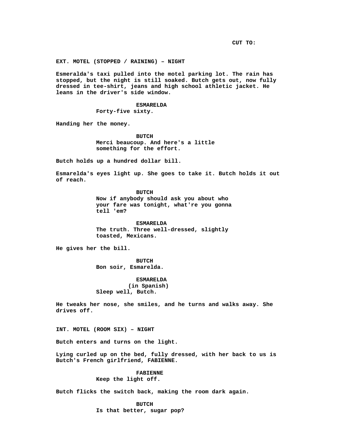**CUT TO:**

**EXT. MOTEL (STOPPED / RAINING) – NIGHT**

**Esmeralda's taxi pulled into the motel parking lot. The rain has stopped, but the night is still soaked. Butch gets out, now fully dressed in tee-shirt, jeans and high school athletic jacket. He leans in the driver's side window.**

#### **ESMARELDA**

**Forty-five sixty.**

**Handing her the money.**

**BUTCH Merci beaucoup. And here's a little something for the effort.**

**Butch holds up a hundred dollar bill.**

**Esmarelda's eyes light up. She goes to take it. Butch holds it out of reach.**

> **BUTCH Now if anybody should ask you about who your fare was tonight, what're you gonna tell 'em?**

**ESMARELDA The truth. Three well-dressed, slightly toasted, Mexicans.**

**He gives her the bill.**

**BUTCH Bon soir, Esmarelda.**

**ESMARELDA (in Spanish) Sleep well, Butch.**

**He tweaks her nose, she smiles, and he turns and walks away. She drives off.**

**INT. MOTEL (ROOM SIX) – NIGHT**

**Butch enters and turns on the light.**

**Lying curled up on the bed, fully dressed, with her back to us is Butch's French girlfriend, FABIENNE.**

> **FABIENNE Keep the light off.**

**Butch flicks the switch back, making the room dark again.**

**BUTCH Is that better, sugar pop?**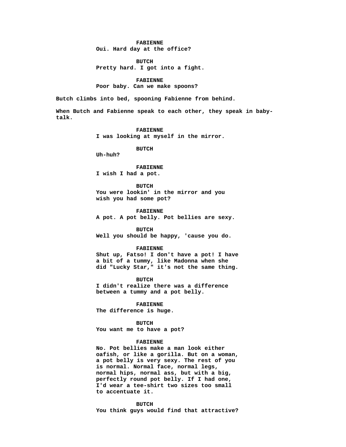**Oui. Hard day at the office?**

**BUTCH Pretty hard. I got into a fight.**

# **FABIENNE**

**Poor baby. Can we make spoons?**

**Butch climbs into bed, spooning Fabienne from behind.**

**When Butch and Fabienne speak to each other, they speak in babytalk.**

#### **FABIENNE**

**I was looking at myself in the mirror.**

**BUTCH**

**Uh-huh?**

**FABIENNE I wish I had a pot.**

**BUTCH You were lookin' in the mirror and you wish you had some pot?**

**FABIENNE A pot. A pot belly. Pot bellies are sexy.**

**BUTCH Well you should be happy, 'cause you do.**

#### **FABIENNE**

**Shut up, Fatso! I don't have a pot! I have a bit of a tummy, like Madonna when she did "Lucky Star," it's not the same thing.**

#### **BUTCH**

**I didn't realize there was a difference between a tummy and a pot belly.**

**FABIENNE The difference is huge.**

**BUTCH You want me to have a pot?**

#### **FABIENNE**

**No. Pot bellies make a man look either oafish, or like a gorilla. But on a woman, a pot belly is very sexy. The rest of you is normal. Normal face, normal legs, normal hips, normal ass, but with a big, perfectly round pot belly. If I had one, I'd wear a tee-shirt two sizes too small to accentuate it.**

**BUTCH You think guys would find that attractive?**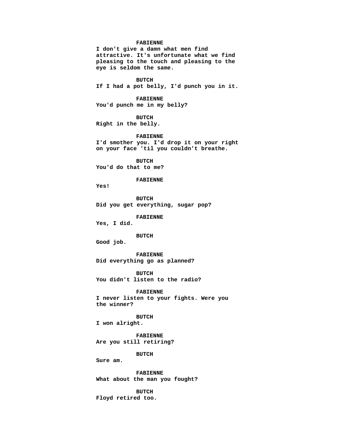**I don't give a damn what men find attractive. It's unfortunate what we find pleasing to the touch and pleasing to the eye is seldom the same.**

**BUTCH If I had a pot belly, I'd punch you in it.**

**FABIENNE You'd punch me in my belly?**

**BUTCH Right in the belly.**

**FABIENNE I'd smother you. I'd drop it on your right on your face 'til you couldn't breathe.**

**BUTCH You'd do that to me?**

# **FABIENNE**

**Yes!**

**BUTCH Did you get everything, sugar pop?**

# **FABIENNE**

**Yes, I did.**

# **BUTCH**

**Good job.**

**FABIENNE Did everything go as planned?**

**BUTCH You didn't listen to the radio?**

**FABIENNE I never listen to your fights. Were you the winner?**

**BUTCH**

**I won alright.**

**FABIENNE Are you still retiring?**

**BUTCH**

**Sure am.**

**FABIENNE What about the man you fought?**

**BUTCH Floyd retired too.**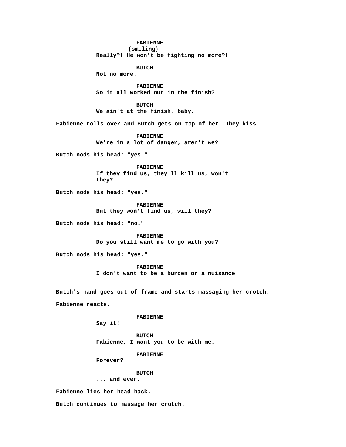**(smiling)**

**Really?! He won't be fighting no more?!**

**BUTCH**

**Not no more.**

**FABIENNE So it all worked out in the finish?**

**BUTCH We ain't at the finish, baby.**

**Fabienne rolls over and Butch gets on top of her. They kiss.**

**FABIENNE We're in a lot of danger, aren't we?**

**Butch nods his head: "yes."**

**FABIENNE If they find us, they'll kill us, won't they?**

**Butch nods his head: "yes."**

**FABIENNE But they won't find us, will they?**

**Butch nods his head: "no."**

**FABIENNE Do you still want me to go with you?**

**Butch nods his head: "yes."**

**FABIENNE I don't want to be a burden or a nuisance –**

**Butch's hand goes out of frame and starts massaging her crotch.**

**Fabienne reacts.**

**FABIENNE**

**Say it!**

**BUTCH Fabienne, I want you to be with me.**

**FABIENNE**

**Forever?**

**BUTCH**

**... and ever.**

**Fabienne lies her head back.**

**Butch continues to massage her crotch.**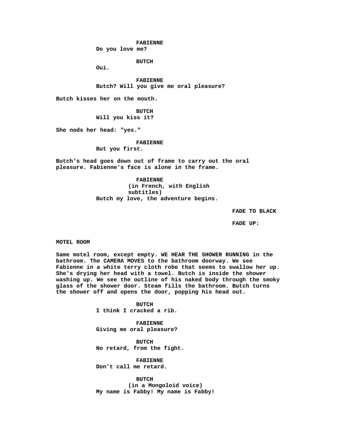**Do you love me?**

**BUTCH**

**Oui.**

**FABIENNE Butch? Will you give me oral pleasure?**

**Butch kisses her on the mouth.**

**BUTCH Will you kiss it?**

**She nods her head: "yes."**

#### **FABIENNE**

**But you first.**

**Butch's head goes down out of frame to carry out the oral pleasure. Fabienne's face is alone in the frame.**

**FABIENNE**

**(in French, with English subtitles) Butch my love, the adventure begins.**

**FADE TO BLACK**

**FADE UP:**

**MOTEL ROOM**

**Same motel room, except empty. WE HEAR THE SHOWER RUNNING in the bathroom. The CAMERA MOVES to the bathroom doorway. We see Fabienne in a white terry cloth robe that seems to swallow her up. She's drying her head with a towel. Butch is inside the shower washing up. We see the outline of his naked body through the smoky glass of the shower door. Steam fills the bathroom. Butch turns the shower off and opens the door, popping his head out.**

> **BUTCH I think I cracked a rib.**

**FABIENNE Giving me oral pleasure?**

**BUTCH No retard, from the fight.**

**FABIENNE Don't call me retard.**

**BUTCH (in a Mongoloid voice) My name is Fabby! My name is Fabby!**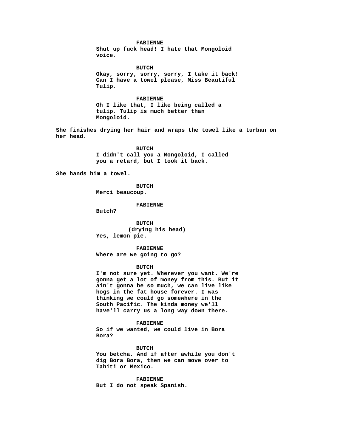**Shut up fuck head! I hate that Mongoloid voice.**

**BUTCH Okay, sorry, sorry, sorry, I take it back! Can I have a towel please, Miss Beautiful Tulip.**

**FABIENNE Oh I like that, I like being called a tulip. Tulip is much better than Mongoloid.**

**She finishes drying her hair and wraps the towel like a turban on her head.**

> **BUTCH I didn't call you a Mongoloid, I called you a retard, but I took it back.**

**She hands him a towel.**

**BUTCH Merci beaucoup.**

**FABIENNE**

**Butch?**

**BUTCH (drying his head) Yes, lemon pie.**

**FABIENNE Where are we going to go?**

**BUTCH**

**I'm not sure yet. Wherever you want. We're gonna get a lot of money from this. But it ain't gonna be so much, we can live like hogs in the fat house forever. I was thinking we could go somewhere in the South Pacific. The kinda money we'll have'll carry us a long way down there.**

**FABIENNE**

**So if we wanted, we could live in Bora Bora?**

**BUTCH You betcha. And if after awhile you don't dig Bora Bora, then we can move over to Tahiti or Mexico.**

**FABIENNE But I do not speak Spanish.**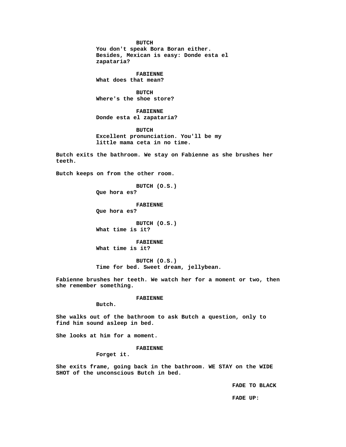**BUTCH You don't speak Bora Boran either. Besides, Mexican is easy: Donde esta el zapataria?**

**FABIENNE What does that mean?**

**BUTCH Where's the shoe store?**

**FABIENNE Donde esta el zapataria?**

**BUTCH Excellent pronunciation. You'll be my little mama ceta in no time.**

**Butch exits the bathroom. We stay on Fabienne as she brushes her teeth.**

**Butch keeps on from the other room.**

**BUTCH (O.S.)**

**Que hora es?**

**FABIENNE**

**Que hora es?**

**BUTCH (O.S.) What time is it?**

**FABIENNE What time is it?**

**BUTCH (O.S.) Time for bed. Sweet dream, jellybean.**

**Fabienne brushes her teeth. We watch her for a moment or two, then she remember something.**

**FABIENNE**

**Butch.**

**She walks out of the bathroom to ask Butch a question, only to find him sound asleep in bed.**

**She looks at him for a moment.**

**FABIENNE**

**Forget it.**

**She exits frame, going back in the bathroom. WE STAY on the WIDE SHOT of the unconscious Butch in bed.**

**FADE TO BLACK**

**FADE UP:**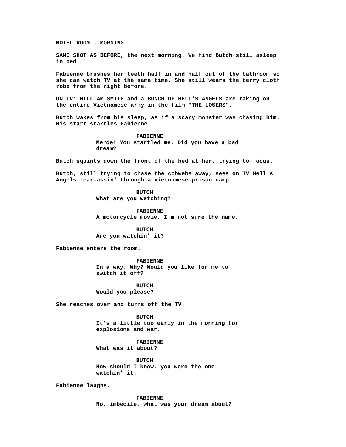**MOTEL ROOM – MORNING**

**SAME SHOT AS BEFORE, the next morning. We find Butch still asleep in bed.**

**Fabienne brushes her teeth half in and half out of the bathroom so she can watch TV at the same time. She still wears the terry cloth robe from the night before.**

**ON TV: WILLIAM SMITH and a BUNCH OF HELL'S ANGELS are taking on the entire Vietnamese army in the film "THE LOSERS".**

**Butch wakes from his sleep, as if a scary monster was chasing him. His start startles Fabienne.**

> **FABIENNE Merde! You startled me. Did you have a bad dream?**

**Butch squints down the front of the bed at her, trying to focus.**

**Butch, still trying to chase the cobwebs away, sees on TV Hell's Angels tear-assin' through a Vietnamese prison camp.**

> **BUTCH What are you watching?**

**FABIENNE A motorcycle movie, I'm not sure the name.**

**BUTCH Are you watchin' it?**

**Fabienne enters the room.**

**FABIENNE In a way. Why? Would you like for me to switch it off?**

**BUTCH Would you please?**

**She reaches over and turns off the TV.**

**BUTCH It's a little too early in the morning for explosions and war.**

**FABIENNE What was it about?**

**BUTCH How should I know, you were the one watchin' it.**

**Fabienne laughs.**

**FABIENNE No, imbecile, what was your dream about?**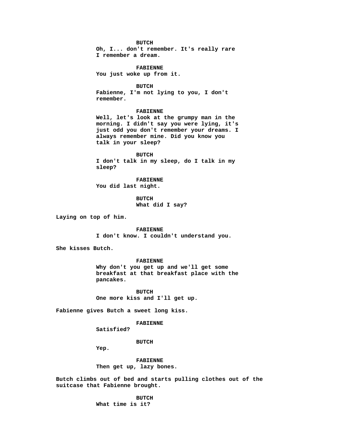### **BUTCH**

**Oh, I... don't remember. It's really rare I remember a dream.**

**FABIENNE You just woke up from it.**

**BUTCH Fabienne, I'm not lying to you, I don't remember.**

### **FABIENNE**

**Well, let's look at the grumpy man in the morning. I didn't say you were lying, it's just odd you don't remember your dreams. I always remember mine. Did you know you talk in your sleep?**

**BUTCH I don't talk in my sleep, do I talk in my sleep?**

**FABIENNE You did last night.**

> **BUTCH What did I say?**

**Laying on top of him.**

**FABIENNE I don't know. I couldn't understand you.**

**She kisses Butch.**

### **FABIENNE**

**Why don't you get up and we'll get some breakfast at that breakfast place with the pancakes.**

**BUTCH One more kiss and I'll get up.**

**Fabienne gives Butch a sweet long kiss.**

# **FABIENNE**

**Satisfied?**

# **BUTCH**

**Yep.**

**FABIENNE Then get up, lazy bones.**

**Butch climbs out of bed and starts pulling clothes out of the suitcase that Fabienne brought.**

> **BUTCH What time is it?**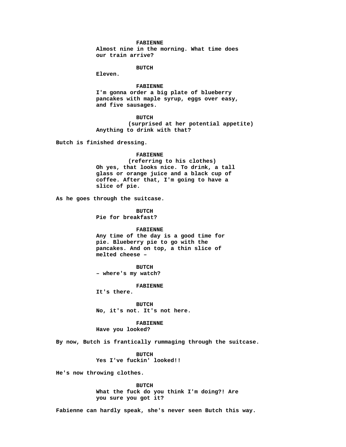# **FABIENNE**

**Almost nine in the morning. What time does our train arrive?**

**BUTCH**

**Eleven.**

**FABIENNE I'm gonna order a big plate of blueberry pancakes with maple syrup, eggs over easy, and five sausages.**

**BUTCH (surprised at her potential appetite) Anything to drink with that?**

**Butch is finished dressing.**

### **FABIENNE**

**(referring to his clothes) Oh yes, that looks nice. To drink, a tall glass or orange juice and a black cup of coffee. After that, I'm going to have a slice of pie.**

**As he goes through the suitcase.**

**BUTCH Pie for breakfast?**

# **FABIENNE**

**Any time of the day is a good time for pie. Blueberry pie to go with the pancakes. And on top, a thin slice of melted cheese –**

**BUTCH**

**– where's my watch?**

### **FABIENNE**

**It's there.**

**BUTCH No, it's not. It's not here.**

**FABIENNE Have you looked?**

**By now, Butch is frantically rummaging through the suitcase.**

**BUTCH Yes I've fuckin' looked!!**

**He's now throwing clothes.**

**BUTCH What the fuck do you think I'm doing?! Are you sure you got it?**

**Fabienne can hardly speak, she's never seen Butch this way.**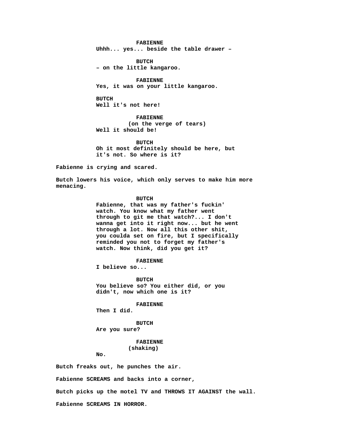# **FABIENNE**

**Uhhh... yes... beside the table drawer –**

**BUTCH – on the little kangaroo.**

**FABIENNE Yes, it was on your little kangaroo.**

**BUTCH Well it's not here!**

**FABIENNE**

**(on the verge of tears) Well it should be!**

**BUTCH Oh it most definitely should be here, but it's not. So where is it?**

**Fabienne is crying and scared.**

**Butch lowers his voice, which only serves to make him more menacing.**

# **BUTCH**

**Fabienne, that was my father's fuckin' watch. You know what my father went through to git me that watch?... I don't wanna get into it right now... but he went through a lot. Now all this other shit, you coulda set on fire, but I specifically reminded you not to forget my father's watch. Now think, did you get it?**

**FABIENNE**

**I believe so...**

**BUTCH You believe so? You either did, or you didn't, now which one is it?**

**FABIENNE**

**Then I did.**

**BUTCH Are you sure?**

> **FABIENNE (shaking)**

**No.**

**Butch freaks out, he punches the air.**

**Fabienne SCREAMS and backs into a corner,**

**Butch picks up the motel TV and THROWS IT AGAINST the wall.**

**Fabienne SCREAMS IN HORROR.**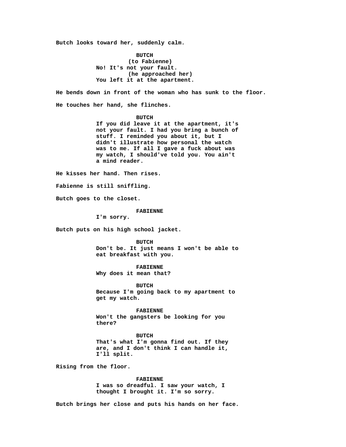**Butch looks toward her, suddenly calm.**

**BUTCH (to Fabienne) No! It's not your fault. (he approached her) You left it at the apartment.**

**He bends down in front of the woman who has sunk to the floor. He touches her hand, she flinches.**

**BUTCH**

**If you did leave it at the apartment, it's not your fault. I had you bring a bunch of stuff. I reminded you about it, but I didn't illustrate how personal the watch was to me. If all I gave a fuck about was my watch, I should've told you. You ain't a mind reader.**

**He kisses her hand. Then rises.**

**Fabienne is still sniffling.**

**Butch goes to the closet.**

**FABIENNE**

**I'm sorry.**

**Butch puts on his high school jacket.**

**BUTCH**

**Don't be. It just means I won't be able to eat breakfast with you.**

**FABIENNE**

**Why does it mean that?**

**BUTCH Because I'm going back to my apartment to get my watch.**

**FABIENNE Won't the gangsters be looking for you there?**

# **BUTCH**

**That's what I'm gonna find out. If they are, and I don't think I can handle it, I'll split.**

**Rising from the floor.**

**FABIENNE**

**I was so dreadful. I saw your watch, I thought I brought it. I'm so sorry.**

**Butch brings her close and puts his hands on her face.**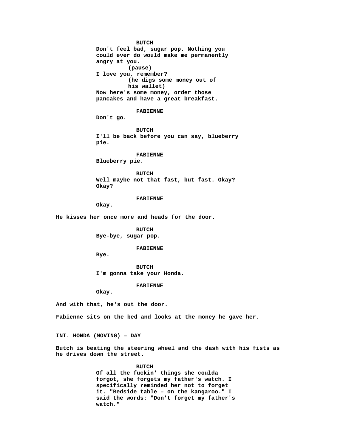**BUTCH Don't feel bad, sugar pop. Nothing you could ever do would make me permanently angry at you. (pause) I love you, remember? (he digs some money out of his wallet) Now here's some money, order those pancakes and have a great breakfast.**

### **FABIENNE**

**Don't go.**

**BUTCH I'll be back before you can say, blueberry pie.**

### **FABIENNE**

**Blueberry pie.**

**BUTCH Well maybe not that fast, but fast. Okay? Okay?**

### **FABIENNE**

**Okay.**

**He kisses her once more and heads for the door.**

**BUTCH Bye-bye, sugar pop.**

### **FABIENNE**

**Bye.**

**BUTCH I'm gonna take your Honda.**

### **FABIENNE**

**Okay.**

**And with that, he's out the door.**

**Fabienne sits on the bed and looks at the money he gave her.**

**INT. HONDA (MOVING) – DAY**

**Butch is beating the steering wheel and the dash with his fists as he drives down the street.**

> **BUTCH Of all the fuckin' things she coulda forgot, she forgets my father's watch. I specifically reminded her not to forget it. "Bedside table – on the kangaroo." I said the words: "Don't forget my father's watch."**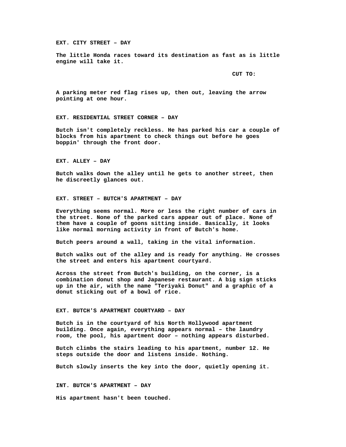**EXT. CITY STREET – DAY**

**The little Honda races toward its destination as fast as is little engine will take it.**

**CUT TO:**

**A parking meter red flag rises up, then out, leaving the arrow pointing at one hour.**

**EXT. RESIDENTIAL STREET CORNER – DAY**

**Butch isn't completely reckless. He has parked his car a couple of blocks from his apartment to check things out before he goes boppin' through the front door.**

**EXT. ALLEY – DAY**

**Butch walks down the alley until he gets to another street, then he discreetly glances out.**

**EXT. STREET – BUTCH'S APARTMENT – DAY**

**Everything seems normal. More or less the right number of cars in the street. None of the parked cars appear out of place. None of them have a couple of goons sitting inside. Basically, it looks like normal morning activity in front of Butch's home.**

**Butch peers around a wall, taking in the vital information.**

**Butch walks out of the alley and is ready for anything. He crosses the street and enters his apartment courtyard.**

**Across the street from Butch's building, on the corner, is a combination donut shop and Japanese restaurant. A big sign sticks up in the air, with the name "Teriyaki Donut" and a graphic of a donut sticking out of a bowl of rice.**

# **EXT. BUTCH'S APARTMENT COURTYARD – DAY**

**Butch is in the courtyard of his North Hollywood apartment building. Once again, everything appears normal – the laundry room, the pool, his apartment door – nothing appears disturbed.**

**Butch climbs the stairs leading to his apartment, number 12. He steps outside the door and listens inside. Nothing.**

**Butch slowly inserts the key into the door, quietly opening it.**

**INT. BUTCH'S APARTMENT – DAY**

**His apartment hasn't been touched.**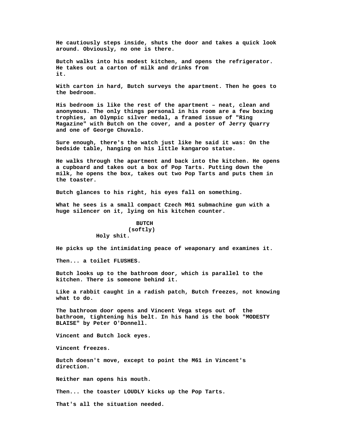**He cautiously steps inside, shuts the door and takes a quick look around. Obviously, no one is there.**

**Butch walks into his modest kitchen, and opens the refrigerator. He takes out a carton of milk and drinks from it.**

**With carton in hard, Butch surveys the apartment. Then he goes to the bedroom.**

**His bedroom is like the rest of the apartment – neat, clean and anonymous. The only things personal in his room are a few boxing trophies, an Olympic silver medal, a framed issue of "Ring Magazine" with Butch on the cover, and a poster of Jerry Quarry and one of George Chuvalo.**

**Sure enough, there's the watch just like he said it was: On the bedside table, hanging on his little kangaroo statue.**

**He walks through the apartment and back into the kitchen. He opens a cupboard and takes out a box of Pop Tarts. Putting down the milk, he opens the box, takes out two Pop Tarts and puts them in the toaster.**

**Butch glances to his right, his eyes fall on something.**

**What he sees is a small compact Czech M61 submachine gun with a huge silencer on it, lying on his kitchen counter.**

> **BUTCH (softly) Holy shit.**

**He picks up the intimidating peace of weaponary and examines it.**

**Then... a toilet FLUSHES.**

**Butch looks up to the bathroom door, which is parallel to the kitchen. There is someone behind it.**

**Like a rabbit caught in a radish patch, Butch freezes, not knowing what to do.**

**The bathroom door opens and Vincent Vega steps out of the bathroom, tightening his belt. In his hand is the book "MODESTY BLAISE" by Peter O'Donnell.**

**Vincent and Butch lock eyes.**

**Vincent freezes.**

**Butch doesn't move, except to point the M61 in Vincent's direction.**

**Neither man opens his mouth.**

**Then... the toaster LOUDLY kicks up the Pop Tarts.**

**That's all the situation needed.**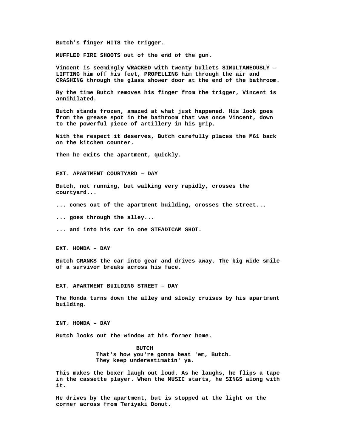**Butch's finger HITS the trigger.**

**MUFFLED FIRE SHOOTS out of the end of the gun.**

**Vincent is seemingly WRACKED with twenty bullets SIMULTANEOUSLY – LIFTING him off his feet, PROPELLING him through the air and CRASHING through the glass shower door at the end of the bathroom.**

**By the time Butch removes his finger from the trigger, Vincent is annihilated.**

**Butch stands frozen, amazed at what just happened. His look goes from the grease spot in the bathroom that was once Vincent, down to the powerful piece of artillery in his grip.**

**With the respect it deserves, Butch carefully places the M61 back on the kitchen counter.**

**Then he exits the apartment, quickly.**

**EXT. APARTMENT COURTYARD – DAY**

**Butch, not running, but walking very rapidly, crosses the courtyard...**

**... comes out of the apartment building, crosses the street...**

**... goes through the alley...**

**... and into his car in one STEADICAM SHOT.**

**EXT. HONDA – DAY**

**Butch CRANKS the car into gear and drives away. The big wide smile of a survivor breaks across his face.**

**EXT. APARTMENT BUILDING STREET – DAY**

**The Honda turns down the alley and slowly cruises by his apartment building.**

**INT. HONDA – DAY**

**Butch looks out the window at his former home.**

**BUTCH That's how you're gonna beat 'em, Butch. They keep underestimatin' ya.**

**This makes the boxer laugh out loud. As he laughs, he flips a tape in the cassette player. When the MUSIC starts, he SINGS along with it.**

**He drives by the apartment, but is stopped at the light on the corner across from Teriyaki Donut.**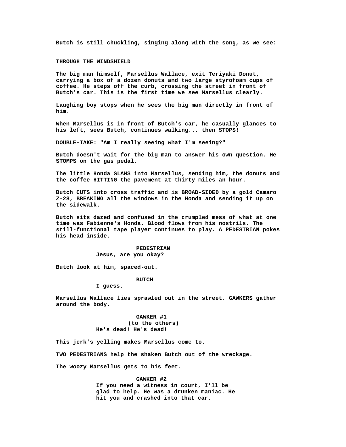**Butch is still chuckling, singing along with the song, as we see:**

**THROUGH THE WINDSHIELD**

**The big man himself, Marsellus Wallace, exit Teriyaki Donut, carrying a box of a dozen donuts and two large styrofoam cups of coffee. He steps off the curb, crossing the street in front of Butch's car. This is the first time we see Marsellus clearly.**

**Laughing boy stops when he sees the big man directly in front of him.**

**When Marsellus is in front of Butch's car, he casually glances to his left, sees Butch, continues walking... then STOPS!**

**DOUBLE-TAKE: "Am I really seeing what I'm seeing?"**

**Butch doesn't wait for the big man to answer his own question. He STOMPS on the gas pedal.**

**The little Honda SLAMS into Marsellus, sending him, the donuts and the coffee HITTING the pavement at thirty miles an hour.**

**Butch CUTS into cross traffic and is BROAD-SIDED by a gold Camaro Z-28, BREAKING all the windows in the Honda and sending it up on the sidewalk.**

**Butch sits dazed and confused in the crumpled mess of what at one time was Fabienne's Honda. Blood flows from his nostrils. The still-functional tape player continues to play. A PEDESTRIAN pokes his head inside.**

# **PEDESTRIAN Jesus, are you okay?**

**Butch look at him, spaced-out.**

**BUTCH**

**I guess.**

**Marsellus Wallace lies sprawled out in the street. GAWKERS gather around the body.**

> **GAWKER #1 (to the others) He's dead! He's dead!**

**This jerk's yelling makes Marsellus come to.**

**TWO PEDESTRIANS help the shaken Butch out of the wreckage.**

**The woozy Marsellus gets to his feet.**

#### **GAWKER #2**

**If you need a witness in court, I'll be glad to help. He was a drunken maniac. He hit you and crashed into that car.**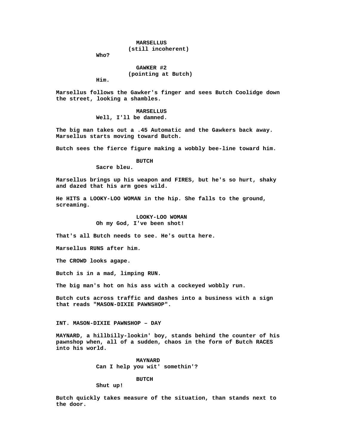# **MARSELLUS (still incoherent)**

**Who?**

# **GAWKER #2 (pointing at Butch)**

**Him.**

**Marsellus follows the Gawker's finger and sees Butch Coolidge down the street, looking a shambles.**

> **MARSELLUS Well, I'll be damned.**

**The big man takes out a .45 Automatic and the Gawkers back away. Marsellus starts moving toward Butch.**

**Butch sees the fierce figure making a wobbly bee-line toward him.**

# **BUTCH**

**Sacre bleu.**

**Marsellus brings up his weapon and FIRES, but he's so hurt, shaky and dazed that his arm goes wild.**

**He HITS a LOOKY-LOO WOMAN in the hip. She falls to the ground, screaming.**

> **LOOKY-LOO WOMAN Oh my God, I've been shot!**

**That's all Butch needs to see. He's outta here.**

**Marsellus RUNS after him.**

**The CROWD looks agape.**

**Butch is in a mad, limping RUN.**

**The big man's hot on his ass with a cockeyed wobbly run.**

**Butch cuts across traffic and dashes into a business with a sign that reads "MASON-DIXIE PAWNSHOP".**

# **INT. MASON-DIXIE PAWNSHOP – DAY**

**MAYNARD, a hillbilly-lookin' boy, stands behind the counter of his pawnshop when, all of a sudden, chaos in the form of Butch RACES into his world.**

> **MAYNARD Can I help you wit' somethin'?**

> > **BUTCH**

**Shut up!**

**Butch quickly takes measure of the situation, than stands next to the door.**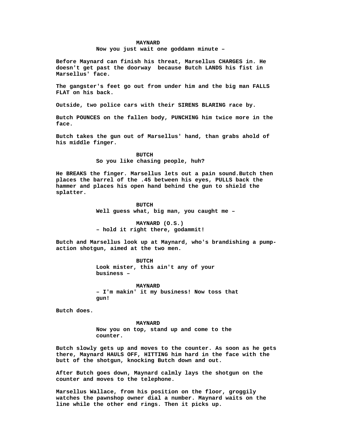#### **MAYNARD**

**Now you just wait one goddamn minute –**

**Before Maynard can finish his threat, Marsellus CHARGES in. He doesn't get past the doorway because Butch LANDS his fist in Marsellus' face.**

**The gangster's feet go out from under him and the big man FALLS FLAT on his back.**

**Outside, two police cars with their SIRENS BLARING race by.**

**Butch POUNCES on the fallen body, PUNCHING him twice more in the face.**

**Butch takes the gun out of Marsellus' hand, than grabs ahold of his middle finger.**

> **BUTCH So you like chasing people, huh?**

**He BREAKS the finger. Marsellus lets out a pain sound.Butch then places the barrel of the .45 between his eyes, PULLS back the hammer and places his open hand behind the gun to shield the splatter.**

**BUTCH**

**Well guess what, big man, you caught me –**

**MAYNARD (O.S.) – hold it right there, godammit!**

**Butch and Marsellus look up at Maynard, who's brandishing a pumpaction shotgun, aimed at the two men.**

> **BUTCH Look mister, this ain't any of your business –**

**MAYNARD – I'm makin' it my business! Now toss that gun!**

**Butch does.**

#### **MAYNARD**

**Now you on top, stand up and come to the counter.**

**Butch slowly gets up and moves to the counter. As soon as he gets there, Maynard HAULS OFF, HITTING him hard in the face with the butt of the shotgun, knocking Butch down and out.**

**After Butch goes down, Maynard calmly lays the shotgun on the counter and moves to the telephone.**

**Marsellus Wallace, from his position on the floor, groggily watches the pawnshop owner dial a number. Maynard waits on the line while the other end rings. Then it picks up.**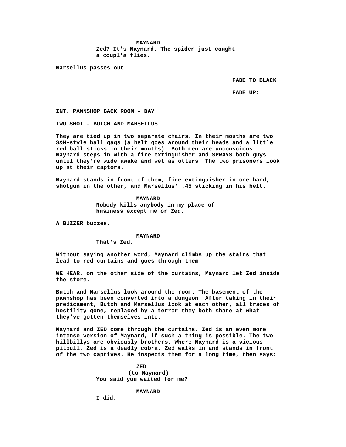**MAYNARD Zed? It's Maynard. The spider just caught a coupl'a flies.**

**Marsellus passes out.**

**FADE TO BLACK**

**FADE UP:**

**INT. PAWNSHOP BACK ROOM – DAY**

**TWO SHOT – BUTCH AND MARSELLUS**

**They are tied up in two separate chairs. In their mouths are two S&M-style ball gags (a belt goes around their heads and a little red ball sticks in their mouths). Both men are unconscious. Maynard steps in with a fire extinguisher and SPRAYS both guys until they're wide awake and wet as otters. The two prisoners look up at their captors.**

**Maynard stands in front of them, fire extinguisher in one hand, shotgun in the other, and Marsellus' .45 sticking in his belt.**

> **MAYNARD Nobody kills anybody in my place of business except me or Zed.**

**A BUZZER buzzes.**

### **MAYNARD**

**That's Zed.**

**Without saying another word, Maynard climbs up the stairs that lead to red curtains and goes through them.**

**WE HEAR, on the other side of the curtains, Maynard let Zed inside the store.**

**Butch and Marsellus look around the room. The basement of the pawnshop has been converted into a dungeon. After taking in their predicament, Butxh and Marsellus look at each other, all traces of hostility gone, replaced by a terror they both share at what they've gotten themselves into.**

**Maynard and ZED come through the curtains. Zed is an even more intense version of Maynard, if such a thing is possible. The two hillbillys are obviously brothers. Where Maynard is a vicious pitbull, Zed is a deadly cobra. Zed walks in and stands in front of the two captives. He inspects them for a long time, then says:**

> **ZED (to Maynard) You said you waited for me?**

> > **MAYNARD**

**I did.**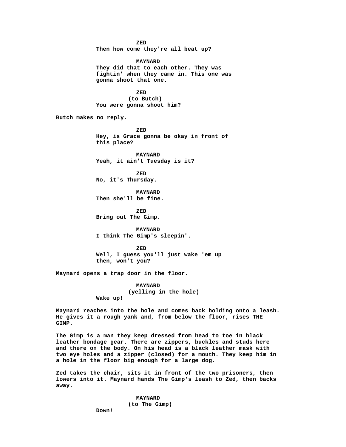**ZED Then how come they're all beat up?**

**MAYNARD They did that to each other. They was fightin' when they came in. This one was gonna shoot that one.**

**ZED (to Butch) You were gonna shoot him?**

**Butch makes no reply.**

**ZED Hey, is Grace gonna be okay in front of this place?**

**MAYNARD Yeah, it ain't Tuesday is it?**

**ZED No, it's Thursday.**

**MAYNARD Then she'll be fine.**

**ZED Bring out The Gimp.**

**MAYNARD I think The Gimp's sleepin'.**

**ZED Well, I guess you'll just wake 'em up then, won't you?**

**Maynard opens a trap door in the floor.**

**MAYNARD (yelling in the hole) Wake up!**

**Maynard reaches into the hole and comes back holding onto a leash. He gives it a rough yank and, from below the floor, rises THE GIMP.**

**The Gimp is a man they keep dressed from head to toe in black leather bondage gear. There are zippers, buckles and studs here and there on the body. On his head is a black leather mask with two eye holes and a zipper (closed) for a mouth. They keep him in a hole in the floor big enough for a large dog.**

**Zed takes the chair, sits it in front of the two prisoners, then lowers into it. Maynard hands The Gimp's leash to Zed, then backs away.**

> **MAYNARD (to The Gimp)**

**Down!**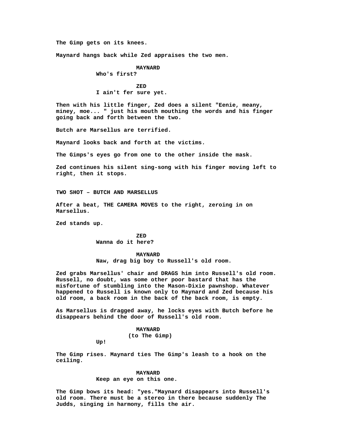**The Gimp gets on its knees.**

**Maynard hangs back while Zed appraises the two men.**

**MAYNARD Who's first?**

**ZED I ain't fer sure yet.**

**Then with his little finger, Zed does a silent "Eenie, meany, miney, moe... " just his mouth mouthing the words and his finger going back and forth between the two.**

**Butch are Marsellus are terrified.**

**Maynard looks back and forth at the victims.**

**The Gimps's eyes go from one to the other inside the mask.**

**Zed continues his silent sing-song with his finger moving left to right, then it stops.**

**TWO SHOT – BUTCH AND MARSELLUS**

**After a beat, THE CAMERA MOVES to the right, zeroing in on Marsellus.**

**Zed stands up.**

# **ZED Wanna do it here?**

**MAYNARD Naw, drag big boy to Russell's old room.**

**Zed grabs Marsellus' chair and DRAGS him into Russell's old room. Russell, no doubt, was some other poor bastard that has the misfortune of stumbling into the Mason-Dixie pawnshop. Whatever happened to Russell is known only to Maynard and Zed because his old room, a back room in the back of the back room, is empty.**

**As Marsellus is dragged away, he locks eyes with Butch before he disappears behind the door of Russell's old room.**

#### **MAYNARD**

**(to The Gimp)**

**Up!**

**The Gimp rises. Maynard ties The Gimp's leash to a hook on the ceiling.**

# **MAYNARD**

**Keep an eye on this one.**

**The Gimp bows its head: "yes."Maynard disappears into Russell's old room. There must be a stereo in there because suddenly The Judds, singing in harmony, fills the air.**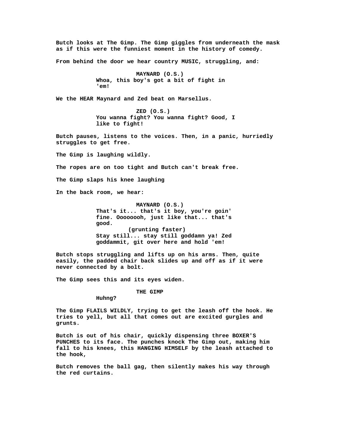**Butch looks at The Gimp. The Gimp giggles from underneath the mask as if this were the funniest moment in the history of comedy. From behind the door we hear country MUSIC, struggling, and: MAYNARD (O.S.) Whoa, this boy's got a bit of fight in 'em! We the HEAR Maynard and Zed beat on Marsellus. ZED (O.S.) You wanna fight? You wanna fight? Good, I like to fight! Butch pauses, listens to the voices. Then, in a panic, hurriedly struggles to get free. The Gimp is laughing wildly. The ropes are on too tight and Butch can't break free. The Gimp slaps his knee laughing In the back room, we hear: MAYNARD (O.S.) That's it... that's it boy, you're goin' fine. Oooooooh, just like that... that's good. (grunting faster) Stay still... stay still goddamn ya! Zed goddammit, git over here and hold 'em! Butch stops struggling and lifts up on his arms. Then, quite**

**easily, the padded chair back slides up and off as if it were never connected by a bolt.**

**The Gimp sees this and its eyes widen.**

**THE GIMP**

**Huhng?**

**The Gimp FLAILS WILDLY, trying to get the leash off the hook. He tries to yell, but all that comes out are excited gurgles and grunts.**

**Butch is out of his chair, quickly dispensing three BOXER'S PUNCHES to its face. The punches knock The Gimp out, making him fall to his knees, this HANGING HIMSELF by the leash attached to the hook,**

**Butch removes the ball gag, then silently makes his way through the red curtains.**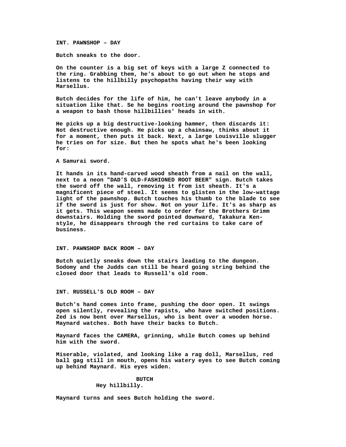**INT. PAWNSHOP – DAY**

**Butch sneaks to the door.**

**On the counter is a big set of keys with a large Z connected to the ring. Grabbing them, he's about to go out when he stops and listens to the hillbilly psychopaths having their way with Marsellus.**

**Butch decides for the life of him, he can't leave anybody in a situation like that. Se he begins rooting around the pawnshop for a weapon to bash those hillbillies' heads in with.**

**He picks up a big destructive-looking hammer, then discards it: Not destructive enough. He picks up a chainsaw, thinks about it for a moment, then puts it back. Next, a large Louisville slugger he tries on for size. But then he spots what he's been looking for:**

**A Samurai sword.**

**It hands in its hand-carved wood sheath from a nail on the wall, next to a neon "DAD'S OLD-FASHIONED ROOT BEER" sign. Butch takes the sword off the wall, removing it from ist sheath. It's a magnificent piece of steel. It seems to glisten in the low-wattage light of the pawnshop. Butch touches his thumb to the blade to see if the sword is just for show. Not on your life. It's as sharp as it gets. This weapon seems made to order for the Brothers Grimm downstairs. Holding the sword pointed downward, Takakura Kenstyle, he disappears through the red curtains to take care of business.**

**INT. PAWNSHOP BACK ROOM – DAY**

**Butch quietly sneaks down the stairs leading to the dungeon. Sodomy and the Judds can still be heard going string behind the closed door that leads to Russell's old room.**

**INT. RUSSELL'S OLD ROOM – DAY**

**Butch's hand comes into frame, pushing the door open. It swings open silently, revealing the rapists, who have switched positions. Zed is now bent over Marsellus, who is bent over a wooden horse. Maynard watches. Both have their backs to Butch.**

**Maynard faces the CAMERA, grinning, while Butch comes up behind him with the sword.**

**Miserable, violated, and looking like a rag doll, Marsellus, red ball gag still in mouth, opens his watery eyes to see Butch coming up behind Maynard. His eyes widen.**

**BUTCH**

### **Hey hillbilly.**

**Maynard turns and sees Butch holding the sword.**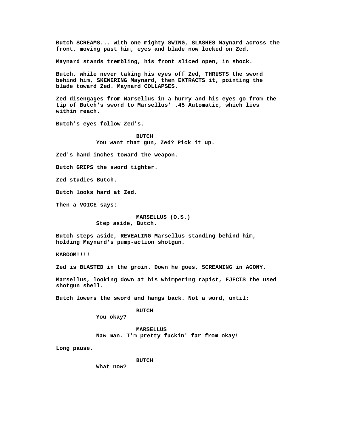**Butch SCREAMS... with one mighty SWING, SLASHES Maynard across the front, moving past him, eyes and blade now locked on Zed.**

**Maynard stands trembling, his front sliced open, in shock.**

**Butch, while never taking his eyes off Zed, THRUSTS the sword behind him, SKEWERING Maynard, then EXTRACTS it, pointing the blade toward Zed. Maynard COLLAPSES.**

**Zed disengages from Marsellus in a hurry and his eyes go from the tip of Butch's sword to Marsellus' .45 Automatic, which lies within reach.**

**Butch's eyes follow Zed's.**

**BUTCH You want that gun, Zed? Pick it up.**

**Zed's hand inches toward the weapon.**

**Butch GRIPS the sword tighter.**

**Zed studies Butch.**

**Butch looks hard at Zed.**

**Then a VOICE says:**

**MARSELLUS (O.S.) Step aside, Butch.**

**Butch steps aside, REVEALING Marsellus standing behind him, holding Maynard's pump-action shotgun.**

**KABOOM!!!!**

**Zed is BLASTED in the groin. Down he goes, SCREAMING in AGONY.**

**Marsellus, looking down at his whimpering rapist, EJECTS the used shotgun shell.**

**Butch lowers the sword and hangs back. Not a word, until:**

**BUTCH**

**You okay?**

**MARSELLUS Naw man. I'm pretty fuckin' far from okay!**

**Long pause.**

**BUTCH**

**What now?**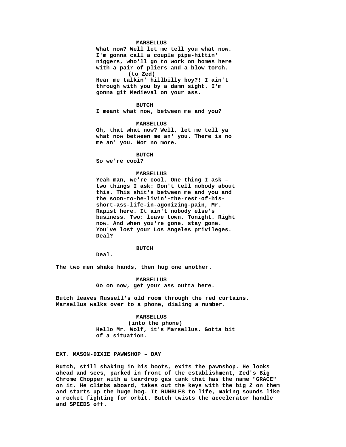#### **MARSELLUS**

**What now? Well let me tell you what now. I'm gonna call a couple pipe-hittin' niggers, who'll go to work on homes here with a pair of pliers and a blow torch. (to Zed)**

**Hear me talkin' hillbilly boy?! I ain't through with you by a damn sight. I'm gonna git Medieval on your ass.**

**BUTCH I meant what now, between me and you?**

**MARSELLUS**

**Oh, that what now? Well, let me tell ya what now between me an' you. There is no me an' you. Not no more.**

**BUTCH**

**So we're cool?**

# **MARSELLUS**

**Yeah man, we're cool. One thing I ask – two things I ask: Don't tell nobody about this. This shit's between me and you and the soon-to-be-livin'-the-rest-of-hisshort-ass-life-in-agonizing-pain, Mr. Rapist here. It ain't nobody else's business. Two: leave town. Tonight. Right now. And when you're gone, stay gone. You've lost your Los Angeles privileges. Deal?**

**BUTCH**

**Deal.**

**The two men shake hands, then hug one another.**

**MARSELLUS Go on now, get your ass outta here.**

**Butch leaves Russell's old room through the red curtains. Marsellus walks over to a phone, dialing a number.**

**MARSELLUS**

**(into the phone) Hello Mr. Wolf, it's Marsellus. Gotta bit of a situation.**

**EXT. MASON-DIXIE PAWNSHOP – DAY**

**Butch, still shaking in his boots, exits the pawnshop. He looks ahead and sees, parked in front of the establishment, Zed's Big Chrome Chopper with a teardrop gas tank that has the name "GRACE" on it. He climbs aboard, takes out the keys with the big Z on them and starts up the huge hog. It RUMBLES to life, making sounds like a rocket fighting for orbit. Butch twists the accelerator handle and SPEEDS off.**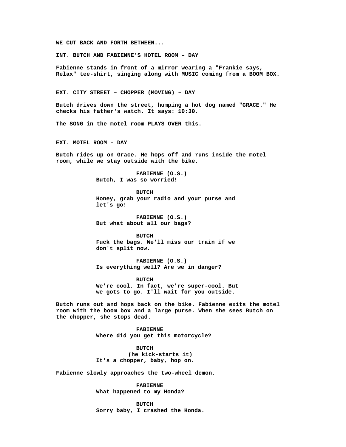**WE CUT BACK AND FORTH BETWEEN...**

**INT. BUTCH AND FABIENNE'S HOTEL ROOM – DAY**

**Fabienne stands in front of a mirror wearing a "Frankie says, Relax" tee-shirt, singing along with MUSIC coming from a BOOM BOX.**

**EXT. CITY STREET – CHOPPER (MOVING) – DAY**

**Butch drives down the street, humping a hot dog named "GRACE." He checks his father's watch. It says: 10:30.**

**The SONG in the motel room PLAYS OVER this.**

**EXT. MOTEL ROOM – DAY**

**Butch rides up on Grace. He hops off and runs inside the motel room, while we stay outside with the bike.**

> **FABIENNE (O.S.) Butch, I was so worried!**

**BUTCH Honey, grab your radio and your purse and let's go!**

**FABIENNE (O.S.) But what about all our bags?**

**BUTCH Fuck the bags. We'll miss our train if we don't split now.**

**FABIENNE (O.S.) Is everything well? Are we in danger?**

**BUTCH We're cool. In fact, we're super-cool. But we gots to go. I'll wait for you outside.**

**Butch runs out and hops back on the bike. Fabienne exits the motel room with the boom box and a large purse. When she sees Butch on the chopper, she stops dead.**

> **FABIENNE Where did you get this motorcycle?**

**BUTCH (he kick-starts it) It's a chopper, baby, hop on.**

**Fabienne slowly approaches the two-wheel demon.**

**FABIENNE What happened to my Honda?**

**BUTCH Sorry baby, I crashed the Honda.**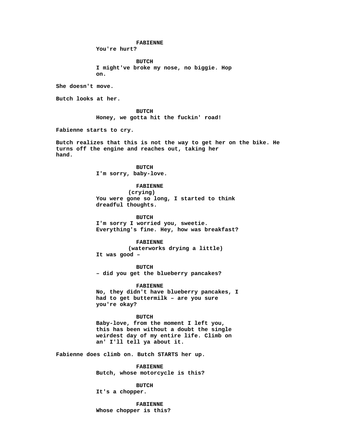**FABIENNE**

**You're hurt?**

**BUTCH I might've broke my nose, no biggie. Hop on.**

**She doesn't move.**

**Butch looks at her.**

**BUTCH Honey, we gotta hit the fuckin' road!**

**Fabienne starts to cry.**

**Butch realizes that this is not the way to get her on the bike. He turns off the engine and reaches out, taking her hand.**

**BUTCH**

**I'm sorry, baby-love.**

# **FABIENNE**

**(crying) You were gone so long, I started to think dreadful thoughts.**

**BUTCH I'm sorry I worried you, sweetie. Everything's fine. Hey, how was breakfast?**

**FABIENNE (waterworks drying a little) It was good –**

**BUTCH**

**– did you get the blueberry pancakes?**

**FABIENNE**

**No, they didn't have blueberry pancakes, I had to get buttermilk – are you sure you're okay?**

#### **BUTCH**

**Baby-love, from the moment I left you, this has been without a doubt the single weirdest day of my entire life. Climb on an' I'll tell ya about it.**

**Fabienne does climb on. Butch STARTS her up.**

**FABIENNE Butch, whose motorcycle is this?**

### **BUTCH**

**It's a chopper.**

**FABIENNE Whose chopper is this?**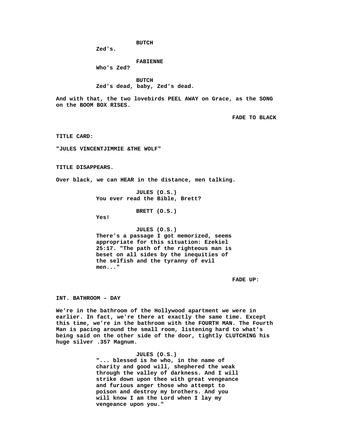**BUTCH**

**Zed's.**

**FABIENNE**

**Who's Zed?**

**BUTCH Zed's dead, baby, Zed's dead.**

**And with that, the two lovebirds PEEL AWAY on Grace, as the SONG on the BOOM BOX RISES.**

**FADE TO BLACK**

**TITLE CARD:**

**"JULES VINCENTJIMMIE &THE WOLF"**

**TITLE DISAPPEARS.**

**Over black, we can HEAR in the distance, men talking.**

**JULES (O.S.) You ever read the Bible, Brett?**

**BRETT (O.S.)**

**Yes!**

**JULES (O.S.) There's a passage I got memorized, seems appropriate for this situation: Ezekiel 25:17. "The path of the righteous man is beset on all sides by the inequities of the selfish and the tyranny of evil men..."**

**FADE UP:**

**INT. BATHROOM – DAY**

**We're in the bathroom of the Hollywood apartment we were in earlier. In fact, we're there at exactly the same time. Except this time, we're in the bathroom with the FOURTH MAN. The Fourth Man is pacing around the small room, listening hard to what's being said on the other side of the door, tightly CLUTCHING his huge silver .357 Magnum.**

### **JULES (O.S.)**

**"... blessed is he who, in the name of charity and good will, shephered the weak through the valley of darkness. And I will strike down upon thee with great vengeance and furious anger those who attempt to poison and destroy my brothers. And you will know I am the Lord when I lay my vengeance upon you."**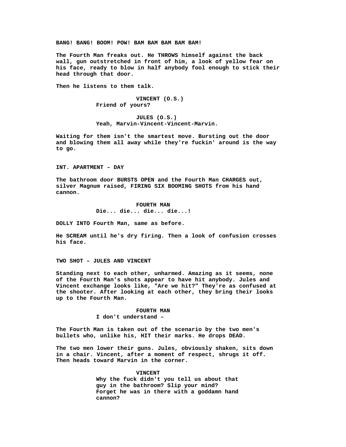**BANG! BANG! BOOM! POW! BAM BAM BAM BAM BAM!**

**The Fourth Man freaks out. He THROWS himself against the back wall, gun outstretched in front of him, a look of yellow fear on his face, ready to blow in half anybody fool enough to stick their head through that door.**

**Then he listens to them talk.**

**VINCENT (O.S.) Friend of yours?**

**JULES (O.S.) Yeah, Marvin-Vincent-Vincent-Marvin.**

**Waiting for them isn't the smartest move. Bursting out the door and blowing them all away while they're fuckin' around is the way to go.**

**INT. APARTMENT – DAY**

**The bathroom door BURSTS OPEN and the Fourth Man CHARGES out, silver Magnum raised, FIRING SIX BOOMING SHOTS from his hand cannon.**

> **FOURTH MAN Die... die... die... die...!**

**DOLLY INTO Fourth Man, same as before.**

**He SCREAM until he's dry firing. Then a look of confusion crosses his face.**

**TWO SHOT – JULES AND VINCENT**

**cannon?**

**Standing next to each other, unharmed. Amazing as it seems, none of the Fourth Man's shots appear to have hit anybody. Jules and Vincent exchange looks like, "Are we hit?" They're as confused at the shooter. After looking at each other, they bring their looks up to the Fourth Man.**

### **FOURTH MAN**

**I don't understand –**

**The Fourth Man is taken out of the scenario by the two men's bullets who, unlike his, HIT their marks. He drops DEAD.**

**The two men lower their guns. Jules, obviously shaken, sits down in a chair. Vincent, after a moment of respect, shrugs it off. Then heads toward Marvin in the corner.**

> **VINCENT Why the fuck didn't you tell us about that guy in the bathroom? Slip your mind? Forget he was in there with a goddamn hand**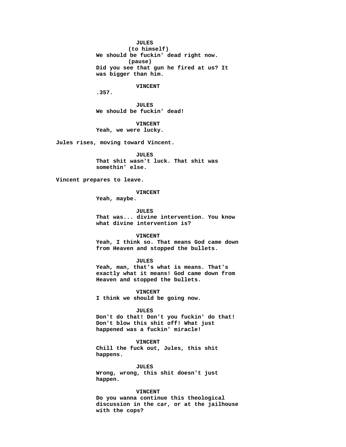**JULES (to himself) We should be fuckin' dead right now. (pause)**

**Did you see that gun he fired at us? It was bigger than him.**

### **VINCENT**

**.357.**

**JULES We should be fuckin' dead!**

**VINCENT Yeah, we were lucky.**

**Jules rises, moving toward Vincent.**

**JULES That shit wasn't luck. That shit was somethin' else.**

**Vincent prepares to leave.**

**VINCENT**

**Yeah, maybe.**

**JULES That was... divine intervention. You know what divine intervention is?**

**VINCENT Yeah, I think so. That means God came down from Heaven and stopped the bullets.**

### **JULES**

**Yeah, man, that's what is means. That's exactly what it means! God came down from Heaven and stopped the bullets.**

**VINCENT I think we should be going now.**

**JULES**

**Don't do that! Don't you fuckin' do that! Don't blow this shit off! What just happened was a fuckin' miracle!**

**VINCENT Chill the fuck out, Jules, this shit happens.**

**JULES Wrong, wrong, this shit doesn't just happen.**

**VINCENT Do you wanna continue this theological discussion in the car, or at the jailhouse with the cops?**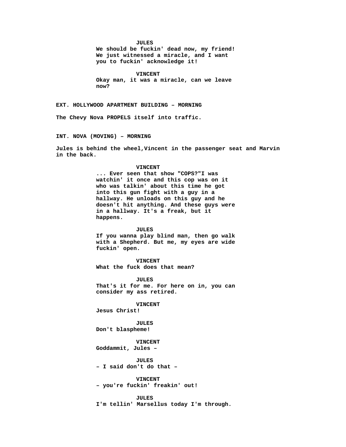**JULES**

**We should be fuckin' dead now, my friend! We just witnessed a miracle, and I want you to fuckin' acknowledge it!**

**VINCENT**

**Okay man, it was a miracle, can we leave now?**

**EXT. HOLLYWOOD APARTMENT BUILDING – MORNING**

**The Chevy Nova PROPELS itself into traffic.**

**INT. NOVA (MOVING) – MORNING**

**Jules is behind the wheel,Vincent in the passenger seat and Marvin in the back.**

#### **VINCENT**

**... Ever seen that show "COPS?"I was watchin' it once and this cop was on it who was talkin' about this time he got into this gun fight with a guy in a hallway. He unloads on this guy and he doesn't hit anything. And these guys were in a hallway. It's a freak, but it happens.**

**JULES**

**If you wanna play blind man, then go walk with a Shepherd. But me, my eyes are wide fuckin' open.**

**VINCENT What the fuck does that mean?**

**JULES That's it for me. For here on in, you can consider my ass retired.**

**VINCENT Jesus Christ!**

**JULES Don't blaspheme!**

**VINCENT**

**Goddammit, Jules –**

**JULES – I said don't do that –**

**VINCENT – you're fuckin' freakin' out!**

**JULES I'm tellin' Marsellus today I'm through.**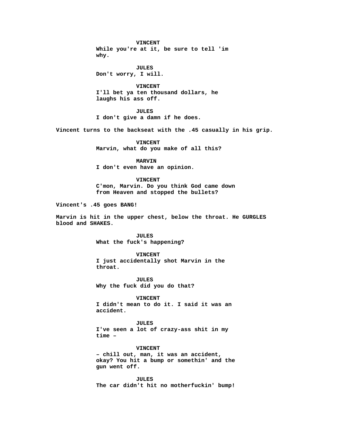**VINCENT While you're at it, be sure to tell 'im why.**

**JULES Don't worry, I will.**

**VINCENT I'll bet ya ten thousand dollars, he laughs his ass off.**

**JULES I don't give a damn if he does.**

**Vincent turns to the backseat with the .45 casually in his grip.**

**VINCENT Marvin, what do you make of all this?**

**MARVIN I don't even have an opinion.**

**VINCENT C'mon, Marvin. Do you think God came down from Heaven and stopped the bullets?**

**Vincent's .45 goes BANG!**

**Marvin is hit in the upper chest, below the throat. He GURGLES blood and SHAKES.**

> **JULES What the fuck's happening?**

**VINCENT I just accidentally shot Marvin in the throat.**

**JULES Why the fuck did you do that?**

**VINCENT I didn't mean to do it. I said it was an accident.**

**JULES I've seen a lot of crazy-ass shit in my time –**

**VINCENT – chill out, man, it was an accident, okay? You hit a bump or somethin' and the gun went off.**

**JULES The car didn't hit no motherfuckin' bump!**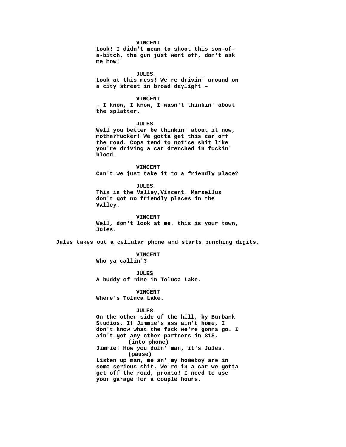### **VINCENT**

**Look! I didn't mean to shoot this son-ofa-bitch, the gun just went off, don't ask me how!**

**JULES Look at this mess! We're drivin' around on a city street in broad daylight –**

### **VINCENT**

**– I know, I know, I wasn't thinkin' about the splatter.**

**JULES Well you better be thinkin' about it now, motherfucker! We gotta get this car off the road. Cops tend to notice shit like you're driving a car drenched in fuckin' blood.**

**VINCENT Can't we just take it to a friendly place?**

**JULES This is the Valley,Vincent. Marsellus don't got no friendly places in the Valley.**

**VINCENT Well, don't look at me, this is your town, Jules.**

**Jules takes out a cellular phone and starts punching digits.**

**VINCENT Who ya callin'?**

**JULES A buddy of mine in Toluca Lake.**

**VINCENT Where's Toluca Lake.**

# **JULES**

**On the other side of the hill, by Burbank Studios. If Jimmie's ass ain't home, I don't know what the fuck we're gonna go. I ain't got any other partners in 818. (into phone) Jimmie! How you doin' man, it's Jules. (pause) Listen up man, me an' my homeboy are in some serious shit. We're in a car we gotta get off the road, pronto! I need to use your garage for a couple hours.**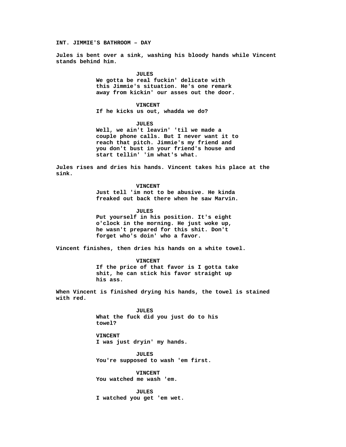### **INT. JIMMIE'S BATHROOM – DAY**

**Jules is bent over a sink, washing his bloody hands while Vincent stands behind him.**

**JULES**

**We gotta be real fuckin' delicate with this Jimmie's situation. He's one remark away from kickin' our asses out the door.**

### **VINCENT**

**If he kicks us out, whadda we do?**

**JULES**

**Well, we ain't leavin' 'til we made a couple phone calls. But I never want it to reach that pitch. Jimmie's my friend and you don't bust in your friend's house and start tellin' 'im what's what.**

**Jules rises and dries his hands. Vincent takes his place at the sink.**

#### **VINCENT**

**Just tell 'im not to be abusive. He kinda freaked out back there when he saw Marvin.**

**JULES Put yourself in his position. It's eight o'clock in the morning. He just woke up, he wasn't prepared for this shit. Don't forget who's doin' who a favor.**

**Vincent finishes, then dries his hands on a white towel.**

**VINCENT If the price of that favor is I gotta take shit, he can stick his favor straight up his ass.**

**When Vincent is finished drying his hands, the towel is stained with red.**

> **JULES What the fuck did you just do to his towel?**

**VINCENT I was just dryin' my hands.**

**JULES You're supposed to wash 'em first.**

**VINCENT You watched me wash 'em.**

**JULES I watched you get 'em wet.**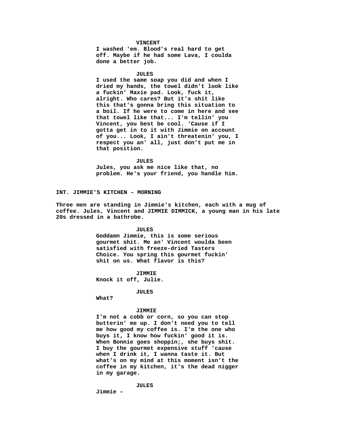#### **VINCENT**

**I washed 'em. Blood's real hard to get off. Maybe if he had some Lava, I coulda done a better job.**

#### **JULES**

**I used the same soap you did and when I dried my hands, the towel didn't look like a fuckin' Maxie pad. Look, fuck it, alright. Who cares? But it's shit like this that's gonna bring this situation to a boil. If he were to come in here and see that towel like that... I'm tellin' you Vincent, you best be cool. 'Cause if I gotta get in to it with Jimmie on account of you... Look, I ain't threatenin' you, I respect you an' all, just don't put me in that position.**

### **JULES**

**Jules, you ask me nice like that, no problem. He's your friend, you handle him.**

# **INT. JIMMIE'S KITCHEN – MORNING**

**Three men are standing in Jimmie's kitchen, each with a mug of coffee. Jules, Vincent and JIMMIE DIMMICK, a young man in his late 20s dressed in a bathrobe.**

### **JULES**

**Goddamn Jimmie, this is some serious gourmet shit. Me an' Vincent woulda been satisfied with freeze-dried Tasters Choice. You spring this gourmet fuckin' shit on us. What flavor is this?**

### **JIMMIE**

**Knock it off, Julie.**

**JULES**

**What?**

# **JIMMIE**

**I'm not a cobb or corn, so you can stop butterin' me up. I don't need you to tell me how good my coffee is. I'm the one who buys it, I know how fuckin' good it is. When Bonnie goes shoppin;, she buys shit. I buy the gourmet expensive stuff 'cause when I drink it, I wanna taste it. But what's on my mind at this moment isn't the coffee in my kitchen, it's the dead nigger in my garage.**

**JULES**

**Jimmie –**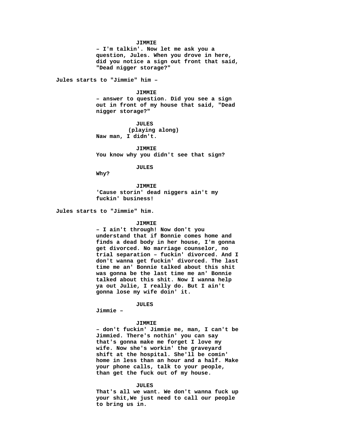### **JIMMIE**

**– I'm talkin'. Now let me ask you a question, Jules. When you drove in here, did you notice a sign out front that said, "Dead nigger storage?"**

**Jules starts to "Jimmie" him –**

### **JIMMIE**

**– answer to question. Did you see a sign out in front of my house that said, "Dead nigger storage?"**

**JULES (playing along) Naw man, I didn't.**

**JIMMIE You know why you didn't see that sign?**

**JULES**

**Why?**

**JIMMIE 'Cause storin' dead niggers ain't my fuckin' business!**

**Jules starts to "Jimmie" him.**

### **JIMMIE**

**– I ain't through! Now don't you understand that if Bonnie comes home and finds a dead body in her house, I'm gonna get divorced. No marriage counselor, no trial separation – fuckin' divorced. And I don't wanna get fuckin' divorced. The last time me an' Bonnie talked about this shit was gonna be the last time me an' Bonnie talked about this shit. Now I wanna help ya out Julie, I really do. But I ain't gonna lose my wife doin' it.**

**JULES**

**Jimmie –**

### **JIMMIE**

**– don't fuckin' Jimmie me, man, I can't be Jimmied. There's nothin' you can say that's gonna make me forget I love my wife. Now she's workin' the graveyard shift at the hospital. She'll be comin' home in less than an hour and a half. Make your phone calls, talk to your people, than get the fuck out of my house.**

#### **JULES**

**That's all we want. We don't wanna fuck up your shit,We just need to call our people to bring us in.**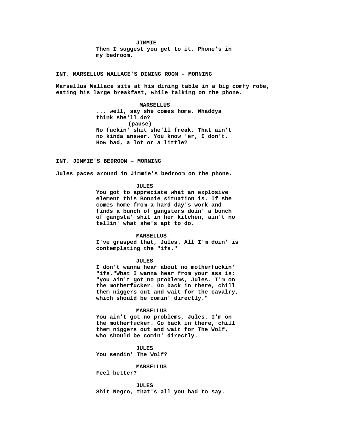#### **JIMMIE**

**Then I suggest you get to it. Phone's in my bedroom.**

**INT. MARSELLUS WALLACE'S DINING ROOM – MORNING**

**Marsellus Wallace sits at his dining table in a big comfy robe, eating his large breakfast, while talking on the phone.**

> **MARSELLUS ... well, say she comes home. Whaddya think she'll do? (pause) No fuckin' shit she'll freak. That ain't no kinda answer. You know 'er, I don't. How bad, a lot or a little?**

**INT. JIMMIE'S BEDROOM – MORNING**

**Jules paces around in Jimmie's bedroom on the phone.**

#### **JULES**

**You got to appreciate what an explosive element this Bonnie situation is. If she comes home from a hard day's work and finds a bunch of gangsters doin' a bunch of gangsta' shit in her kitchen, ain't no tellin' what she's apt to do.**

#### **MARSELLUS**

**I've grasped that, Jules. All I'm doin' is contemplating the "ifs."**

### **JULES**

**I don't wanna hear about no motherfuckin' "ifs."What I wanna hear from your ass is: "you ain't got no problems, Jules. I'm on the motherfucker. Go back in there, chill them niggers out and wait for the cavalry, which should be comin' directly."**

#### **MARSELLUS**

**You ain't got no problems, Jules. I'm on the motherfucker. Go back in there, chill them niggers out and wait for The Wolf, who should be comin' directly.**

**JULES You sendin' The Wolf?**

**MARSELLUS**

**Feel better?**

**JULES Shit Negro, that's all you had to say.**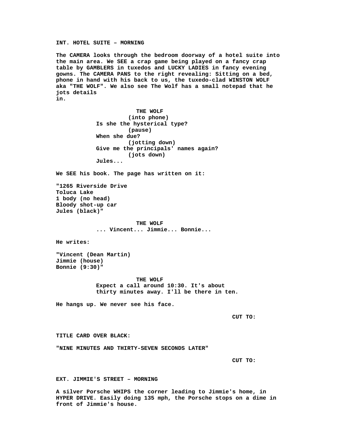### **INT. HOTEL SUITE – MORNING**

**The CAMERA looks through the bedroom doorway of a hotel suite into the main area. We SEE a crap game being played on a fancy crap table by GAMBLERS in tuxedos and LUCKY LADIES in fancy evening gowns. The CAMERA PANS to the right revealing: Sitting on a bed, phone in hand with his back to us, the tuxedo-clad WINSTON WOLF aka "THE WOLF". We also see The Wolf has a small notepad that he jots details in.**

> **THE WOLF (into phone) Is she the hysterical type? (pause) When she due? (jotting down) Give me the principals' names again? (jots down) Jules...**

**We SEE his book. The page has written on it:**

**"1265 Riverside Drive Toluca Lake 1 body (no head) Bloody shot-up car Jules (black)"**

> **THE WOLF ... Vincent... Jimmie... Bonnie...**

**He writes:**

**"Vincent (Dean Martin) Jimmie (house) Bonnie (9:30)"**

> **THE WOLF Expect a call around 10:30. It's about thirty minutes away. I'll be there in ten.**

**He hangs up. We never see his face.**

**CUT TO:**

**TITLE CARD OVER BLACK:**

**"NINE MINUTES AND THIRTY-SEVEN SECONDS LATER"**

**CUT TO:**

**EXT. JIMMIE'S STREET – MORNING**

**A silver Porsche WHIPS the corner leading to Jimmie's home, in HYPER DRIVE. Easily doing 135 mph, the Porsche stops on a dime in front of Jimmie's house.**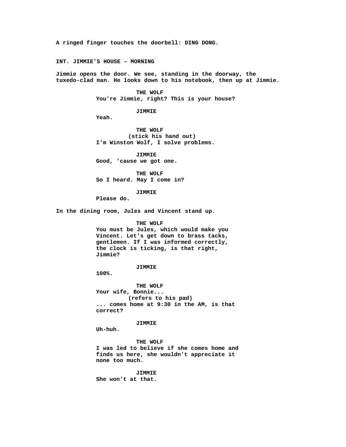**A ringed finger touches the doorbell: DING DONG.**

**INT. JIMMIE'S HOUSE – MORNING**

**Jimmie opens the door. We see, standing in the doorway, the tuxedo-clad man. He looks down to his notebook, then up at Jimmie.**

> **THE WOLF You're Jimmie, right? This is your house?**

> > **JIMMIE**

**Yeah.**

**THE WOLF (stick his hand out) I'm Winston Wolf, I solve problems.**

**JIMMIE Good, 'cause we got one.**

**THE WOLF So I heard. May I come in?**

# **JIMMIE**

**Please do.**

**In the dining room, Jules and Vincent stand up.**

### **THE WOLF**

**You must be Jules, which would make you Vincent. Let's get down to brass tacks, gentlemen. If I was informed correctly, the clock is ticking, is that right, Jimmie?**

### **JIMMIE**

**100%.**

**THE WOLF Your wife, Bonnie... (refers to his pad) ... comes home at 9:30 in the AM, is that correct?**

# **JIMMIE**

**Uh-huh.**

**THE WOLF**

**I was led to believe if she comes home and finds us here, she wouldn't appreciate it none too much.**

**JIMMIE**

**She won't at that.**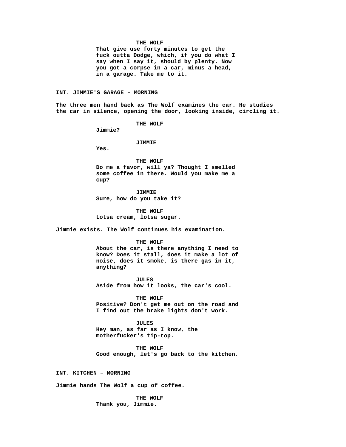### **THE WOLF**

**That give use forty minutes to get the fuck outta Dodge, which, if you do what I say when I say it, should by plenty. Now you got a corpse in a car, minus a head, in a garage. Take me to it.**

# **INT. JIMMIE'S GARAGE – MORNING**

**The three men hand back as The Wolf examines the car. He studies the car in silence, opening the door, looking inside, circling it.**

**THE WOLF**

**Jimmie?**

**JIMMIE**

**Yes.**

**THE WOLF Do me a favor, will ya? Thought I smelled some coffee in there. Would you make me a cup?**

**JIMMIE Sure, how do you take it?**

**THE WOLF Lotsa cream, lotsa sugar.**

**Jimmie exists. The Wolf continues his examination.**

### **THE WOLF**

**About the car, is there anything I need to know? Does it stall, does it make a lot of noise, does it smoke, is there gas in it, anything?**

**JULES Aside from how it looks, the car's cool.**

**THE WOLF Positive? Don't get me out on the road and I find out the brake lights don't work.**

**JULES Hey man, as far as I know, the motherfucker's tip-top.**

**THE WOLF Good enough, let's go back to the kitchen.**

**INT. KITCHEN – MORNING**

**Jimmie hands The Wolf a cup of coffee.**

**THE WOLF Thank you, Jimmie.**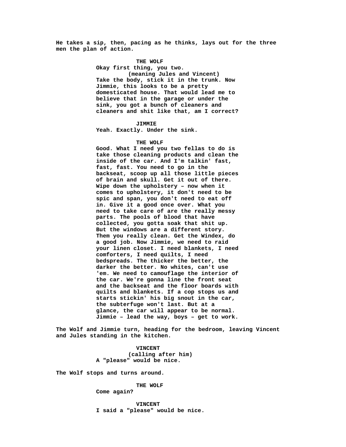**He takes a sip, then, pacing as he thinks, lays out for the three men the plan of action.**

# **THE WOLF**

**Okay first thing, you two.**

**(meaning Jules and Vincent) Take the body, stick it in the trunk. Now Jimmie, this looks to be a pretty domesticated house. That would lead me to believe that in the garage or under the sink, you got a bunch of cleaners and cleaners and shit like that, am I correct?**

# **JIMMIE**

**Yeah. Exactly. Under the sink.**

#### **THE WOLF**

**Good. What I need you two fellas to do is take those cleaning products and clean the inside of the car. And I'm talkin' fast, fast, fast. You need to go in the backseat, scoop up all those little pieces of brain and skull. Get it out of there. Wipe down the upholstery – now when it comes to upholstery, it don't need to be spic and span, you don't need to eat off in. Give it a good once over. What you need to take care of are the really messy parts. The pools of blood that have collected, you gotta soak that shit up. But the windows are a different story. Them you really clean. Get the Windex, do a good job. Now Jimmie, we need to raid your linen closet. I need blankets, I need comforters, I need quilts, I need bedspreads. The thicker the better, the darker the better. No whites, can't use 'em. We need to camouflage the interior of the car. We're gonna line the front seat and the backseat and the floor boards with quilts and blankets. If a cop stops us and starts stickin' his big snout in the car, the subterfuge won't last. But at a glance, the car will appear to be normal. Jimmie – lead the way, boys – get to work.**

**The Wolf and Jimmie turn, heading for the bedroom, leaving Vincent and Jules standing in the kitchen.**

> **VINCENT (calling after him) A "please" would be nice.**

**The Wolf stops and turns around.**

**THE WOLF**

**Come again?**

**VINCENT I said a "please" would be nice.**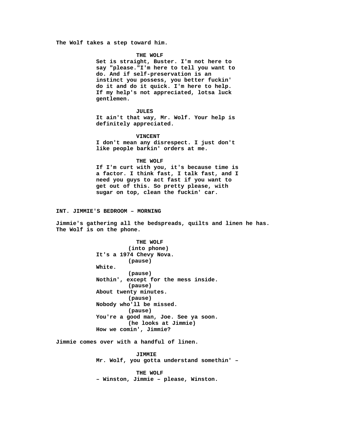**The Wolf takes a step toward him.**

### **THE WOLF**

**Set is straight, Buster. I'm not here to say "please."I'm here to tell you want to do. And if self-preservation is an instinct you possess, you better fuckin' do it and do it quick. I'm here to help. If my help's not appreciated, lotsa luck gentlemen.**

#### **JULES**

**It ain't that way, Mr. Wolf. Your help is definitely appreciated.**

**VINCENT**

**I don't mean any disrespect. I just don't like people barkin' orders at me.**

### **THE WOLF**

**If I'm curt with you, it's because time is a factor. I think fast, I talk fast, and I need you guys to act fast if you want to get out of this. So pretty please, with sugar on top, clean the fuckin' car.**

### **INT. JIMMIE'S BEDROOM – MORNING**

**Jimmie's gathering all the bedspreads, quilts and linen he has. The Wolf is on the phone.**

> **THE WOLF (into phone) It's a 1974 Chevy Nova. (pause) White. (pause) Nothin', except for the mess inside. (pause) About twenty minutes. (pause) Nobody who'll be missed. (pause) You're a good man, Joe. See ya soon. (he looks at Jimmie) How we comin', Jimmie?**

**Jimmie comes over with a handful of linen.**

**JIMMIE Mr. Wolf, you gotta understand somethin' –**

**THE WOLF – Winston, Jimmie – please, Winston.**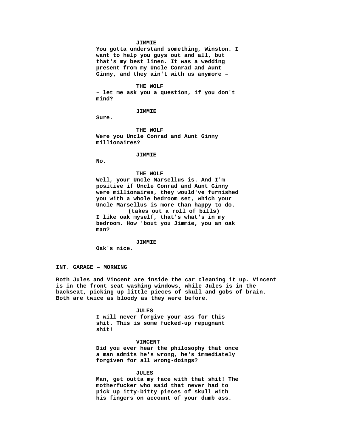### **JIMMIE**

**You gotta understand something, Winston. I want to help you guys out and all, but that's my best linen. It was a wedding present from my Uncle Conrad and Aunt Ginny, and they ain't with us anymore –**

### **THE WOLF**

**– let me ask you a question, if you don't mind?**

**JIMMIE**

**Sure.**

**THE WOLF Were you Uncle Conrad and Aunt Ginny millionaires?**

### **JIMMIE**

**No.**

# **THE WOLF**

**Well, your Uncle Marsellus is. And I'm positive if Uncle Conrad and Aunt Ginny were millionaires, they would've furnished you with a whole bedroom set, which your Uncle Marsellus is more than happy to do. (takes out a roll of bills) I like oak myself, that's what's in my bedroom. How 'bout you Jimmie, you an oak man?**

**JIMMIE**

**Oak's nice.**

# **INT. GARAGE – MORNING**

**Both Jules and Vincent are inside the car cleaning it up. Vincent is in the front seat washing windows, while Jules is in the backseat, picking up little pieces of skull and gobs of brain. Both are twice as bloody as they were before.**

#### **JULES**

**I will never forgive your ass for this shit. This is some fucked-up repugnant shit!**

#### **VINCENT**

**Did you ever hear the philosophy that once a man admits he's wrong, he's immediately forgiven for all wrong-doings?**

# **JULES**

**Man, get outta my face with that shit! The motherfucker who said that never had to pick up itty-bitty pieces of skull with his fingers on account of your dumb ass.**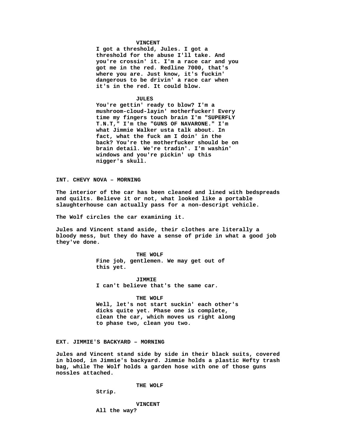## **VINCENT**

**I got a threshold, Jules. I got a threshold for the abuse I'll take. And you're crossin' it. I'm a race car and you got me in the red. Redline 7000, that's where you are. Just know, it's fuckin' dangerous to be drivin' a race car when it's in the red. It could blow.**

## **JULES**

**You're gettin' ready to blow? I'm a mushroom-cloud-layin' motherfucker! Every time my fingers touch brain I'm "SUPERFLY T.N.T," I'm the "GUNS OF NAVARONE." I'm what Jimmie Walker usta talk about. In fact, what the fuck am I doin' in the back? You're the motherfucker should be on brain detail. We're tradin'. I'm washin' windows and you're pickin' up this nigger's skull.**

**INT. CHEVY NOVA – MORNING**

**The interior of the car has been cleaned and lined with bedspreads and quilts. Believe it or not, what looked like a portable slaughterhouse can actually pass for a non-descript vehicle.**

**The Wolf circles the car examining it.**

**Jules and Vincent stand aside, their clothes are literally a bloody mess, but they do have a sense of pride in what a good job they've done.**

> **THE WOLF Fine job, gentlemen. We may get out of this yet.**

**JIMMIE I can't believe that's the same car.**

**THE WOLF Well, let's not start suckin' each other's dicks quite yet. Phase one is complete, clean the car, which moves us right along to phase two, clean you two.**

# **EXT. JIMMIE'S BACKYARD – MORNING**

**Jules and Vincent stand side by side in their black suits, covered in blood, in Jimmie's backyard. Jimmie holds a plastic Hefty trash bag, while The Wolf holds a garden hose with one of those guns nossles attached.**

**THE WOLF**

**Strip.**

**VINCENT All the way?**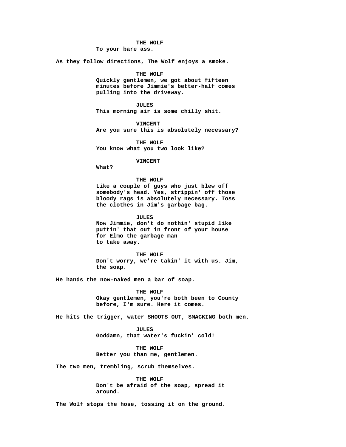**THE WOLF**

**To your bare ass.**

**As they follow directions, The Wolf enjoys a smoke.**

#### **THE WOLF**

**Quickly gentlemen, we got about fifteen minutes before Jimmie's better-half comes pulling into the driveway.**

**JULES This morning air is some chilly shit.**

**VINCENT Are you sure this is absolutely necessary?**

**THE WOLF You know what you two look like?**

**VINCENT**

**What?**

**THE WOLF**

**Like a couple of guys who just blew off somebody's head. Yes, strippin' off those bloody rags is absolutely necessary. Toss the clothes in Jim's garbage bag.**

**JULES Now Jimmie, don't do nothin' stupid like puttin' that out in front of your house for Elmo the garbage man to take away.**

**THE WOLF Don't worry, we're takin' it with us. Jim, the soap.**

**He hands the now-naked men a bar of soap.**

**THE WOLF Okay gentlemen, you're both been to County before, I'm sure. Here it comes.**

**He hits the trigger, water SHOOTS OUT, SMACKING both men.**

**JULES Goddamn, that water's fuckin' cold!**

**THE WOLF Better you than me, gentlemen.**

**The two men, trembling, scrub themselves.**

**THE WOLF Don't be afraid of the soap, spread it around.**

**The Wolf stops the hose, tossing it on the ground.**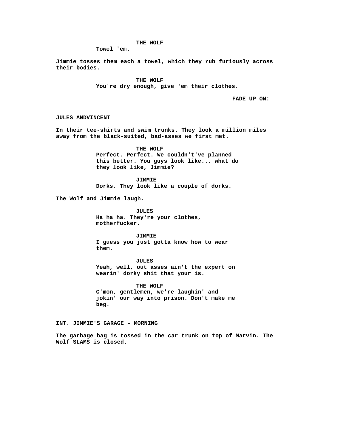## **THE WOLF**

**Towel 'em.**

**Jimmie tosses them each a towel, which they rub furiously across their bodies.**

> **THE WOLF You're dry enough, give 'em their clothes.**

> > **FADE UP ON:**

## **JULES ANDVINCENT**

**In their tee-shirts and swim trunks. They look a million miles away from the black-suited, bad-asses we first met.**

> **THE WOLF Perfect. Perfect. We couldn't've planned this better. You guys look like... what do they look like, Jimmie?**

**JIMMIE Dorks. They look like a couple of dorks.**

**The Wolf and Jimmie laugh.**

**JULES Ha ha ha. They're your clothes, motherfucker.**

**JIMMIE I guess you just gotta know how to wear them.**

## **JULES**

**Yeah, well, out asses ain't the expert on wearin' dorky shit that your is.**

**THE WOLF C'mon, gentlemen, we're laughin' and jokin' our way into prison. Don't make me beg.**

**INT. JIMMIE'S GARAGE – MORNING**

**The garbage bag is tossed in the car trunk on top of Marvin. The Wolf SLAMS is closed.**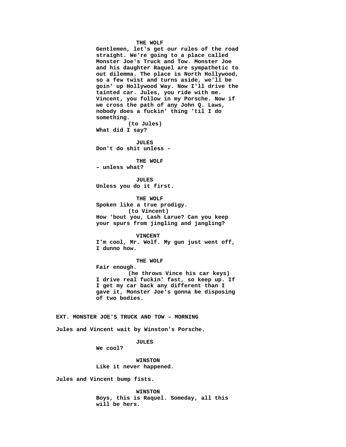## **THE WOLF**

**Gentlemen, let's get our rules of the road straight. We're going to a place called Monster Joe's Truck and Tow. Monster Joe and his daughter Raquel are sympathetic to out dilemma. The place is North Hollywood, so a few twist and turns aside, we'll be goin' up Hollywood Way. Now I'll drive the tainted car. Jules, you ride with me. Vincent, you follow in my Porsche. Now if we cross the path of any John Q. Laws, nobody does a fuckin' thing 'til I do something. (to Jules) What did I say? JULES Don't do shit unless – THE WOLF – unless what? JULES Unless you do it first. THE WOLF Spoken like a true prodigy. (to Vincent) How 'bout you, Lash Larue? Can you keep your spurs from jingling and jangling? VINCENT I'm cool, Mr. Wolf. My gun just went off, I dunno how. THE WOLF Fair enough. (he throws Vince his car keys)**

**I drive real fuckin' fast, so keep up. If I get my car back any different than I gave it, Monster Joe's gonna be disposing of two bodies.**

# **EXT. MONSTER JOE'S TRUCK AND TOW – MORNING**

**Jules and Vincent wait by Winston's Porsche.**

#### **JULES**

**We cool?**

**WINSTON Like it never happened.**

**Jules and Vincent bump fists.**

**WINSTON Boys, this is Raquel. Someday, all this will be hers.**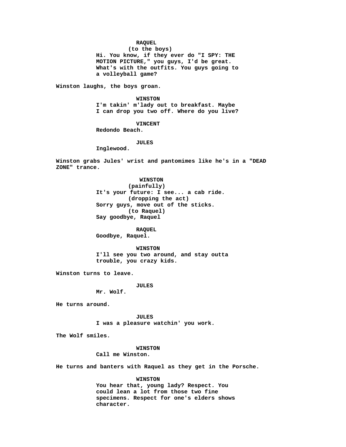# **RAQUEL**

**(to the boys) Hi. You know, if they ever do "I SPY: THE MOTION PICTURE," you guys, I'd be great. What's with the outfits. You guys going to a volleyball game?**

**Winston laughs, the boys groan.**

**WINSTON**

**I'm takin' m'lady out to breakfast. Maybe I can drop you two off. Where do you live?**

**VINCENT**

**Redondo Beach.**

**JULES**

**Inglewood.**

**Winston grabs Jules' wrist and pantomimes like he's in a "DEAD ZONE" trance.**

 **WINSTON**

**(painfully) It's your future: I see... a cab ride. (dropping the act) Sorry guys, move out of the sticks. (to Raquel) Say goodbye, Raquel**

**RAQUEL Goodbye, Raquel.**

**WINSTON**

**I'll see you two around, and stay outta trouble, you crazy kids.**

**Winston turns to leave.**

**JULES**

**Mr. Wolf.**

**He turns around.**

**JULES I was a pleasure watchin' you work.**

**The Wolf smiles.**

**WINSTON**

**Call me Winston.**

**He turns and banters with Raquel as they get in the Porsche.**

**WINSTON**

**You hear that, young lady? Respect. You could lean a lot from those two fine specimens. Respect for one's elders shows character.**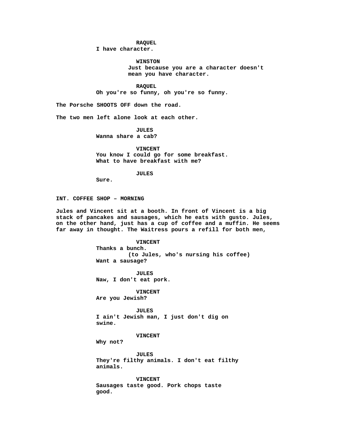**RAQUEL**

**I have character.**

**WINSTON Just because you are a character doesn't mean you have character.**

**RAQUEL Oh you're so funny, oh you're so funny.**

**The Porsche SHOOTS OFF down the road.**

**The two men left alone look at each other.**

**JULES**

**Wanna share a cab?**

**VINCENT You know I could go for some breakfast. What to have breakfast with me?**

# **JULES**

**Sure.**

# **INT. COFFEE SHOP – MORNING**

**Jules and Vincent sit at a booth. In front of Vincent is a big stack of pancakes and sausages, which he eats with gusto. Jules, on the other hand, just has a cup of coffee and a muffin. He seems far away in thought. The Waitress pours a refill for both men,**

#### **VINCENT**

**Thanks a bunch. (to Jules, who's nursing his coffee) Want a sausage?**

**JULES Naw, I don't eat pork.**

**VINCENT Are you Jewish?**

**JULES I ain't Jewish man, I just don't dig on swine.**

**VINCENT**

**Why not?**

**JULES They're filthy animals. I don't eat filthy animals.**

**VINCENT Sausages taste good. Pork chops taste good.**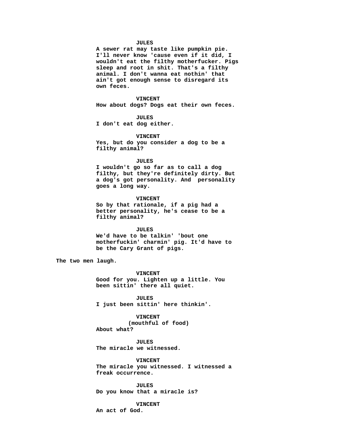**A sewer rat may taste like pumpkin pie. I'll never know 'cause even if it did, I wouldn't eat the filthy motherfucker. Pigs sleep and root in shit. That's a filthy animal. I don't wanna eat nothin' that ain't got enough sense to disregard its own feces.**

## **VINCENT**

**How about dogs? Dogs eat their own feces.**

## **JULES**

**I don't eat dog either.**

## **VINCENT**

**Yes, but do you consider a dog to be a filthy animal?**

# **JULES**

**I wouldn't go so far as to call a dog filthy, but they're definitely dirty. But a dog's got personality. And personality goes a long way.**

# **VINCENT**

**So by that rationale, if a pig had a better personality, he's cease to be a filthy animal?**

## **JULES**

**We'd have to be talkin' 'bout one motherfuckin' charmin' pig. It'd have to be the Cary Grant of pigs.**

**The two men laugh.**

**VINCENT Good for you. Lighten up a little. You been sittin' there all quiet.**

**JULES I just been sittin' here thinkin'.**

**VINCENT (mouthful of food) About what?**

**JULES The miracle we witnessed.**

**VINCENT The miracle you witnessed. I witnessed a freak occurrence.**

**JULES Do you know that a miracle is?**

# **VINCENT**

**An act of God.**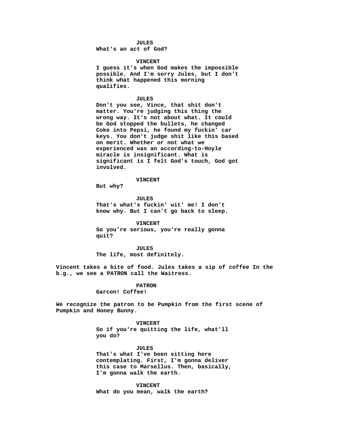**What's an act of God?**

## **VINCENT**

**I guess it's when God makes the impossible possible. And I'm sorry Jules, but I don't think what happened this morning qualifies.**

## **JULES**

**Don't you see, Vince, that shit don't matter. You're judging this thing the wrong way. It's not about what. It could be God stopped the bullets, he changed Coke into Pepsi, he found my fuckin' car keys. You don't judge shit like this based on merit. Whether or not what we experienced was an according-to-Hoyle miracle is insignificant. What is significant is I felt God's touch, God got involved.**

#### **VINCENT**

**But why?**

**JULES That's what's fuckin' wit' me! I don't know why. But I can't go back to sleep.**

**VINCENT**

**So you're serious, you're really gonna quit?**

**JULES The life, most definitely.**

**Vincent takes a bite of food. Jules takes a sip of coffee In the b.g., we see a PATRON call the Waitress.**

#### **PATRON**

**Garcon! Coffee!**

**We recognize the patron to be Pumpkin from the first scene of Pumpkin and Honey Bunny.**

#### **VINCENT**

**So if you're quitting the life, what'll you do?**

**JULES That's what I've been sitting here contemplating. First, I'm gonna deliver this case to Marsellus. Then, basically, I'm gonna walk the earth.**

**VINCENT What do you mean, walk the earth?**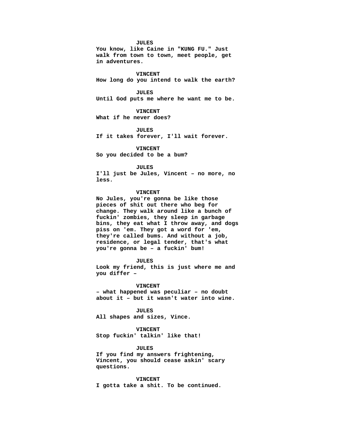**You know, like Caine in "KUNG FU." Just walk from town to town, meet people, get in adventures.**

#### **VINCENT**

**How long do you intend to walk the earth?**

## **JULES**

**Until God puts me where he want me to be.**

# **VINCENT**

**What if he never does?**

#### **JULES**

**If it takes forever, I'll wait forever.**

**VINCENT So you decided to be a bum?**

**JULES**

**I'll just be Jules, Vincent – no more, no less.**

## **VINCENT**

**No Jules, you're gonna be like those pieces of shit out there who beg for change. They walk around like a bunch of fuckin' zombies, they sleep in garbage bins, they eat what I throw away, and dogs piss on 'em. They got a word for 'em, they're called bums. And without a job, residence, or legal tender, that's what you're gonna be – a fuckin' bum!**

## **JULES**

**Look my friend, this is just where me and you differ –**

**VINCENT**

**– what happened was peculiar – no doubt about it – but it wasn't water into wine.**

**JULES All shapes and sizes, Vince.**

# **VINCENT**

**Stop fuckin' talkin' like that!**

# **JULES**

**If you find my answers frightening, Vincent, you should cease askin' scary questions.**

**VINCENT I gotta take a shit. To be continued.**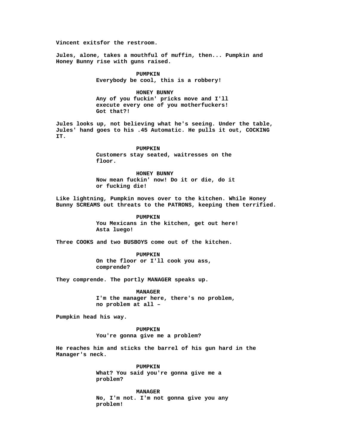**Vincent exitsfor the restroom.**

**Jules, alone, takes a mouthful of muffin, then... Pumpkin and Honey Bunny rise with guns raised.**

> **PUMPKIN Everybody be cool, this is a robbery!**

**HONEY BUNNY Any of you fuckin' pricks move and I'll execute every one of you motherfuckers! Got that?!**

**Jules looks up, not believing what he's seeing. Under the table, Jules' hand goes to his .45 Automatic. He pulls it out, COCKING IT.**

> **PUMPKIN Customers stay seated, waitresses on the floor.**

**HONEY BUNNY Now mean fuckin' now! Do it or die, do it or fucking die!**

**Like lightning, Pumpkin moves over to the kitchen. While Honey Bunny SCREAMS out threats to the PATRONS, keeping them terrified.**

> **PUMPKIN You Mexicans in the kitchen, get out here! Asta luego!**

**Three COOKS and two BUSBOYS come out of the kitchen.**

**PUMPKIN On the floor or I'll cook you ass, comprende?**

**They comprende. The portly MANAGER speaks up.**

**MANAGER I'm the manager here, there's no problem, no problem at all –**

**Pumpkin head his way.**

**PUMPKIN You're gonna give me a problem?**

**He reaches him and sticks the barrel of his gun hard in the Manager's neck.**

> **PUMPKIN What? You said you're gonna give me a problem?**

**MANAGER No, I'm not. I'm not gonna give you any problem!**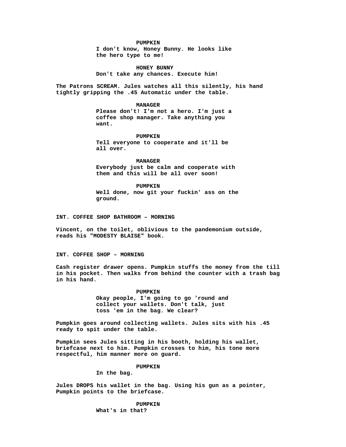## **PUMPKIN**

**I don't know, Honey Bunny. He looks like the hero type to me!**

**HONEY BUNNY Don't take any chances. Execute him!**

**The Patrons SCREAM. Jules watches all this silently, his hand tightly gripping the .45 Automatic under the table.**

#### **MANAGER**

**Please don't! I'm not a hero. I'm just a coffee shop manager. Take anything you want.**

## **PUMPKIN**

**Tell everyone to cooperate and it'll be all over.**

**MANAGER Everybody just be calm and cooperate with them and this will be all over soon!**

# **PUMPKIN Well done, now git your fuckin' ass on the ground.**

**INT. COFFEE SHOP BATHROOM – MORNING**

**Vincent, on the toilet, oblivious to the pandemonium outside, reads his "MODESTY BLAISE" book.**

**INT. COFFEE SHOP – MORNING**

**Cash register drawer opens. Pumpkin stuffs the money from the till in his pocket. Then walks from behind the counter with a trash bag in his hand.**

> **PUMPKIN Okay people, I'm going to go 'round and collect your wallets. Don't talk, just toss 'em in the bag. We clear?**

**Pumpkin goes around collecting wallets. Jules sits with his .45 ready to spit under the table.**

**Pumpkin sees Jules sitting in his booth, holding his wallet, briefcase next to him. Pumpkin crosses to him, his tone more respectful, him manner more on guard.**

**PUMPKIN**

**In the bag.**

**Jules DROPS his wallet in the bag. Using his gun as a pointer, Pumpkin points to the briefcase.**

> **PUMPKIN What's in that?**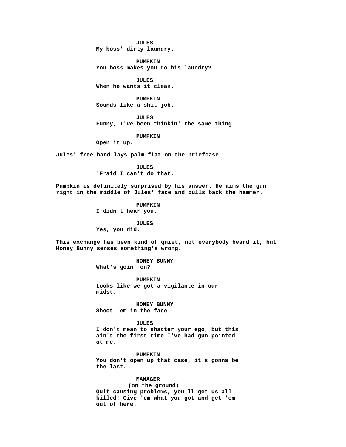**JULES My boss' dirty laundry.**

**PUMPKIN You boss makes you do his laundry?**

**JULES When he wants it clean.**

**PUMPKIN Sounds like a shit job.**

**JULES Funny, I've been thinkin' the same thing.**

**PUMPKIN**

**Open it up.**

**Jules' free hand lays palm flat on the briefcase.**

**JULES 'Fraid I can't do that.**

**Pumpkin is definitely surprised by his answer. He aims the gun right in the middle of Jules' face and pulls back the hammer.**

**PUMPKIN**

**I didn't hear you.**

**JULES**

**Yes, you did.**

**This exchange has been kind of quiet, not everybody heard it, but Honey Bunny senses something's wrong.**

> **HONEY BUNNY What's goin' on?**

**PUMPKIN Looks like we got a vigilante in our midst.**

**HONEY BUNNY Shoot 'em in the face!**

**JULES**

**I don't mean to shatter your ego, but this ain't the first time I've had gun pointed at me.**

**PUMPKIN You don't open up that case, it's gonna be the last.**

**MANAGER (on the ground) Quit causing problems, you'll get us all killed! Give 'em what you got and get 'em out of here.**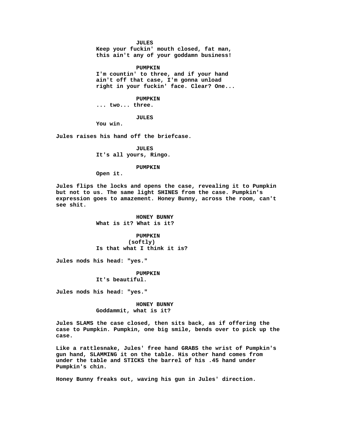**Keep your fuckin' mouth closed, fat man, this ain't any of your goddamn business!**

**PUMPKIN I'm countin' to three, and if your hand ain't off that case, I'm gonna unload right in your fuckin' face. Clear? One...**

**PUMPKIN**

**... two... three.**

**JULES**

**You win.**

**Jules raises his hand off the briefcase.**

**JULES It's all yours, Ringo.**

**PUMPKIN**

**Open it.**

**Jules flips the locks and opens the case, revealing it to Pumpkin but not to us. The same light SHINES from the case. Pumpkin's expression goes to amazement. Honey Bunny, across the room, can't see shit.**

> **HONEY BUNNY What is it? What is it?**

**PUMPKIN (softly) Is that what I think it is?**

**Jules nods his head: "yes."**

**PUMPKIN It's beautiful.**

**Jules nods his head: "yes."**

**HONEY BUNNY Goddammit, what is it?**

**Jules SLAMS the case closed, then sits back, as if offering the case to Pumpkin. Pumpkin, one big smile, bends over to pick up the case.**

**Like a rattlesnake, Jules' free hand GRABS the wrist of Pumpkin's gun hand, SLAMMING it on the table. His other hand comes from under the table and STICKS the barrel of his .45 hand under Pumpkin's chin.**

**Honey Bunny freaks out, waving his gun in Jules' direction.**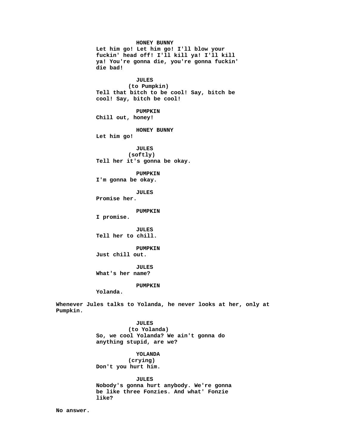**HONEY BUNNY Let him go! Let him go! I'll blow your fuckin' head off! I'll kill ya! I'll kill ya! You're gonna die, you're gonna fuckin' die bad! JULES (to Pumpkin) Tell that bitch to be cool! Say, bitch be cool! Say, bitch be cool! PUMPKIN Chill out, honey! HONEY BUNNY Let him go! JULES (softly) Tell her it's gonna be okay. PUMPKIN I'm gonna be okay. JULES Promise her. PUMPKIN I promise. JULES Tell her to chill. PUMPKIN Just chill out. JULES What's her name? PUMPKIN Yolanda. Whenever Jules talks to Yolanda, he never looks at her, only at**

**JULES (to Yolanda) So, we cool Yolanda? We ain't gonna do anything stupid, are we?**

**YOLANDA (crying) Don't you hurt him.**

**JULES Nobody's gonna hurt anybody. We're gonna be like three Fonzies. And what' Fonzie like?**

**No answer.**

**Pumpkin.**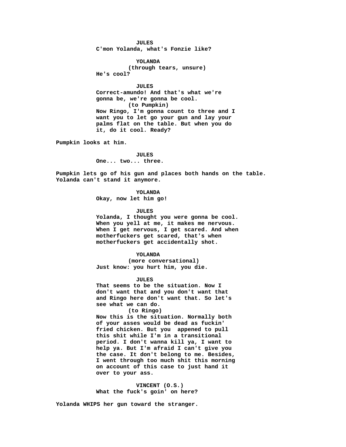**JULES C'mon Yolanda, what's Fonzie like?**

**YOLANDA (through tears, unsure) He's cool?**

**JULES Correct-amundo! And that's what we're gonna be, we're gonna be cool. (to Pumpkin) Now Ringo, I'm gonna count to three and I want you to let go your gun and lay your palms flat on the table. But when you do it, do it cool. Ready?**

**Pumpkin looks at him.**

**JULES**

**One... two... three.**

**Pumpkin lets go of his gun and places both hands on the table. Yolanda can't stand it anymore.**

> **YOLANDA Okay, now let him go!**

> > **JULES**

**Yolanda, I thought you were gonna be cool. When you yell at me, it makes me nervous. When I get nervous, I get scared. And when motherfuckers get scared, that's when motherfuckers get accidentally shot.**

**YOLANDA**

**(more conversational) Just know: you hurt him, you die.**

#### **JULES**

**That seems to be the situation. Now I don't want that and you don't want that and Ringo here don't want that. So let's see what we can do.**

**(to Ringo)**

**Now this is the situation. Normally both of your asses would be dead as fuckin' fried chicken. But you appened to pull this shit while I'm in a transitional period. I don't wanna kill ya, I want to help ya. But I'm afraid I can't give you the case. It don't belong to me. Besides, I went through too much shit this morning on account of this case to just hand it over to your ass.**

**VINCENT (O.S.) What the fuck's goin' on here?**

**Yolanda WHIPS her gun toward the stranger.**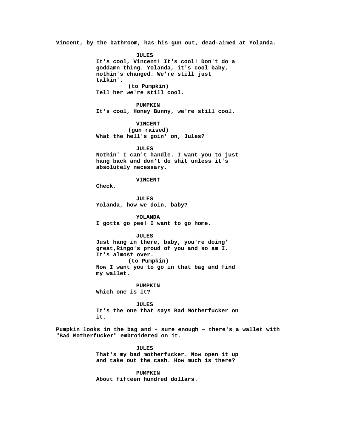**Vincent, by the bathroom, has his gun out, dead-aimed at Yolanda. JULES It's cool, Vincent! It's cool! Don't do a goddamn thing. Yolanda, it's cool baby, nothin's changed. We're still just talkin'. (to Pumpkin) Tell her we're still cool. PUMPKIN It's cool, Honey Bunny, we're still cool. VINCENT (gun raised) What the hell's goin' on, Jules? JULES Nothin' I can't handle. I want you to just hang back and don't do shit unless it's absolutely necessary. VINCENT Check. JULES Yolanda, how we doin, baby? YOLANDA I gotta go pee! I want to go home. JULES Just hang in there, baby, you're doing' great,Ringo's proud of you and so am I. It's almost over. (to Pumpkin) Now I want you to go in that bag and find my wallet. PUMPKIN Which one is it? JULES It's the one that says Bad Motherfucker on it. Pumpkin looks in the bag and – sure enough – there's a wallet with "Bad Motherfucker" embroidered on it. JULES That's my bad motherfucker. Now open it up and take out the cash. How much is there?**

> **PUMPKIN About fifteen hundred dollars.**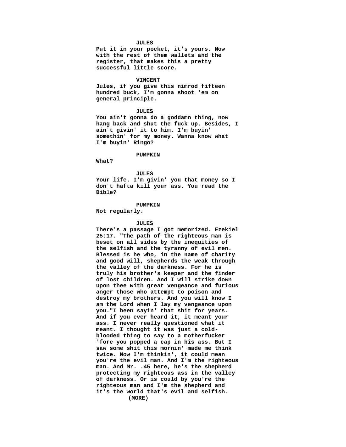**Put it in your pocket, it's yours. Now with the rest of them wallets and the register, that makes this a pretty successful little score.**

## **VINCENT**

**Jules, if you give this nimrod fifteen hundred buck, I'm gonna shoot 'em on general principle.**

#### **JULES**

**You ain't gonna do a goddamn thing, now hang back and shut the fuck up. Besides, I ain't givin' it to him. I'm buyin' somethin' for my money. Wanna know what I'm buyin' Ringo?**

## **PUMPKIN**

**What?**

# **JULES**

**Your life. I'm givin' you that money so I don't hafta kill your ass. You read the Bible?**

# **PUMPKIN**

**Not regularly.**

## **JULES**

**There's a passage I got memorized. Ezekiel 25:17. "The path of the righteous man is beset on all sides by the inequities of the selfish and the tyranny of evil men. Blessed is he who, in the name of charity and good will, shepherds the weak through the valley of the darkness. For he is truly his brother's keeper and the finder of lost children. And I will strike down upon thee with great vengeance and furious anger those who attempt to poison and destroy my brothers. And you will know I am the Lord when I lay my vengeance upon you."I been sayin' that shit for years. And if you ever heard it, it meant your ass. I never really questioned what it meant. I thought it was just a coldblooded thing to say to a motherfucker 'fore you popped a cap in his ass. But I saw some shit this mornin' made me think twice. Now I'm thinkin', it could mean you're the evil man. And I'm the righteous man. And Mr. .45 here, he's the shepherd protecting my righteous ass in the valley of darkness. Or is could by you're the righteous man and I'm the shepherd and it's the world that's evil and selfish. (MORE)**